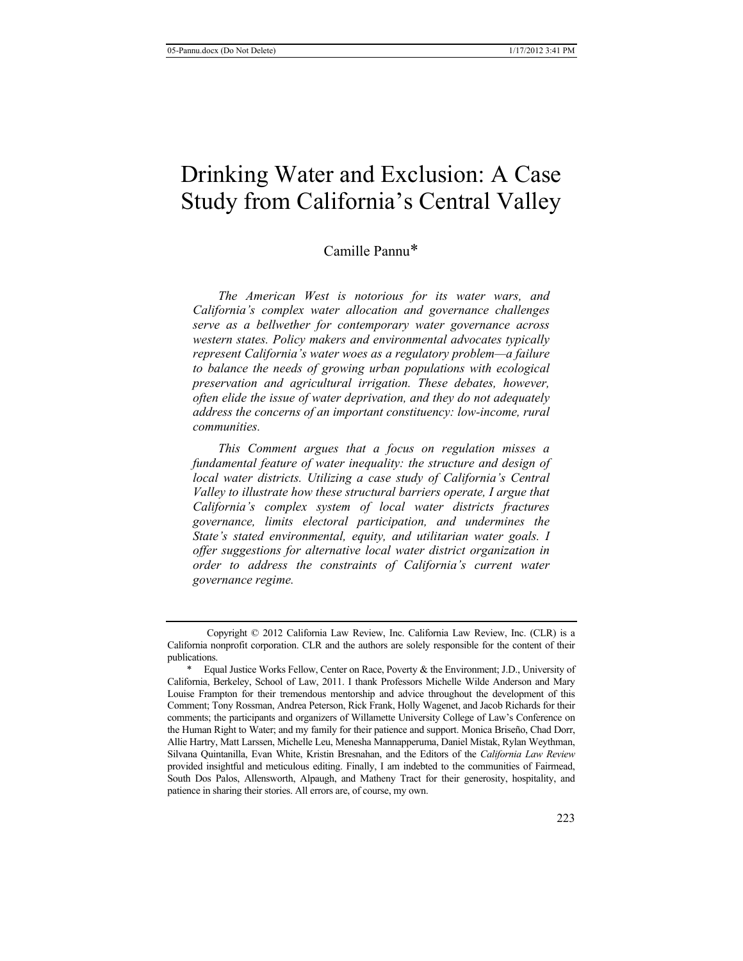# Drinking Water and Exclusion: A Case Study from California's Central Valley

## Camille Pannu\*

*The American West is notorious for its water wars, and California's complex water allocation and governance challenges serve as a bellwether for contemporary water governance across western states. Policy makers and environmental advocates typically represent California's water woes as a regulatory problem—a failure to balance the needs of growing urban populations with ecological preservation and agricultural irrigation. These debates, however, often elide the issue of water deprivation, and they do not adequately address the concerns of an important constituency: low-income, rural communities.* 

*This Comment argues that a focus on regulation misses a fundamental feature of water inequality: the structure and design of local water districts. Utilizing a case study of California's Central Valley to illustrate how these structural barriers operate, I argue that California's complex system of local water districts fractures governance, limits electoral participation, and undermines the State's stated environmental, equity, and utilitarian water goals. I offer suggestions for alternative local water district organization in order to address the constraints of California's current water governance regime.*

Copyright © 2012 California Law Review, Inc. California Law Review, Inc. (CLR) is a California nonprofit corporation. CLR and the authors are solely responsible for the content of their publications.

<sup>\*</sup> Equal Justice Works Fellow, Center on Race, Poverty & the Environment; J.D., University of California, Berkeley, School of Law, 2011. I thank Professors Michelle Wilde Anderson and Mary Louise Frampton for their tremendous mentorship and advice throughout the development of this Comment; Tony Rossman, Andrea Peterson, Rick Frank, Holly Wagenet, and Jacob Richards for their comments; the participants and organizers of Willamette University College of Law's Conference on the Human Right to Water; and my family for their patience and support. Monica Briseño, Chad Dorr, Allie Hartry, Matt Larssen, Michelle Leu, Menesha Mannapperuma, Daniel Mistak, Rylan Weythman, Silvana Quintanilla, Evan White, Kristin Bresnahan, and the Editors of the *California Law Review* provided insightful and meticulous editing. Finally, I am indebted to the communities of Fairmead, South Dos Palos, Allensworth, Alpaugh, and Matheny Tract for their generosity, hospitality, and patience in sharing their stories. All errors are, of course, my own.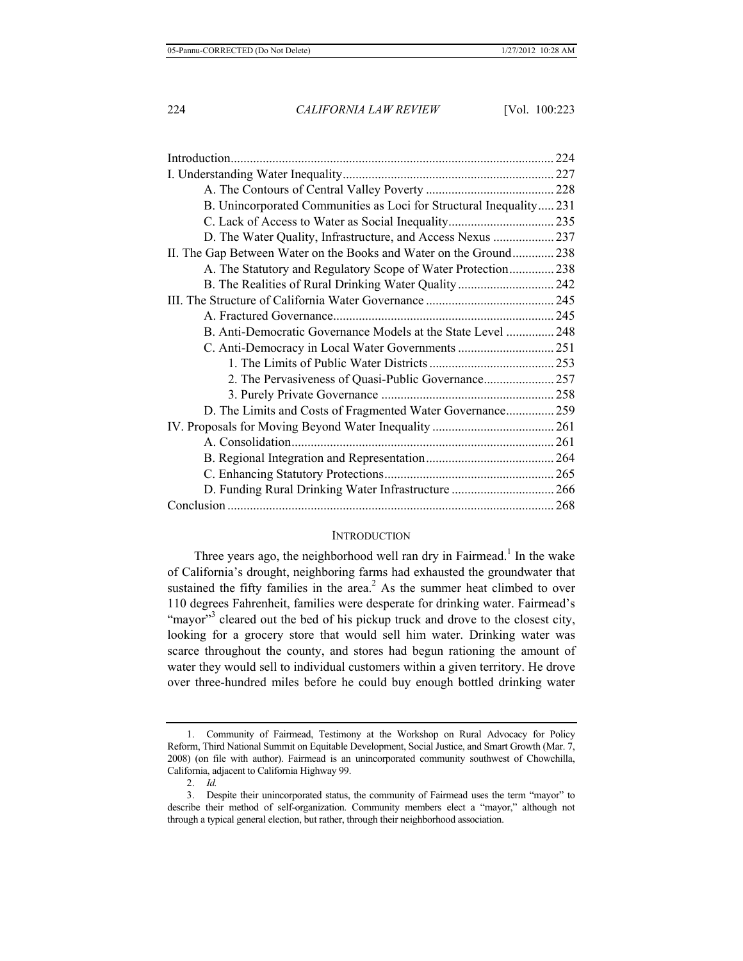| B. Unincorporated Communities as Loci for Structural Inequality231 |  |
|--------------------------------------------------------------------|--|
|                                                                    |  |
| D. The Water Quality, Infrastructure, and Access Nexus  237        |  |
| II. The Gap Between Water on the Books and Water on the Ground 238 |  |
| A. The Statutory and Regulatory Scope of Water Protection 238      |  |
|                                                                    |  |
|                                                                    |  |
|                                                                    |  |
| B. Anti-Democratic Governance Models at the State Level  248       |  |
|                                                                    |  |
|                                                                    |  |
|                                                                    |  |
|                                                                    |  |
| D. The Limits and Costs of Fragmented Water Governance 259         |  |
|                                                                    |  |
|                                                                    |  |
|                                                                    |  |
|                                                                    |  |
| D. Funding Rural Drinking Water Infrastructure  266                |  |
|                                                                    |  |

#### **INTRODUCTION**

Three years ago, the neighborhood well ran dry in Fairmead.<sup>1</sup> In the wake of California's drought, neighboring farms had exhausted the groundwater that sustained the fifty families in the area. $<sup>2</sup>$  As the summer heat climbed to over</sup> 110 degrees Fahrenheit, families were desperate for drinking water. Fairmead's "mayor"<sup>3</sup> cleared out the bed of his pickup truck and drove to the closest city, looking for a grocery store that would sell him water. Drinking water was scarce throughout the county, and stores had begun rationing the amount of water they would sell to individual customers within a given territory. He drove over three-hundred miles before he could buy enough bottled drinking water

<sup>1.</sup> Community of Fairmead, Testimony at the Workshop on Rural Advocacy for Policy Reform, Third National Summit on Equitable Development, Social Justice, and Smart Growth (Mar. 7, 2008) (on file with author). Fairmead is an unincorporated community southwest of Chowchilla, California, adjacent to California Highway 99.

<sup>2.</sup> *Id.*

<sup>3.</sup> Despite their unincorporated status, the community of Fairmead uses the term "mayor" to describe their method of self-organization. Community members elect a "mayor," although not through a typical general election, but rather, through their neighborhood association.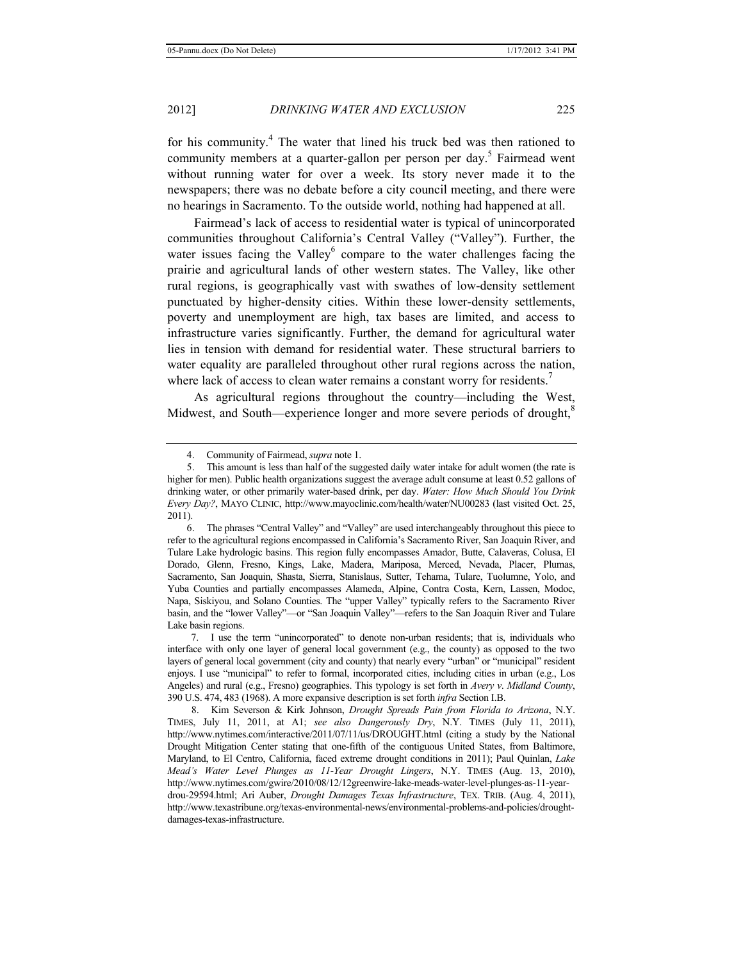for his community. $4$  The water that lined his truck bed was then rationed to community members at a quarter-gallon per person per day.<sup>5</sup> Fairmead went without running water for over a week. Its story never made it to the newspapers; there was no debate before a city council meeting, and there were no hearings in Sacramento. To the outside world, nothing had happened at all.

Fairmead's lack of access to residential water is typical of unincorporated communities throughout California's Central Valley ("Valley"). Further, the water issues facing the Valley $<sup>6</sup>$  compare to the water challenges facing the</sup> prairie and agricultural lands of other western states. The Valley, like other rural regions, is geographically vast with swathes of low-density settlement punctuated by higher-density cities. Within these lower-density settlements, poverty and unemployment are high, tax bases are limited, and access to infrastructure varies significantly. Further, the demand for agricultural water lies in tension with demand for residential water. These structural barriers to water equality are paralleled throughout other rural regions across the nation, where lack of access to clean water remains a constant worry for residents.<sup>7</sup>

As agricultural regions throughout the country—including the West, Midwest, and South—experience longer and more severe periods of drought,<sup>8</sup>

<sup>4.</sup> Community of Fairmead, *supra* note 1.

<sup>5.</sup> This amount is less than half of the suggested daily water intake for adult women (the rate is higher for men). Public health organizations suggest the average adult consume at least 0.52 gallons of drinking water, or other primarily water-based drink, per day. *Water: How Much Should You Drink Every Day?*, MAYO CLINIC, http://www.mayoclinic.com/health/water/NU00283 (last visited Oct. 25, 2011).

<sup>6.</sup> The phrases "Central Valley" and "Valley" are used interchangeably throughout this piece to refer to the agricultural regions encompassed in California's Sacramento River, San Joaquin River, and Tulare Lake hydrologic basins. This region fully encompasses Amador, Butte, Calaveras, Colusa, El Dorado, Glenn, Fresno, Kings, Lake, Madera, Mariposa, Merced, Nevada, Placer, Plumas, Sacramento, San Joaquin, Shasta, Sierra, Stanislaus, Sutter, Tehama, Tulare, Tuolumne, Yolo, and Yuba Counties and partially encompasses Alameda, Alpine, Contra Costa, Kern, Lassen, Modoc, Napa, Siskiyou, and Solano Counties. The "upper Valley" typically refers to the Sacramento River basin, and the "lower Valley"—or "San Joaquin Valley"—refers to the San Joaquin River and Tulare Lake basin regions.

 <sup>7.</sup> I use the term "unincorporated" to denote non-urban residents; that is, individuals who interface with only one layer of general local government (e.g., the county) as opposed to the two layers of general local government (city and county) that nearly every "urban" or "municipal" resident enjoys. I use "municipal" to refer to formal, incorporated cities, including cities in urban (e.g., Los Angeles) and rural (e.g., Fresno) geographies. This typology is set forth in *Avery v*. *Midland County*, 390 U.S. 474, 483 (1968). A more expansive description is set forth *infra* Section I.B.

 <sup>8.</sup> Kim Severson & Kirk Johnson, *Drought Spreads Pain from Florida to Arizona*, N.Y. TIMES, July 11, 2011, at A1; *see also Dangerously Dry*, N.Y. TIMES (July 11, 2011), http://www.nytimes.com/interactive/2011/07/11/us/DROUGHT.html (citing a study by the National Drought Mitigation Center stating that one-fifth of the contiguous United States, from Baltimore, Maryland, to El Centro, California, faced extreme drought conditions in 2011); Paul Quinlan, *Lake Mead's Water Level Plunges as 11-Year Drought Lingers*, N.Y. TIMES (Aug. 13, 2010), http://www.nytimes.com/gwire/2010/08/12/12greenwire-lake-meads-water-level-plunges-as-11-yeardrou-29594.html; Ari Auber, *Drought Damages Texas Infrastructure*, TEX. TRIB. (Aug. 4, 2011), http://www.texastribune.org/texas-environmental-news/environmental-problems-and-policies/droughtdamages-texas-infrastructure.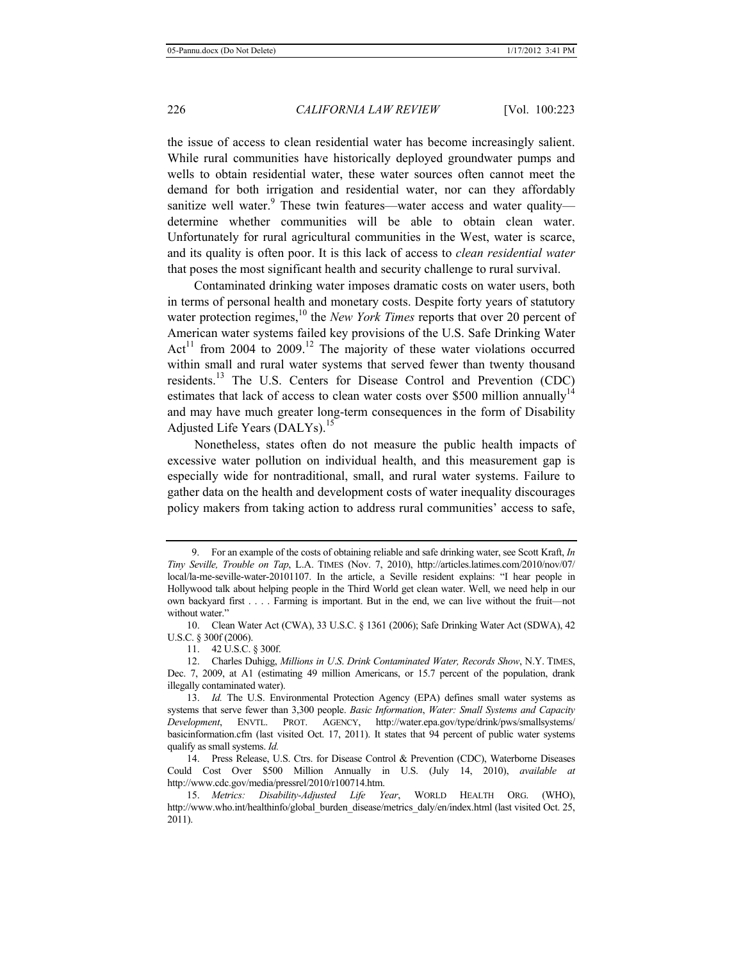the issue of access to clean residential water has become increasingly salient. While rural communities have historically deployed groundwater pumps and wells to obtain residential water, these water sources often cannot meet the demand for both irrigation and residential water, nor can they affordably sanitize well water.<sup>9</sup> These twin features—water access and water quality determine whether communities will be able to obtain clean water. Unfortunately for rural agricultural communities in the West, water is scarce, and its quality is often poor. It is this lack of access to *clean residential water* that poses the most significant health and security challenge to rural survival.

Contaminated drinking water imposes dramatic costs on water users, both in terms of personal health and monetary costs. Despite forty years of statutory water protection regimes,<sup>10</sup> the *New York Times* reports that over 20 percent of American water systems failed key provisions of the U.S. Safe Drinking Water Act<sup>11</sup> from 2004 to 2009.<sup>12</sup> The majority of these water violations occurred within small and rural water systems that served fewer than twenty thousand residents.<sup>13</sup> The U.S. Centers for Disease Control and Prevention (CDC) estimates that lack of access to clean water costs over \$500 million annually<sup>14</sup> and may have much greater long-term consequences in the form of Disability Adjusted Life Years (DALYs).<sup>15</sup>

Nonetheless, states often do not measure the public health impacts of excessive water pollution on individual health, and this measurement gap is especially wide for nontraditional, small, and rural water systems. Failure to gather data on the health and development costs of water inequality discourages policy makers from taking action to address rural communities' access to safe,

 <sup>9.</sup> For an example of the costs of obtaining reliable and safe drinking water, see Scott Kraft, *In Tiny Seville, Trouble on Tap*, L.A. TIMES (Nov. 7, 2010), http://articles.latimes.com/2010/nov/07/ local/la-me-seville-water-20101107. In the article, a Seville resident explains: "I hear people in Hollywood talk about helping people in the Third World get clean water. Well, we need help in our own backyard first . . . . Farming is important. But in the end, we can live without the fruit—not without water."

<sup>10.</sup> Clean Water Act (CWA), 33 U.S.C. § 1361 (2006); Safe Drinking Water Act (SDWA), 42 U.S.C. § 300f (2006).

<sup>11. 42</sup> U.S.C. § 300f.

<sup>12.</sup> Charles Duhigg, *Millions in U*.*S*. *Drink Contaminated Water, Records Show*, N.Y. TIMES, Dec. 7, 2009, at A1 (estimating 49 million Americans, or 15.7 percent of the population, drank illegally contaminated water).

<sup>13.</sup> *Id.* The U.S. Environmental Protection Agency (EPA) defines small water systems as systems that serve fewer than 3,300 people. *Basic Information*, *Water: Small Systems and Capacity Development*, ENVTL. PROT. AGENCY, http://water.epa.gov/type/drink/pws/smallsystems/ basicinformation.cfm (last visited Oct. 17, 2011). It states that 94 percent of public water systems qualify as small systems. *Id.*

<sup>14.</sup> Press Release, U.S. Ctrs. for Disease Control & Prevention (CDC), Waterborne Diseases Could Cost Over \$500 Million Annually in U.S. (July 14, 2010), *available at* http://www.cdc.gov/media/pressrel/2010/r100714.htm.

<sup>15.</sup> *Metrics: Disability-Adjusted Life Year*, WORLD HEALTH ORG. (WHO), http://www.who.int/healthinfo/global\_burden\_disease/metrics\_daly/en/index.html (last visited Oct. 25, 2011).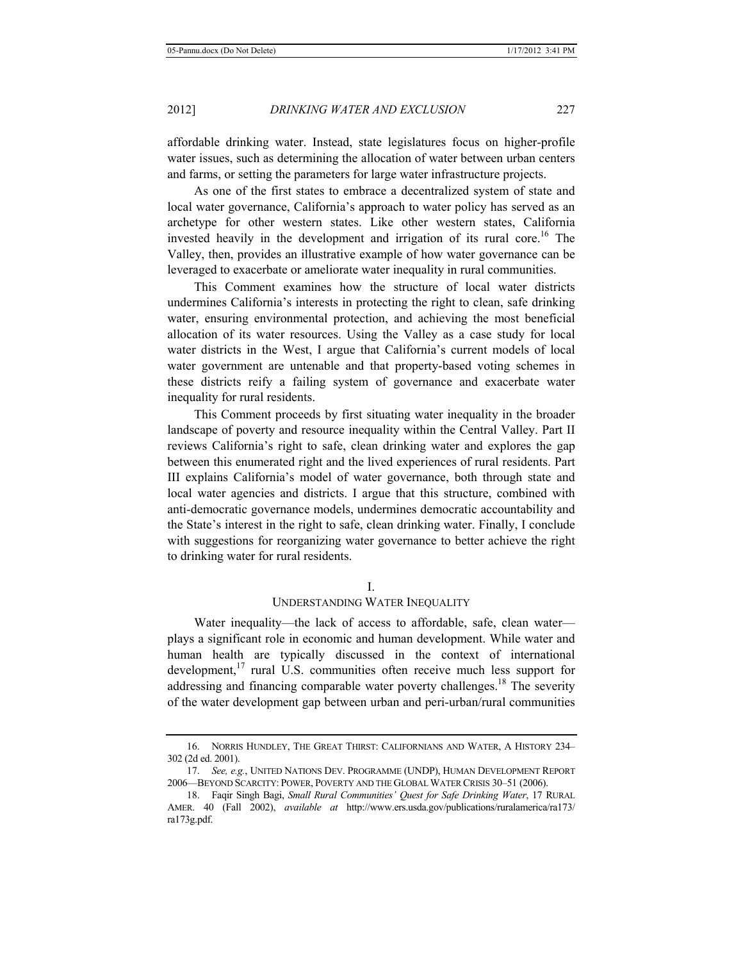affordable drinking water. Instead, state legislatures focus on higher-profile water issues, such as determining the allocation of water between urban centers and farms, or setting the parameters for large water infrastructure projects.

As one of the first states to embrace a decentralized system of state and local water governance, California's approach to water policy has served as an archetype for other western states. Like other western states, California invested heavily in the development and irrigation of its rural core.<sup>16</sup> The Valley, then, provides an illustrative example of how water governance can be leveraged to exacerbate or ameliorate water inequality in rural communities.

This Comment examines how the structure of local water districts undermines California's interests in protecting the right to clean, safe drinking water, ensuring environmental protection, and achieving the most beneficial allocation of its water resources. Using the Valley as a case study for local water districts in the West, I argue that California's current models of local water government are untenable and that property-based voting schemes in these districts reify a failing system of governance and exacerbate water inequality for rural residents.

This Comment proceeds by first situating water inequality in the broader landscape of poverty and resource inequality within the Central Valley. Part II reviews California's right to safe, clean drinking water and explores the gap between this enumerated right and the lived experiences of rural residents. Part III explains California's model of water governance, both through state and local water agencies and districts. I argue that this structure, combined with anti-democratic governance models, undermines democratic accountability and the State's interest in the right to safe, clean drinking water. Finally, I conclude with suggestions for reorganizing water governance to better achieve the right to drinking water for rural residents.

I.

## UNDERSTANDING WATER INEQUALITY

Water inequality—the lack of access to affordable, safe, clean water plays a significant role in economic and human development. While water and human health are typically discussed in the context of international development, $17$  rural U.S. communities often receive much less support for addressing and financing comparable water poverty challenges.<sup>18</sup> The severity of the water development gap between urban and peri-urban/rural communities

<sup>16.</sup> NORRIS HUNDLEY, THE GREAT THIRST: CALIFORNIANS AND WATER, A HISTORY 234– 302 (2d ed. 2001).

<sup>17.</sup> *See, e.g.*, UNITED NATIONS DEV. PROGRAMME (UNDP), HUMAN DEVELOPMENT REPORT 2006—BEYOND SCARCITY: POWER, POVERTY AND THE GLOBAL WATER CRISIS 30–51 (2006).

<sup>18.</sup> Faqir Singh Bagi, *Small Rural Communities' Quest for Safe Drinking Water*, 17 RURAL AMER. 40 (Fall 2002), *available at* http://www.ers.usda.gov/publications/ruralamerica/ra173/ ra173g.pdf.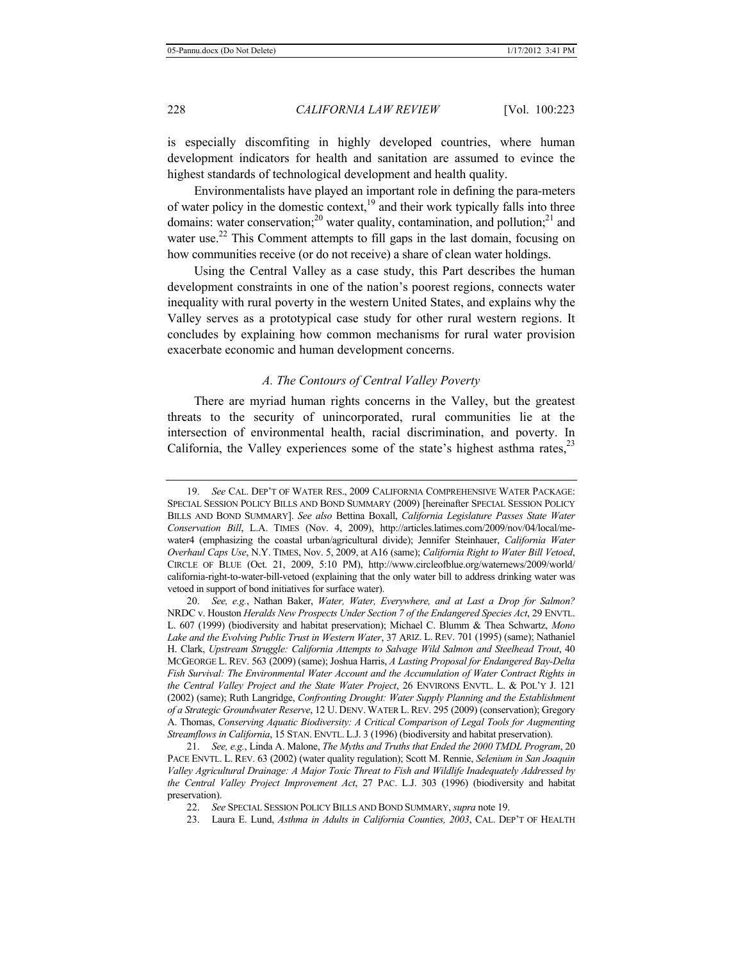is especially discomfiting in highly developed countries, where human development indicators for health and sanitation are assumed to evince the highest standards of technological development and health quality.

Environmentalists have played an important role in defining the para-meters of water policy in the domestic context, $19$  and their work typically falls into three domains: water conservation;<sup>20</sup> water quality, contamination, and pollution;<sup>21</sup> and water use.<sup>22</sup> This Comment attempts to fill gaps in the last domain, focusing on how communities receive (or do not receive) a share of clean water holdings.

Using the Central Valley as a case study, this Part describes the human development constraints in one of the nation's poorest regions, connects water inequality with rural poverty in the western United States, and explains why the Valley serves as a prototypical case study for other rural western regions. It concludes by explaining how common mechanisms for rural water provision exacerbate economic and human development concerns.

#### *A. The Contours of Central Valley Poverty*

There are myriad human rights concerns in the Valley, but the greatest threats to the security of unincorporated, rural communities lie at the intersection of environmental health, racial discrimination, and poverty. In California, the Valley experiences some of the state's highest asthma rates,  $2<sup>3</sup>$ 

21. *See, e.g.*, Linda A. Malone, *The Myths and Truths that Ended the 2000 TMDL Program*, 20 PACE ENVTL. L. REV. 63 (2002) (water quality regulation); Scott M. Rennie, *Selenium in San Joaquin Valley Agricultural Drainage: A Major Toxic Threat to Fish and Wildlife Inadequately Addressed by the Central Valley Project Improvement Act*, 27 PAC. L.J. 303 (1996) (biodiversity and habitat preservation).

<sup>19.</sup> *See* CAL. DEP'T OF WATER RES., 2009 CALIFORNIA COMPREHENSIVE WATER PACKAGE: SPECIAL SESSION POLICY BILLS AND BOND SUMMARY (2009) [hereinafter SPECIAL SESSION POLICY BILLS AND BOND SUMMARY]. *See also* Bettina Boxall, *California Legislature Passes State Water Conservation Bill*, L.A. TIMES (Nov. 4, 2009), http://articles.latimes.com/2009/nov/04/local/mewater4 (emphasizing the coastal urban/agricultural divide); Jennifer Steinhauer, *California Water Overhaul Caps Use*, N.Y. TIMES, Nov. 5, 2009, at A16 (same); *California Right to Water Bill Vetoed*, CIRCLE OF BLUE (Oct. 21, 2009, 5:10 PM), http://www.circleofblue.org/waternews/2009/world/ california-right-to-water-bill-vetoed (explaining that the only water bill to address drinking water was vetoed in support of bond initiatives for surface water).

<sup>20.</sup> *See, e.g.*, Nathan Baker, *Water, Water, Everywhere, and at Last a Drop for Salmon?*  NRDC v. Houston *Heralds New Prospects Under Section 7 of the Endangered Species Act*, 29 ENVTL. L. 607 (1999) (biodiversity and habitat preservation); Michael C. Blumm & Thea Schwartz, *Mono Lake and the Evolving Public Trust in Western Water*, 37 ARIZ. L. REV. 701 (1995) (same); Nathaniel H. Clark, *Upstream Struggle: California Attempts to Salvage Wild Salmon and Steelhead Trout*, 40 MCGEORGE L. REV. 563 (2009) (same); Joshua Harris, *A Lasting Proposal for Endangered Bay-Delta Fish Survival: The Environmental Water Account and the Accumulation of Water Contract Rights in the Central Valley Project and the State Water Project*, 26 ENVIRONS ENVTL. L. & POL'Y J. 121 (2002) (same); Ruth Langridge, *Confronting Drought: Water Supply Planning and the Establishment of a Strategic Groundwater Reserve*, 12 U. DENV. WATER L. REV. 295 (2009) (conservation); Gregory A. Thomas, *Conserving Aquatic Biodiversity: A Critical Comparison of Legal Tools for Augmenting Streamflows in California*, 15 STAN. ENVTL. L.J. 3 (1996) (biodiversity and habitat preservation).

<sup>22.</sup> *See* SPECIAL SESSION POLICY BILLS AND BOND SUMMARY, *supra* note 19.

<sup>23.</sup> Laura E. Lund, *Asthma in Adults in California Counties, 2003*, CAL. DEP'T OF HEALTH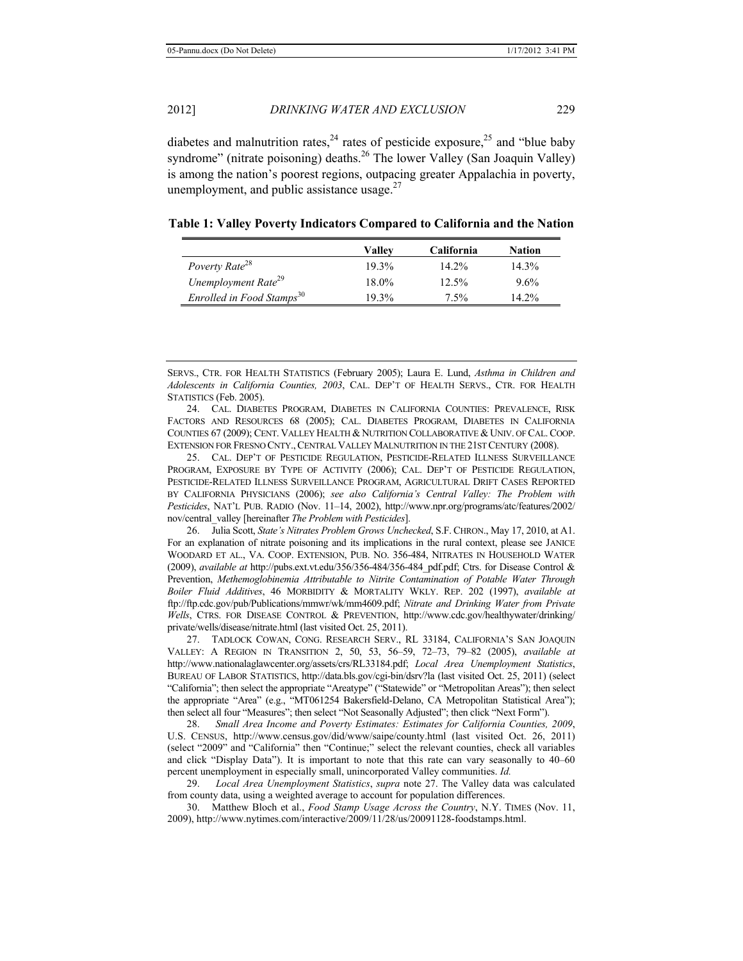diabetes and malnutrition rates,  $24$  rates of pesticide exposure,  $25$  and "blue baby syndrome" (nitrate poisoning) deaths.<sup>26</sup> The lower Valley (San Joaquin Valley) is among the nation's poorest regions, outpacing greater Appalachia in poverty, unemployment, and public assistance usage. $27$ 

|                                       | Vallev   | <b>California</b> | Nation   |
|---------------------------------------|----------|-------------------|----------|
| Poverty Rate <sup>28</sup>            | $19.3\%$ | $14.2\%$          | $14.3\%$ |
| Unemployment Rate <sup>29</sup>       | 18.0%    | $12.5\%$          | 9.6%     |
| Enrolled in Food Stamps <sup>30</sup> | 19.3%    | 7.5%              | $14.2\%$ |

**Table 1: Valley Poverty Indicators Compared to California and the Nation** 

SERVS., CTR. FOR HEALTH STATISTICS (February 2005); Laura E. Lund, *Asthma in Children and Adolescents in California Counties, 2003*, CAL. DEP'T OF HEALTH SERVS., CTR. FOR HEALTH STATISTICS (Feb. 2005).

24. CAL. DIABETES PROGRAM, DIABETES IN CALIFORNIA COUNTIES: PREVALENCE, RISK FACTORS AND RESOURCES 68 (2005); CAL. DIABETES PROGRAM, DIABETES IN CALIFORNIA COUNTIES 67 (2009); CENT. VALLEY HEALTH & NUTRITION COLLABORATIVE & UNIV. OF CAL. COOP. EXTENSION FOR FRESNO CNTY., CENTRAL VALLEY MALNUTRITION IN THE 21ST CENTURY (2008).

25. CAL. DEP'T OF PESTICIDE REGULATION, PESTICIDE-RELATED ILLNESS SURVEILLANCE PROGRAM, EXPOSURE BY TYPE OF ACTIVITY (2006); CAL. DEP'T OF PESTICIDE REGULATION, PESTICIDE-RELATED ILLNESS SURVEILLANCE PROGRAM, AGRICULTURAL DRIFT CASES REPORTED BY CALIFORNIA PHYSICIANS (2006); *see also California's Central Valley: The Problem with Pesticides*, NAT'L PUB. RADIO (Nov. 11–14, 2002), http://www.npr.org/programs/atc/features/2002/ nov/central\_valley [hereinafter *The Problem with Pesticides*].

26. Julia Scott, *State's Nitrates Problem Grows Unchecked*, S.F. CHRON., May 17, 2010, at A1. For an explanation of nitrate poisoning and its implications in the rural context, please see JANICE WOODARD ET AL., VA. COOP. EXTENSION, PUB. NO. 356-484, NITRATES IN HOUSEHOLD WATER (2009), *available at* http://pubs.ext.vt.edu/356/356-484/356-484\_pdf.pdf; Ctrs. for Disease Control & Prevention, *Methemoglobinemia Attributable to Nitrite Contamination of Potable Water Through Boiler Fluid Additives*, 46 MORBIDITY & MORTALITY WKLY. REP. 202 (1997), *available at* ftp://ftp.cdc.gov/pub/Publications/mmwr/wk/mm4609.pdf; *Nitrate and Drinking Water from Private Wells*, CTRS. FOR DISEASE CONTROL & PREVENTION, http://www.cdc.gov/healthywater/drinking/ private/wells/disease/nitrate.html (last visited Oct. 25, 2011).

27. TADLOCK COWAN, CONG. RESEARCH SERV., RL 33184, CALIFORNIA'S SAN JOAQUIN VALLEY: A REGION IN TRANSITION 2, 50, 53, 56–59, 72–73, 79–82 (2005), *available at* http://www.nationalaglawcenter.org/assets/crs/RL33184.pdf; *Local Area Unemployment Statistics*, BUREAU OF LABOR STATISTICS, http://data.bls.gov/cgi-bin/dsrv?la (last visited Oct. 25, 2011) (select "California"; then select the appropriate "Areatype" ("Statewide" or "Metropolitan Areas"); then select the appropriate "Area" (e.g., "MT061254 Bakersfield-Delano, CA Metropolitan Statistical Area"); then select all four "Measures"; then select "Not Seasonally Adjusted"; then click "Next Form").

28. *Small Area Income and Poverty Estimates: Estimates for California Counties, 2009*, U.S. CENSUS, http://www.census.gov/did/www/saipe/county.html (last visited Oct. 26, 2011) (select "2009" and "California" then "Continue;" select the relevant counties, check all variables and click "Display Data"). It is important to note that this rate can vary seasonally to 40–60 percent unemployment in especially small, unincorporated Valley communities. *Id.*

29. *Local Area Unemployment Statistics*, *supra* note 27. The Valley data was calculated from county data, using a weighted average to account for population differences.

30. Matthew Bloch et al., *Food Stamp Usage Across the Country*, N.Y. TIMES (Nov. 11, 2009), http://www.nytimes.com/interactive/2009/11/28/us/20091128-foodstamps.html.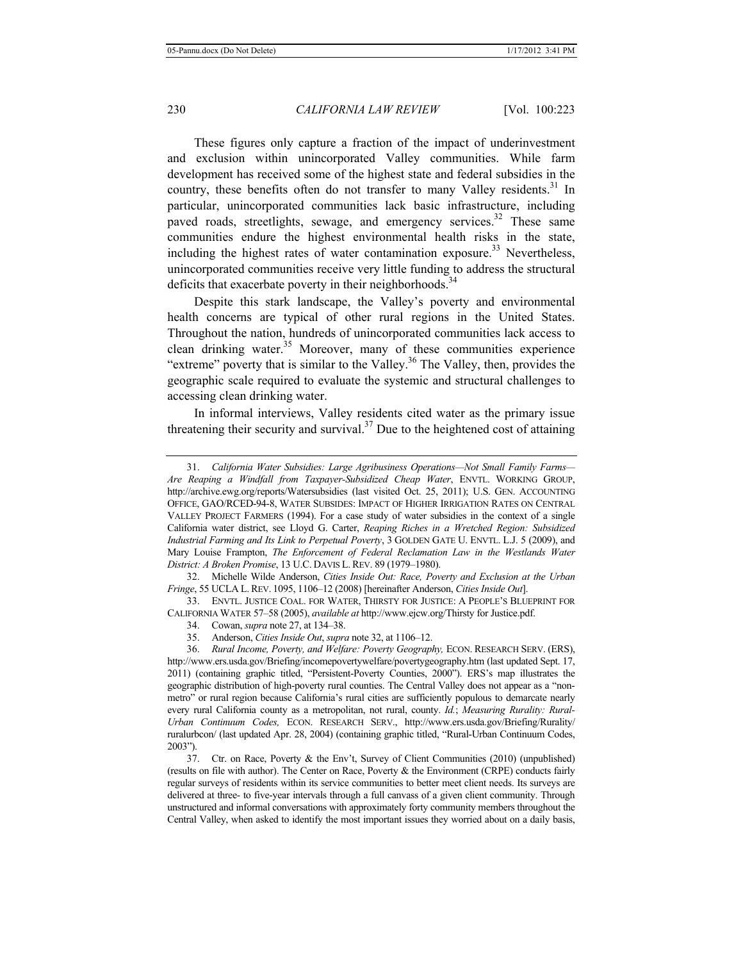These figures only capture a fraction of the impact of underinvestment and exclusion within unincorporated Valley communities. While farm development has received some of the highest state and federal subsidies in the country, these benefits often do not transfer to many Valley residents.<sup>31</sup> In particular, unincorporated communities lack basic infrastructure, including paved roads, streetlights, sewage, and emergency services.<sup>32</sup> These same communities endure the highest environmental health risks in the state, including the highest rates of water contamination exposure.<sup>33</sup> Nevertheless, unincorporated communities receive very little funding to address the structural deficits that exacerbate poverty in their neighborhoods.<sup>34</sup>

Despite this stark landscape, the Valley's poverty and environmental health concerns are typical of other rural regions in the United States. Throughout the nation, hundreds of unincorporated communities lack access to clean drinking water.<sup>35</sup> Moreover, many of these communities experience "extreme" poverty that is similar to the Valley.<sup>36</sup> The Valley, then, provides the geographic scale required to evaluate the systemic and structural challenges to accessing clean drinking water.

In informal interviews, Valley residents cited water as the primary issue threatening their security and survival.<sup>37</sup> Due to the heightened cost of attaining

32. Michelle Wilde Anderson, *Cities Inside Out: Race, Poverty and Exclusion at the Urban Fringe*, 55 UCLA L.REV. 1095, 1106–12 (2008) [hereinafter Anderson, *Cities Inside Out*].

33. ENVTL. JUSTICE COAL. FOR WATER, THIRSTY FOR JUSTICE: A PEOPLE'S BLUEPRINT FOR CALIFORNIA WATER 57–58 (2005), *available at* http://www.ejcw.org/Thirsty for Justice.pdf.

- 34. Cowan, *supra* note 27, at 134–38.
- 35. Anderson, *Cities Inside Out*, *supra* note 32, at 1106–12.

37. Ctr. on Race, Poverty & the Env't, Survey of Client Communities (2010) (unpublished) (results on file with author). The Center on Race, Poverty  $\&$  the Environment (CRPE) conducts fairly regular surveys of residents within its service communities to better meet client needs. Its surveys are delivered at three- to five-year intervals through a full canvass of a given client community. Through unstructured and informal conversations with approximately forty community members throughout the Central Valley, when asked to identify the most important issues they worried about on a daily basis,

<sup>31.</sup> *California Water Subsidies: Large Agribusiness Operations—Not Small Family Farms— Are Reaping a Windfall from Taxpayer-Subsidized Cheap Water*, ENVTL. WORKING GROUP, http://archive.ewg.org/reports/Watersubsidies (last visited Oct. 25, 2011); U.S. GEN. ACCOUNTING OFFICE, GAO/RCED-94-8, WATER SUBSIDES: IMPACT OF HIGHER IRRIGATION RATES ON CENTRAL VALLEY PROJECT FARMERS (1994). For a case study of water subsidies in the context of a single California water district, see Lloyd G. Carter, *Reaping Riches in a Wretched Region: Subsidized Industrial Farming and Its Link to Perpetual Poverty*, 3 GOLDEN GATE U. ENVTL. L.J. 5 (2009), and Mary Louise Frampton, *The Enforcement of Federal Reclamation Law in the Westlands Water District: A Broken Promise*, 13 U.C. DAVIS L.REV. 89 (1979–1980).

<sup>36.</sup> *Rural Income, Poverty, and Welfare: Poverty Geography,* ECON. RESEARCH SERV. (ERS), http://www.ers.usda.gov/Briefing/incomepovertywelfare/povertygeography.htm (last updated Sept. 17, 2011) (containing graphic titled, "Persistent-Poverty Counties, 2000"). ERS's map illustrates the geographic distribution of high-poverty rural counties. The Central Valley does not appear as a "nonmetro" or rural region because California's rural cities are sufficiently populous to demarcate nearly every rural California county as a metropolitan, not rural, county. *Id.*; *Measuring Rurality: Rural-Urban Continuum Codes,* ECON. RESEARCH SERV., http://www.ers.usda.gov/Briefing/Rurality/ ruralurbcon/ (last updated Apr. 28, 2004) (containing graphic titled, "Rural-Urban Continuum Codes, 2003").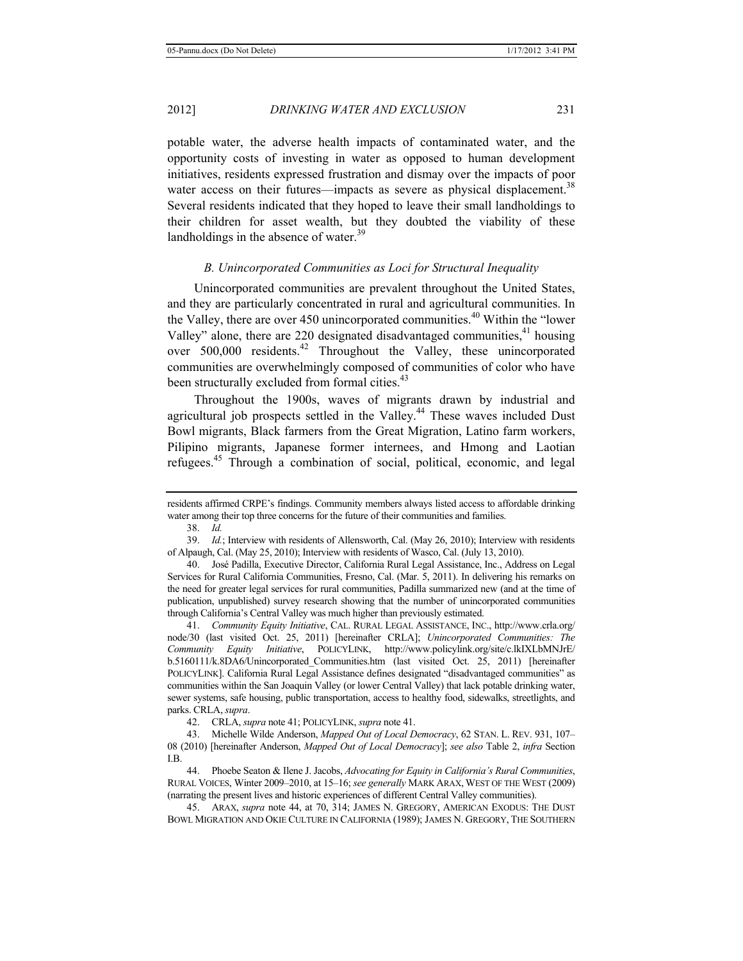potable water, the adverse health impacts of contaminated water, and the opportunity costs of investing in water as opposed to human development initiatives, residents expressed frustration and dismay over the impacts of poor water access on their futures—impacts as severe as physical displacement.<sup>38</sup> Several residents indicated that they hoped to leave their small landholdings to their children for asset wealth, but they doubted the viability of these landholdings in the absence of water.<sup>39</sup>

## *B. Unincorporated Communities as Loci for Structural Inequality*

Unincorporated communities are prevalent throughout the United States, and they are particularly concentrated in rural and agricultural communities. In the Valley, there are over 450 unincorporated communities.<sup>40</sup> Within the "lower" Valley" alone, there are 220 designated disadvantaged communities, $41$  housing over 500,000 residents.42 Throughout the Valley, these unincorporated communities are overwhelmingly composed of communities of color who have been structurally excluded from formal cities.<sup>43</sup>

Throughout the 1900s, waves of migrants drawn by industrial and agricultural job prospects settled in the Valley.<sup>44</sup> These waves included Dust Bowl migrants, Black farmers from the Great Migration, Latino farm workers, Pilipino migrants, Japanese former internees, and Hmong and Laotian refugees.<sup>45</sup> Through a combination of social, political, economic, and legal

residents affirmed CRPE's findings. Community members always listed access to affordable drinking water among their top three concerns for the future of their communities and families.

<sup>38.</sup> *Id.* 

<sup>39.</sup> *Id.*; Interview with residents of Allensworth, Cal. (May 26, 2010); Interview with residents of Alpaugh, Cal. (May 25, 2010); Interview with residents of Wasco, Cal. (July 13, 2010).

<sup>40.</sup> José Padilla, Executive Director, California Rural Legal Assistance, Inc., Address on Legal Services for Rural California Communities, Fresno, Cal. (Mar. 5, 2011). In delivering his remarks on the need for greater legal services for rural communities, Padilla summarized new (and at the time of publication, unpublished) survey research showing that the number of unincorporated communities through California's Central Valley was much higher than previously estimated.

<sup>41.</sup> *Community Equity Initiative*, CAL. RURAL LEGAL ASSISTANCE, INC., http://www.crla.org/ node/30 (last visited Oct. 25, 2011) [hereinafter CRLA]; *Unincorporated Communities: The Community Equity Initiative*, POLICYLINK, http://www.policylink.org/site/c.lkIXLbMNJrE/ b.5160111/k.8DA6/Unincorporated\_Communities.htm (last visited Oct. 25, 2011) [hereinafter POLICYLINK]. California Rural Legal Assistance defines designated "disadvantaged communities" as communities within the San Joaquin Valley (or lower Central Valley) that lack potable drinking water, sewer systems, safe housing, public transportation, access to healthy food, sidewalks, streetlights, and parks. CRLA, *supra*.

<sup>42.</sup> CRLA, *supra* note 41; POLICYLINK, *supra* note 41.

<sup>43.</sup> Michelle Wilde Anderson, *Mapped Out of Local Democracy*, 62 STAN. L. REV. 931, 107– 08 (2010) [hereinafter Anderson, *Mapped Out of Local Democracy*]; *see also* Table 2, *infra* Section I.B.

<sup>44.</sup> Phoebe Seaton & Ilene J. Jacobs, *Advocating for Equity in California's Rural Communities*, RURAL VOICES, Winter 2009–2010, at 15–16; *see generally* MARK ARAX, WEST OF THE WEST (2009) (narrating the present lives and historic experiences of different Central Valley communities).

<sup>45.</sup> ARAX, *supra* note 44, at 70, 314; JAMES N. GREGORY, AMERICAN EXODUS: THE DUST BOWL MIGRATION AND OKIE CULTURE IN CALIFORNIA (1989); JAMES N. GREGORY, THE SOUTHERN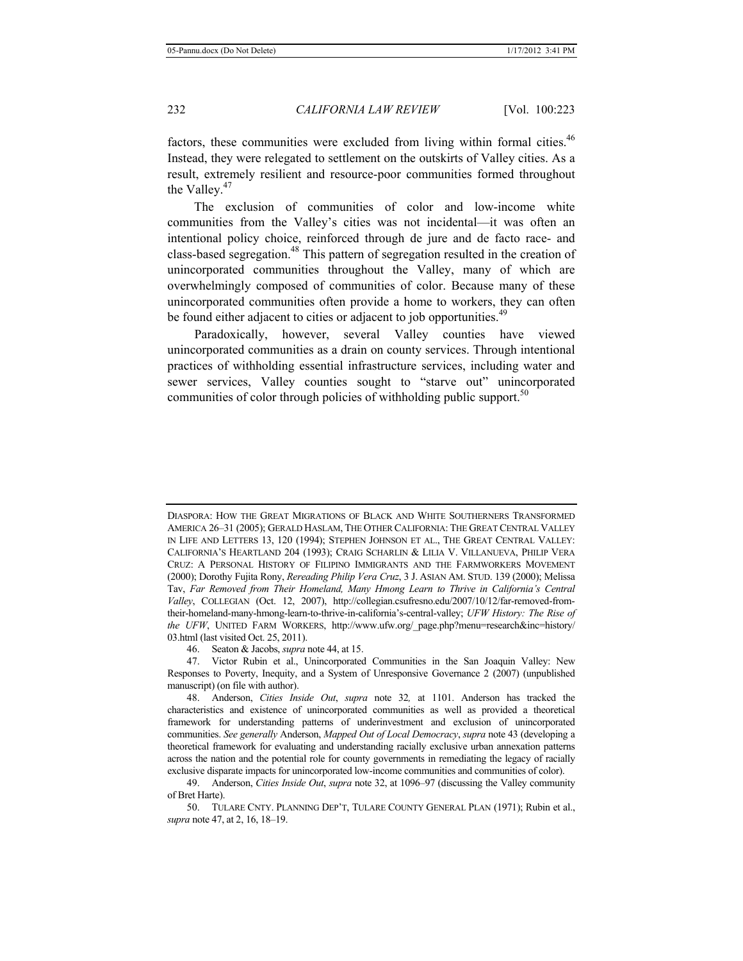factors, these communities were excluded from living within formal cities.<sup>46</sup> Instead, they were relegated to settlement on the outskirts of Valley cities. As a result, extremely resilient and resource-poor communities formed throughout the Valley. $47$ 

The exclusion of communities of color and low-income white communities from the Valley's cities was not incidental—it was often an intentional policy choice, reinforced through de jure and de facto race- and class-based segregation.<sup>48</sup> This pattern of segregation resulted in the creation of unincorporated communities throughout the Valley, many of which are overwhelmingly composed of communities of color. Because many of these unincorporated communities often provide a home to workers, they can often be found either adjacent to cities or adjacent to job opportunities.<sup>49</sup>

Paradoxically, however, several Valley counties have viewed unincorporated communities as a drain on county services. Through intentional practices of withholding essential infrastructure services, including water and sewer services, Valley counties sought to "starve out" unincorporated communities of color through policies of withholding public support.<sup>50</sup>

DIASPORA: HOW THE GREAT MIGRATIONS OF BLACK AND WHITE SOUTHERNERS TRANSFORMED AMERICA 26–31 (2005); GERALD HASLAM, THE OTHER CALIFORNIA: THE GREAT CENTRAL VALLEY IN LIFE AND LETTERS 13, 120 (1994); STEPHEN JOHNSON ET AL., THE GREAT CENTRAL VALLEY: CALIFORNIA'S HEARTLAND 204 (1993); CRAIG SCHARLIN & LILIA V. VILLANUEVA, PHILIP VERA CRUZ: A PERSONAL HISTORY OF FILIPINO IMMIGRANTS AND THE FARMWORKERS MOVEMENT (2000); Dorothy Fujita Rony, *Rereading Philip Vera Cruz*, 3 J. ASIAN AM. STUD. 139 (2000); Melissa Tav, *Far Removed from Their Homeland, Many Hmong Learn to Thrive in California's Central Valley*, COLLEGIAN (Oct. 12, 2007), http://collegian.csufresno.edu/2007/10/12/far-removed-fromtheir-homeland-many-hmong-learn-to-thrive-in-california's-central-valley; *UFW History: The Rise of the UFW*, UNITED FARM WORKERS, http://www.ufw.org/\_page.php?menu=research&inc=history/ 03.html (last visited Oct. 25, 2011).

<sup>46.</sup> Seaton & Jacobs, *supra* note 44, at 15.

<sup>47.</sup> Victor Rubin et al., Unincorporated Communities in the San Joaquin Valley: New Responses to Poverty, Inequity, and a System of Unresponsive Governance 2 (2007) (unpublished manuscript) (on file with author).

<sup>48.</sup> Anderson, *Cities Inside Out*, *supra* note 32*,* at 1101. Anderson has tracked the characteristics and existence of unincorporated communities as well as provided a theoretical framework for understanding patterns of underinvestment and exclusion of unincorporated communities. *See generally* Anderson, *Mapped Out of Local Democracy*, *supra* note 43 (developing a theoretical framework for evaluating and understanding racially exclusive urban annexation patterns across the nation and the potential role for county governments in remediating the legacy of racially exclusive disparate impacts for unincorporated low-income communities and communities of color).

<sup>49.</sup> Anderson, *Cities Inside Out*, *supra* note 32, at 1096–97 (discussing the Valley community of Bret Harte).

<sup>50.</sup> TULARE CNTY. PLANNING DEP'T, TULARE COUNTY GENERAL PLAN (1971); Rubin et al., *supra* note 47, at 2, 16, 18–19.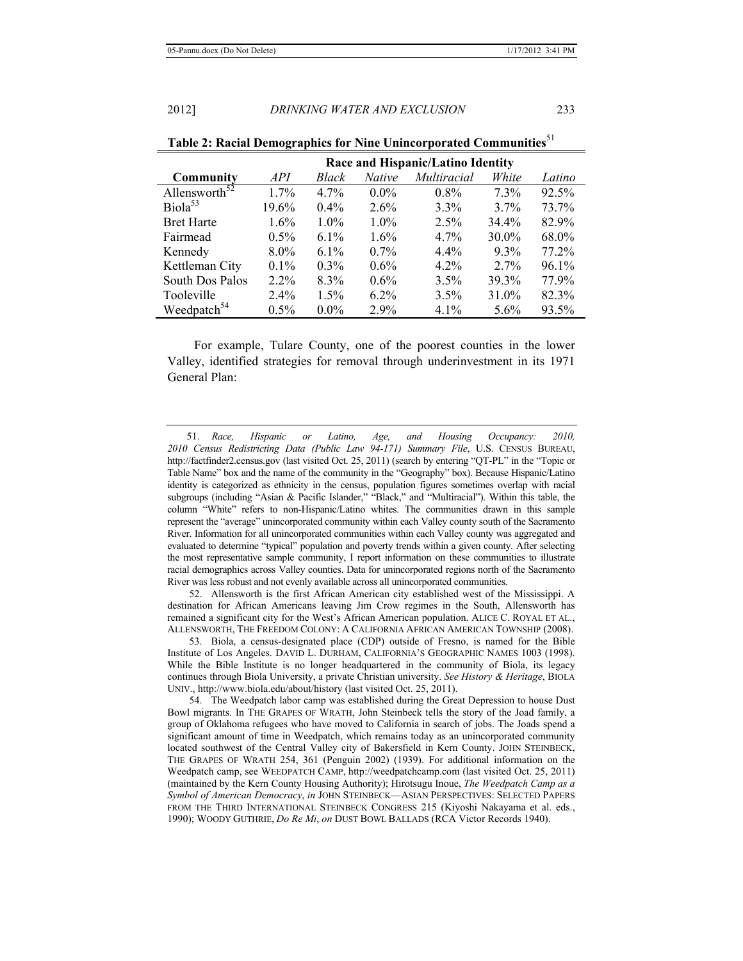|                           |         |         |               | Race and Hispanic/Latino Identity |          |          |
|---------------------------|---------|---------|---------------|-----------------------------------|----------|----------|
| <b>Community</b>          | API     | Black   | <b>Native</b> | Multiracial                       | White    | Latino   |
| Allensworth <sup>52</sup> | $1.7\%$ | $4.7\%$ | $0.0\%$       | $0.8\%$                           | $7.3\%$  | 92.5%    |
| Biola <sup>53</sup>       | 19.6%   | $0.4\%$ | 2.6%          | $3.3\%$                           | $3.7\%$  | 73.7%    |
| <b>Bret Harte</b>         | $1.6\%$ | $1.0\%$ | $1.0\%$       | 2.5%                              | 34.4%    | 82.9%    |
| Fairmead                  | $0.5\%$ | $6.1\%$ | 1.6%          | $4.7\%$                           | $30.0\%$ | 68.0%    |
| Kennedy                   | $8.0\%$ | $6.1\%$ | $0.7\%$       | $4.4\%$                           | $9.3\%$  | 77.2%    |
| Kettleman City            | $0.1\%$ | $0.3\%$ | $0.6\%$       | $4.2\%$                           | $2.7\%$  | $96.1\%$ |
| South Dos Palos           | $2.2\%$ | 8.3%    | $0.6\%$       | 3.5%                              | 39.3%    | 77.9%    |
| Tooleville                | 2.4%    | $1.5\%$ | $6.2\%$       | 3.5%                              | 31.0%    | 82.3%    |
| Weedpatch <sup>54</sup>   | $0.5\%$ | $0.0\%$ | 2.9%          | $4.1\%$                           | 5.6%     | 93.5%    |

|  |  |  |  | Table 2: Racial Demographics for Nine Unincorporated Communities <sup>51</sup> |  |
|--|--|--|--|--------------------------------------------------------------------------------|--|
|--|--|--|--|--------------------------------------------------------------------------------|--|

For example, Tulare County, one of the poorest counties in the lower Valley, identified strategies for removal through underinvestment in its 1971 General Plan:

51. *Race, Hispanic or Latino, Age, and Housing Occupancy: 2010, 2010 Census Redistricting Data (Public Law 94-171) Summary File*, U.S. CENSUS BUREAU, http://factfinder2.census.gov (last visited Oct. 25, 2011) (search by entering "QT-PL" in the "Topic or Table Name" box and the name of the community in the "Geography" box). Because Hispanic/Latino identity is categorized as ethnicity in the census, population figures sometimes overlap with racial subgroups (including "Asian & Pacific Islander," "Black," and "Multiracial"). Within this table, the column "White" refers to non-Hispanic/Latino whites. The communities drawn in this sample represent the "average" unincorporated community within each Valley county south of the Sacramento River. Information for all unincorporated communities within each Valley county was aggregated and evaluated to determine "typical" population and poverty trends within a given county. After selecting the most representative sample community, I report information on these communities to illustrate racial demographics across Valley counties. Data for unincorporated regions north of the Sacramento River was less robust and not evenly available across all unincorporated communities.

52. Allensworth is the first African American city established west of the Mississippi. A destination for African Americans leaving Jim Crow regimes in the South, Allensworth has remained a significant city for the West's African American population. ALICE C. ROYAL ET AL., ALLENSWORTH, THE FREEDOM COLONY: A CALIFORNIA AFRICAN AMERICAN TOWNSHIP (2008).

53. Biola, a census-designated place (CDP) outside of Fresno, is named for the Bible Institute of Los Angeles. DAVID L. DURHAM, CALIFORNIA'S GEOGRAPHIC NAMES 1003 (1998). While the Bible Institute is no longer headquartered in the community of Biola, its legacy continues through Biola University, a private Christian university. *See History & Heritage*, BIOLA UNIV., http://www.biola.edu/about/history (last visited Oct. 25, 2011).

54. The Weedpatch labor camp was established during the Great Depression to house Dust Bowl migrants. In THE GRAPES OF WRATH, John Steinbeck tells the story of the Joad family, a group of Oklahoma refugees who have moved to California in search of jobs. The Joads spend a significant amount of time in Weedpatch, which remains today as an unincorporated community located southwest of the Central Valley city of Bakersfield in Kern County. JOHN STEINBECK, THE GRAPES OF WRATH 254, 361 (Penguin 2002) (1939). For additional information on the Weedpatch camp, see WEEDPATCH CAMP, http://weedpatchcamp.com (last visited Oct. 25, 2011) (maintained by the Kern County Housing Authority); Hirotsugu Inoue, *The Weedpatch Camp as a Symbol of American Democracy*, *in* JOHN STEINBECK—ASIAN PERSPECTIVES: SELECTED PAPERS FROM THE THIRD INTERNATIONAL STEINBECK CONGRESS 215 (Kiyoshi Nakayama et al. eds., 1990); WOODY GUTHRIE, *Do Re Mi*, *on* DUST BOWL BALLADS (RCA Victor Records 1940).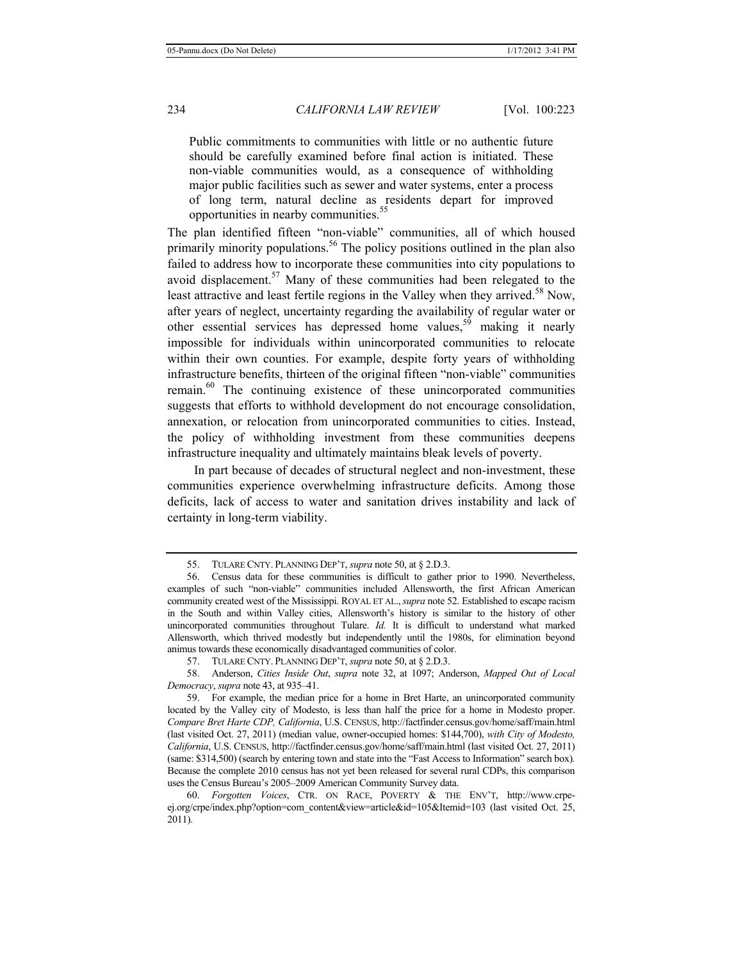Public commitments to communities with little or no authentic future should be carefully examined before final action is initiated. These non-viable communities would, as a consequence of withholding major public facilities such as sewer and water systems, enter a process of long term, natural decline as residents depart for improved opportunities in nearby communities.55

The plan identified fifteen "non-viable" communities, all of which housed primarily minority populations.<sup>56</sup> The policy positions outlined in the plan also failed to address how to incorporate these communities into city populations to avoid displacement.57 Many of these communities had been relegated to the least attractive and least fertile regions in the Valley when they arrived.<sup>58</sup> Now, after years of neglect, uncertainty regarding the availability of regular water or other essential services has depressed home values,  $59$  making it nearly impossible for individuals within unincorporated communities to relocate within their own counties. For example, despite forty years of withholding infrastructure benefits, thirteen of the original fifteen "non-viable" communities remain. $60$  The continuing existence of these unincorporated communities suggests that efforts to withhold development do not encourage consolidation, annexation, or relocation from unincorporated communities to cities. Instead, the policy of withholding investment from these communities deepens infrastructure inequality and ultimately maintains bleak levels of poverty.

In part because of decades of structural neglect and non-investment, these communities experience overwhelming infrastructure deficits. Among those deficits, lack of access to water and sanitation drives instability and lack of certainty in long-term viability.

<sup>55.</sup> TULARE CNTY. PLANNING DEP'T, *supra* note 50, at § 2.D.3.

<sup>56.</sup> Census data for these communities is difficult to gather prior to 1990. Nevertheless, examples of such "non-viable" communities included Allensworth, the first African American community created west of the Mississippi. ROYAL ET AL.,*supra* note 52. Established to escape racism in the South and within Valley cities, Allensworth's history is similar to the history of other unincorporated communities throughout Tulare. *Id.* It is difficult to understand what marked Allensworth, which thrived modestly but independently until the 1980s, for elimination beyond animus towards these economically disadvantaged communities of color.

<sup>57.</sup> TULARE CNTY. PLANNING DEP'T, *supra* note 50, at § 2.D.3.

<sup>58.</sup> Anderson, *Cities Inside Out*, *supra* note 32, at 1097; Anderson, *Mapped Out of Local Democracy*, *supra* note 43, at 935–41.

<sup>59.</sup> For example, the median price for a home in Bret Harte, an unincorporated community located by the Valley city of Modesto, is less than half the price for a home in Modesto proper. *Compare Bret Harte CDP, California*, U.S. CENSUS, http://factfinder.census.gov/home/saff/main.html (last visited Oct. 27, 2011) (median value, owner-occupied homes: \$144,700), *with City of Modesto, California*, U.S. CENSUS, http://factfinder.census.gov/home/saff/main.html (last visited Oct. 27, 2011) (same: \$314,500) (search by entering town and state into the "Fast Access to Information" search box)*.* Because the complete 2010 census has not yet been released for several rural CDPs, this comparison uses the Census Bureau's 2005–2009 American Community Survey data.

<sup>60.</sup> *Forgotten Voices*, CTR. ON RACE, POVERTY & THE ENV'T, http://www.crpeej.org/crpe/index.php?option=com\_content&view=article&id=105&Itemid=103 (last visited Oct. 25, 2011).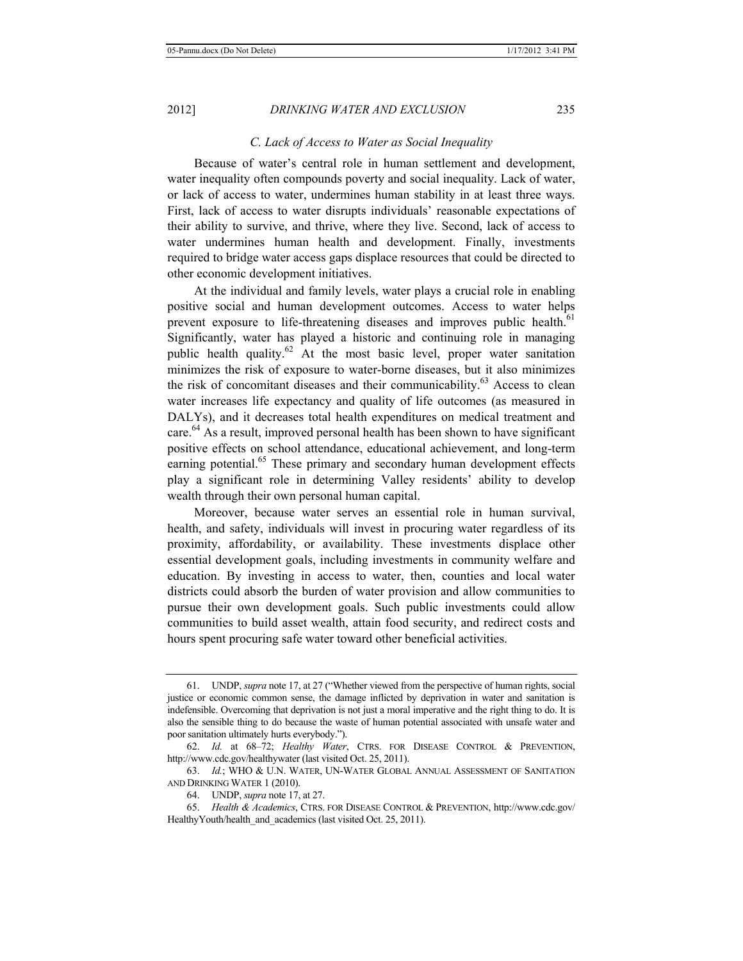#### *C. Lack of Access to Water as Social Inequality*

Because of water's central role in human settlement and development, water inequality often compounds poverty and social inequality. Lack of water, or lack of access to water, undermines human stability in at least three ways. First, lack of access to water disrupts individuals' reasonable expectations of their ability to survive, and thrive, where they live. Second, lack of access to water undermines human health and development. Finally, investments required to bridge water access gaps displace resources that could be directed to other economic development initiatives.

At the individual and family levels, water plays a crucial role in enabling positive social and human development outcomes. Access to water helps prevent exposure to life-threatening diseases and improves public health.<sup>61</sup> Significantly, water has played a historic and continuing role in managing public health quality. $62$  At the most basic level, proper water sanitation minimizes the risk of exposure to water-borne diseases, but it also minimizes the risk of concomitant diseases and their communicability. $^{63}$  Access to clean water increases life expectancy and quality of life outcomes (as measured in DALYs), and it decreases total health expenditures on medical treatment and care.<sup>64</sup> As a result, improved personal health has been shown to have significant positive effects on school attendance, educational achievement, and long-term earning potential.<sup>65</sup> These primary and secondary human development effects play a significant role in determining Valley residents' ability to develop wealth through their own personal human capital.

Moreover, because water serves an essential role in human survival, health, and safety, individuals will invest in procuring water regardless of its proximity, affordability, or availability. These investments displace other essential development goals, including investments in community welfare and education. By investing in access to water, then, counties and local water districts could absorb the burden of water provision and allow communities to pursue their own development goals. Such public investments could allow communities to build asset wealth, attain food security, and redirect costs and hours spent procuring safe water toward other beneficial activities.

<sup>61.</sup> UNDP, *supra* note 17, at 27 ("Whether viewed from the perspective of human rights, social justice or economic common sense, the damage inflicted by deprivation in water and sanitation is indefensible. Overcoming that deprivation is not just a moral imperative and the right thing to do. It is also the sensible thing to do because the waste of human potential associated with unsafe water and poor sanitation ultimately hurts everybody.").

<sup>62.</sup> *Id.* at 68–72; *Healthy Water*, CTRS. FOR DISEASE CONTROL & PREVENTION, http://www.cdc.gov/healthywater (last visited Oct. 25, 2011).

<sup>63.</sup> *Id.*; WHO & U.N. WATER, UN-WATER GLOBAL ANNUAL ASSESSMENT OF SANITATION AND DRINKING WATER 1 (2010).

<sup>64.</sup> UNDP, *supra* note 17, at 27.

<sup>65.</sup> *Health & Academics*, CTRS. FOR DISEASE CONTROL & PREVENTION, http://www.cdc.gov/ HealthyYouth/health\_and\_academics (last visited Oct. 25, 2011).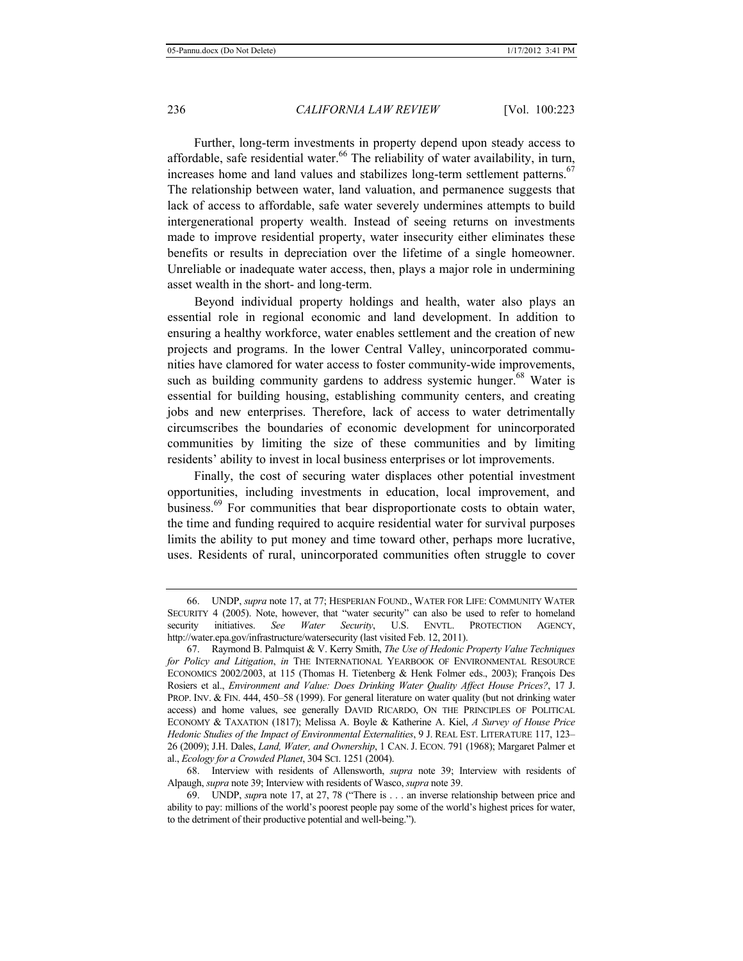Further, long-term investments in property depend upon steady access to affordable, safe residential water.<sup>66</sup> The reliability of water availability, in turn, increases home and land values and stabilizes long-term settlement patterns.<sup>67</sup> The relationship between water, land valuation, and permanence suggests that lack of access to affordable, safe water severely undermines attempts to build intergenerational property wealth. Instead of seeing returns on investments made to improve residential property, water insecurity either eliminates these benefits or results in depreciation over the lifetime of a single homeowner. Unreliable or inadequate water access, then, plays a major role in undermining asset wealth in the short- and long-term.

Beyond individual property holdings and health, water also plays an essential role in regional economic and land development. In addition to ensuring a healthy workforce, water enables settlement and the creation of new projects and programs. In the lower Central Valley, unincorporated communities have clamored for water access to foster community-wide improvements, such as building community gardens to address systemic hunger.<sup>68</sup> Water is essential for building housing, establishing community centers, and creating jobs and new enterprises. Therefore, lack of access to water detrimentally circumscribes the boundaries of economic development for unincorporated communities by limiting the size of these communities and by limiting residents' ability to invest in local business enterprises or lot improvements.

Finally, the cost of securing water displaces other potential investment opportunities, including investments in education, local improvement, and business.<sup>69</sup> For communities that bear disproportionate costs to obtain water, the time and funding required to acquire residential water for survival purposes limits the ability to put money and time toward other, perhaps more lucrative, uses. Residents of rural, unincorporated communities often struggle to cover

<sup>66.</sup> UNDP, *supra* note 17, at 77; HESPERIAN FOUND., WATER FOR LIFE: COMMUNITY WATER SECURITY 4 (2005). Note, however, that "water security" can also be used to refer to homeland security initiatives. *See Water Security*, U.S. ENVTL. PROTECTION AGENCY, http://water.epa.gov/infrastructure/watersecurity (last visited Feb. 12, 2011).

<sup>67.</sup> Raymond B. Palmquist & V. Kerry Smith, *The Use of Hedonic Property Value Techniques for Policy and Litigation*, *in* THE INTERNATIONAL YEARBOOK OF ENVIRONMENTAL RESOURCE ECONOMICS 2002/2003, at 115 (Thomas H. Tietenberg & Henk Folmer eds., 2003); François Des Rosiers et al., *Environment and Value: Does Drinking Water Quality Affect House Prices?*, 17 J. PROP. INV. & FIN. 444, 450–58 (1999). For general literature on water quality (but not drinking water access) and home values, see generally DAVID RICARDO, ON THE PRINCIPLES OF POLITICAL ECONOMY & TAXATION (1817); Melissa A. Boyle & Katherine A. Kiel, *A Survey of House Price Hedonic Studies of the Impact of Environmental Externalities*, 9 J. REAL EST. LITERATURE 117, 123– 26 (2009); J.H. Dales, *Land, Water, and Ownership*, 1 CAN. J. ECON. 791 (1968); Margaret Palmer et al., *Ecology for a Crowded Planet*, 304 SCI. 1251 (2004).

<sup>68.</sup> Interview with residents of Allensworth, *supra* note 39; Interview with residents of Alpaugh, *supra* note 39; Interview with residents of Wasco, *supra* note 39.

<sup>69.</sup> UNDP, *supr*a note 17, at 27, 78 ("There is . . . an inverse relationship between price and ability to pay: millions of the world's poorest people pay some of the world's highest prices for water, to the detriment of their productive potential and well-being.").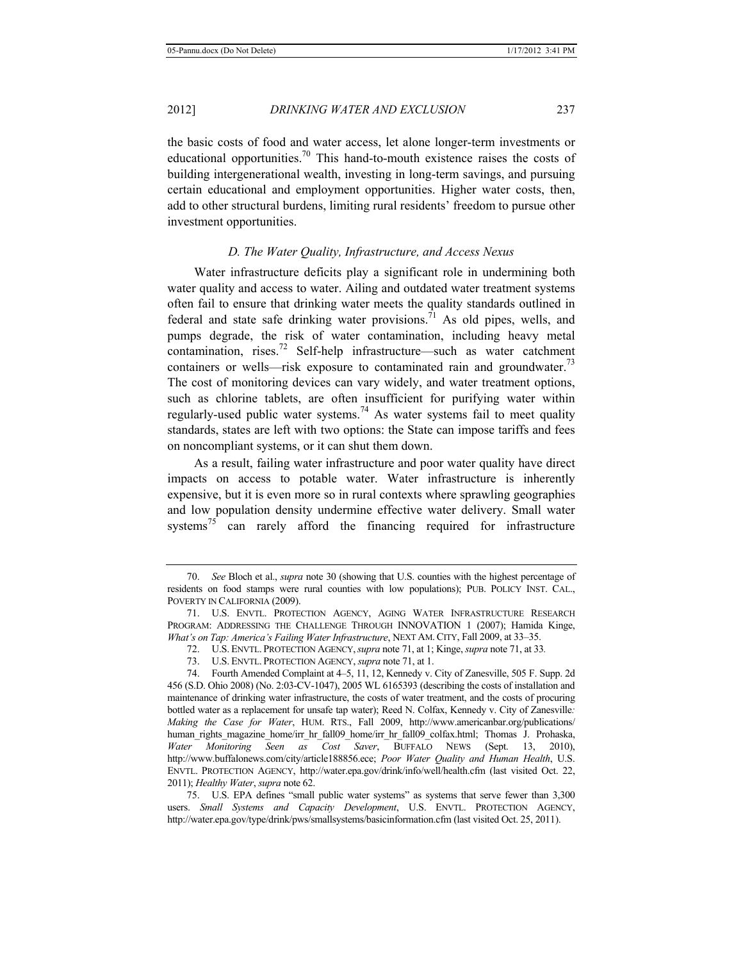the basic costs of food and water access, let alone longer-term investments or educational opportunities.<sup>70</sup> This hand-to-mouth existence raises the costs of building intergenerational wealth, investing in long-term savings, and pursuing certain educational and employment opportunities. Higher water costs, then, add to other structural burdens, limiting rural residents' freedom to pursue other investment opportunities.

## *D. The Water Quality, Infrastructure, and Access Nexus*

Water infrastructure deficits play a significant role in undermining both water quality and access to water. Ailing and outdated water treatment systems often fail to ensure that drinking water meets the quality standards outlined in federal and state safe drinking water provisions.<sup>71</sup> As old pipes, wells, and pumps degrade, the risk of water contamination, including heavy metal contamination, rises.<sup>72</sup> Self-help infrastructure—such as water catchment containers or wells—risk exposure to contaminated rain and groundwater.<sup>73</sup> The cost of monitoring devices can vary widely, and water treatment options, such as chlorine tablets, are often insufficient for purifying water within regularly-used public water systems.<sup>74</sup> As water systems fail to meet quality standards, states are left with two options: the State can impose tariffs and fees on noncompliant systems, or it can shut them down.

As a result, failing water infrastructure and poor water quality have direct impacts on access to potable water. Water infrastructure is inherently expensive, but it is even more so in rural contexts where sprawling geographies and low population density undermine effective water delivery. Small water systems<sup>75</sup> can rarely afford the financing required for infrastructure

<sup>70.</sup> *See* Bloch et al., *supra* note 30 (showing that U.S. counties with the highest percentage of residents on food stamps were rural counties with low populations); PUB. POLICY INST. CAL., POVERTY IN CALIFORNIA (2009).

<sup>71.</sup> U.S. ENVTL. PROTECTION AGENCY, AGING WATER INFRASTRUCTURE RESEARCH PROGRAM: ADDRESSING THE CHALLENGE THROUGH INNOVATION 1 (2007); Hamida Kinge, *What's on Tap: America's Failing Water Infrastructure*, NEXT AM.CITY, Fall 2009, at 33–35.

<sup>72.</sup> U.S. ENVTL. PROTECTION AGENCY,*supra* note 71, at 1; Kinge, *supra* note 71, at 33*.*

<sup>73.</sup> U.S. ENVTL. PROTECTION AGENCY, *supra* note 71, at 1.

<sup>74.</sup> Fourth Amended Complaint at 4–5, 11, 12, Kennedy v. City of Zanesville, 505 F. Supp. 2d 456 (S.D. Ohio 2008) (No. 2:03-CV-1047), 2005 WL 6165393 (describing the costs of installation and maintenance of drinking water infrastructure, the costs of water treatment, and the costs of procuring bottled water as a replacement for unsafe tap water); Reed N. Colfax, Kennedy v. City of Zanesville*: Making the Case for Water*, HUM. RTS., Fall 2009, http://www.americanbar.org/publications/ human\_rights\_magazine\_home/irr\_hr\_fall09\_home/irr\_hr\_fall09\_colfax.html; Thomas J. Prohaska, *Water Monitoring Seen as Cost Saver*, BUFFALO NEWS (Sept. 13, 2010), http://www.buffalonews.com/city/article188856.ece; *Poor Water Quality and Human Health*, U.S. ENVTL. PROTECTION AGENCY, http://water.epa.gov/drink/info/well/health.cfm (last visited Oct. 22, 2011); *Healthy Water*, *supra* note 62.

<sup>75.</sup> U.S. EPA defines "small public water systems" as systems that serve fewer than 3,300 users. *Small Systems and Capacity Development*, U.S. ENVTL. PROTECTION AGENCY, http://water.epa.gov/type/drink/pws/smallsystems/basicinformation.cfm (last visited Oct. 25, 2011).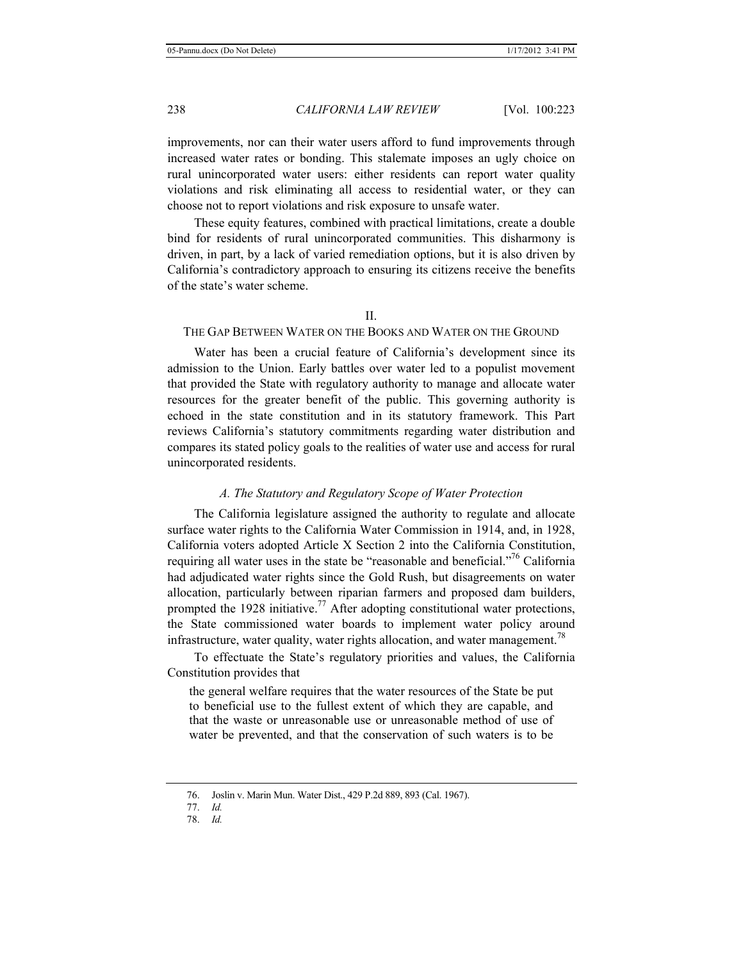improvements, nor can their water users afford to fund improvements through increased water rates or bonding. This stalemate imposes an ugly choice on rural unincorporated water users: either residents can report water quality violations and risk eliminating all access to residential water, or they can choose not to report violations and risk exposure to unsafe water.

These equity features, combined with practical limitations, create a double bind for residents of rural unincorporated communities. This disharmony is driven, in part, by a lack of varied remediation options, but it is also driven by California's contradictory approach to ensuring its citizens receive the benefits of the state's water scheme.

## II.

## THE GAP BETWEEN WATER ON THE BOOKS AND WATER ON THE GROUND

Water has been a crucial feature of California's development since its admission to the Union. Early battles over water led to a populist movement that provided the State with regulatory authority to manage and allocate water resources for the greater benefit of the public. This governing authority is echoed in the state constitution and in its statutory framework. This Part reviews California's statutory commitments regarding water distribution and compares its stated policy goals to the realities of water use and access for rural unincorporated residents.

#### *A. The Statutory and Regulatory Scope of Water Protection*

The California legislature assigned the authority to regulate and allocate surface water rights to the California Water Commission in 1914, and, in 1928, California voters adopted Article X Section 2 into the California Constitution, requiring all water uses in the state be "reasonable and beneficial."76 California had adjudicated water rights since the Gold Rush, but disagreements on water allocation, particularly between riparian farmers and proposed dam builders, prompted the 1928 initiative.<sup>77</sup> After adopting constitutional water protections, the State commissioned water boards to implement water policy around infrastructure, water quality, water rights allocation, and water management.<sup>78</sup>

To effectuate the State's regulatory priorities and values, the California Constitution provides that

the general welfare requires that the water resources of the State be put to beneficial use to the fullest extent of which they are capable, and that the waste or unreasonable use or unreasonable method of use of water be prevented, and that the conservation of such waters is to be

78. *Id.*

<sup>76.</sup> Joslin v. Marin Mun. Water Dist., 429 P.2d 889, 893 (Cal. 1967).

<sup>77.</sup> *Id.*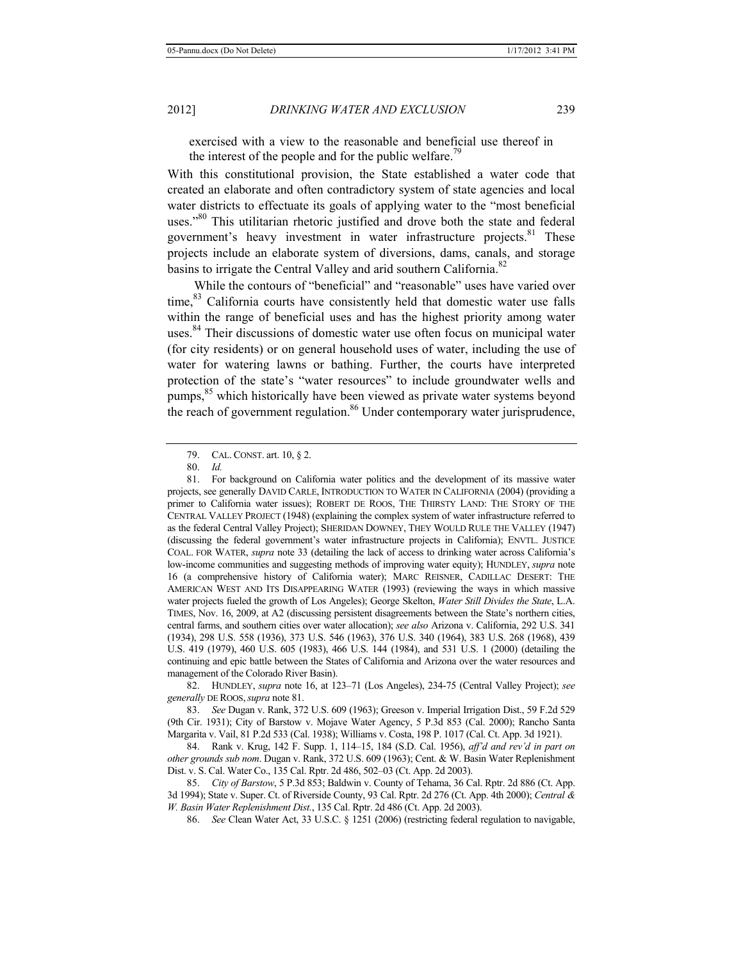exercised with a view to the reasonable and beneficial use thereof in the interest of the people and for the public welfare.<sup>79</sup>

With this constitutional provision, the State established a water code that created an elaborate and often contradictory system of state agencies and local water districts to effectuate its goals of applying water to the "most beneficial uses."<sup>80</sup> This utilitarian rhetoric justified and drove both the state and federal government's heavy investment in water infrastructure projects. $81$  These projects include an elaborate system of diversions, dams, canals, and storage basins to irrigate the Central Valley and arid southern California.<sup>82</sup>

While the contours of "beneficial" and "reasonable" uses have varied over time,<sup>83</sup> California courts have consistently held that domestic water use falls within the range of beneficial uses and has the highest priority among water uses.<sup>84</sup> Their discussions of domestic water use often focus on municipal water (for city residents) or on general household uses of water, including the use of water for watering lawns or bathing. Further, the courts have interpreted protection of the state's "water resources" to include groundwater wells and pumps,<sup>85</sup> which historically have been viewed as private water systems beyond the reach of government regulation.<sup>86</sup> Under contemporary water jurisprudence,

82. HUNDLEY, *supra* note 16, at 123–71 (Los Angeles), 234-75 (Central Valley Project); *see generally* DE ROOS,*supra* note 81.

83. *See* Dugan v. Rank, 372 U.S. 609 (1963); Greeson v. Imperial Irrigation Dist., 59 F.2d 529 (9th Cir. 1931); City of Barstow v. Mojave Water Agency, 5 P.3d 853 (Cal. 2000); Rancho Santa Margarita v. Vail, 81 P.2d 533 (Cal. 1938); Williams v. Costa, 198 P. 1017 (Cal. Ct. App. 3d 1921).

84. Rank v. Krug, 142 F. Supp. 1, 114–15, 184 (S.D. Cal. 1956), *aff'd and rev'd in part on other grounds sub nom*. Dugan v. Rank, 372 U.S. 609 (1963); Cent. & W. Basin Water Replenishment Dist. v. S. Cal. Water Co., 135 Cal. Rptr. 2d 486, 502–03 (Ct. App. 2d 2003).

85. *City of Barstow*, 5 P.3d 853; Baldwin v. County of Tehama, 36 Cal. Rptr. 2d 886 (Ct. App. 3d 1994); State v. Super. Ct. of Riverside County, 93 Cal. Rptr. 2d 276 (Ct. App. 4th 2000); *Central & W. Basin Water Replenishment Dist.*, 135 Cal. Rptr. 2d 486 (Ct. App. 2d 2003).

86. *See* Clean Water Act, 33 U.S.C. § 1251 (2006) (restricting federal regulation to navigable,

<sup>79.</sup> CAL. CONST. art. 10, § 2.

<sup>80.</sup> *Id.*

<sup>81.</sup> For background on California water politics and the development of its massive water projects, see generally DAVID CARLE, INTRODUCTION TO WATER IN CALIFORNIA (2004) (providing a primer to California water issues); ROBERT DE ROOS, THE THIRSTY LAND: THE STORY OF THE CENTRAL VALLEY PROJECT (1948) (explaining the complex system of water infrastructure referred to as the federal Central Valley Project); SHERIDAN DOWNEY, THEY WOULD RULE THE VALLEY (1947) (discussing the federal government's water infrastructure projects in California); ENVTL. JUSTICE COAL. FOR WATER, *supra* note 33 (detailing the lack of access to drinking water across California's low-income communities and suggesting methods of improving water equity); HUNDLEY, *supra* note 16 (a comprehensive history of California water); MARC REISNER, CADILLAC DESERT: THE AMERICAN WEST AND ITS DISAPPEARING WATER (1993) (reviewing the ways in which massive water projects fueled the growth of Los Angeles); George Skelton, *Water Still Divides the State*, L.A. TIMES, Nov. 16, 2009, at A2 (discussing persistent disagreements between the State's northern cities, central farms, and southern cities over water allocation); *see also* Arizona v. California, 292 U.S. 341 (1934), 298 U.S. 558 (1936), 373 U.S. 546 (1963), 376 U.S. 340 (1964), 383 U.S. 268 (1968), 439 U.S. 419 (1979), 460 U.S. 605 (1983), 466 U.S. 144 (1984), and 531 U.S. 1 (2000) (detailing the continuing and epic battle between the States of California and Arizona over the water resources and management of the Colorado River Basin).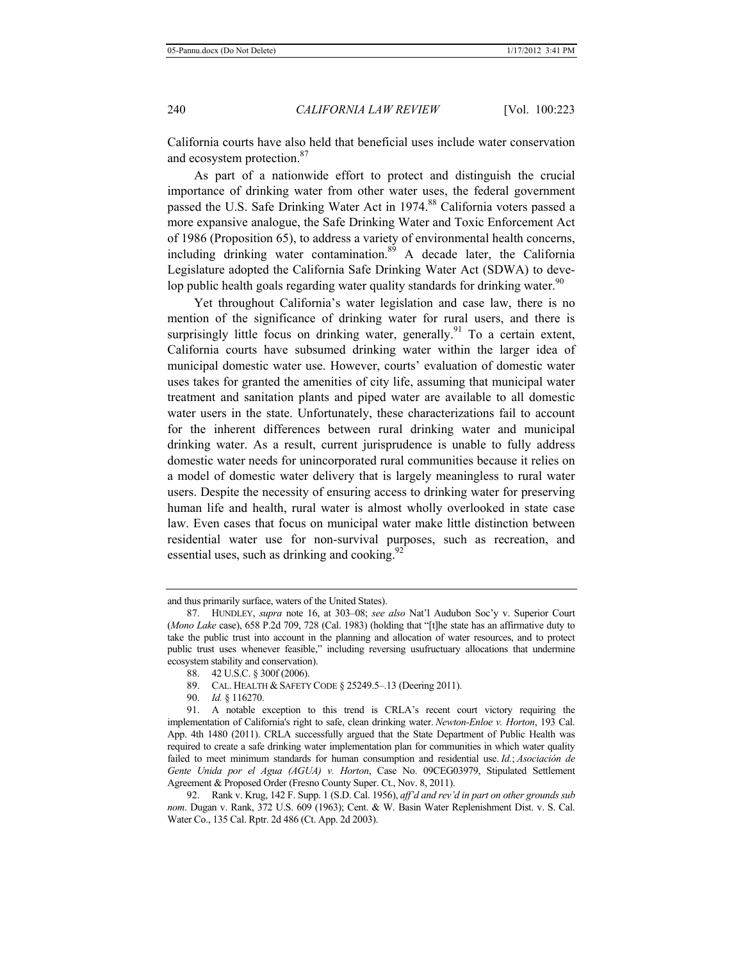California courts have also held that beneficial uses include water conservation and ecosystem protection.<sup>87</sup>

As part of a nationwide effort to protect and distinguish the crucial importance of drinking water from other water uses, the federal government passed the U.S. Safe Drinking Water Act in 1974.<sup>88</sup> California voters passed a more expansive analogue, the Safe Drinking Water and Toxic Enforcement Act of 1986 (Proposition 65), to address a variety of environmental health concerns, including drinking water contamination. $89$  A decade later, the California Legislature adopted the California Safe Drinking Water Act (SDWA) to develop public health goals regarding water quality standards for drinking water.<sup>90</sup>

Yet throughout California's water legislation and case law, there is no mention of the significance of drinking water for rural users, and there is surprisingly little focus on drinking water, generally.<sup>91</sup> To a certain extent, California courts have subsumed drinking water within the larger idea of municipal domestic water use. However, courts' evaluation of domestic water uses takes for granted the amenities of city life, assuming that municipal water treatment and sanitation plants and piped water are available to all domestic water users in the state. Unfortunately, these characterizations fail to account for the inherent differences between rural drinking water and municipal drinking water. As a result, current jurisprudence is unable to fully address domestic water needs for unincorporated rural communities because it relies on a model of domestic water delivery that is largely meaningless to rural water users. Despite the necessity of ensuring access to drinking water for preserving human life and health, rural water is almost wholly overlooked in state case law. Even cases that focus on municipal water make little distinction between residential water use for non-survival purposes, such as recreation, and essential uses, such as drinking and cooking.  $92$ 

88. 42 U.S.C. § 300f (2006).

90. *Id.* § 116270.

and thus primarily surface, waters of the United States).

<sup>87.</sup> HUNDLEY, *supra* note 16, at 303–08; *see also* Nat'l Audubon Soc'y v. Superior Court (*Mono Lake* case), 658 P.2d 709, 728 (Cal. 1983) (holding that "[t]he state has an affirmative duty to take the public trust into account in the planning and allocation of water resources, and to protect public trust uses whenever feasible," including reversing usufructuary allocations that undermine ecosystem stability and conservation).

<sup>89.</sup> CAL. HEALTH & SAFETY CODE § 25249.5–.13 (Deering 2011).

<sup>91.</sup> A notable exception to this trend is CRLA's recent court victory requiring the implementation of California's right to safe, clean drinking water. *Newton-Enloe v. Horton*, 193 Cal. App. 4th 1480 (2011). CRLA successfully argued that the State Department of Public Health was required to create a safe drinking water implementation plan for communities in which water quality failed to meet minimum standards for human consumption and residential use. *Id.*; *Asociación de Gente Unida por el Agua (AGUA) v. Horton*, Case No. 09CEG03979, Stipulated Settlement Agreement & Proposed Order (Fresno County Super. Ct., Nov. 8, 2011).

<sup>92.</sup> Rank v. Krug, 142 F. Supp. 1 (S.D. Cal. 1956), *aff'd and rev'd in part on other grounds sub nom*. Dugan v. Rank, 372 U.S. 609 (1963); Cent. & W. Basin Water Replenishment Dist. v. S. Cal. Water Co., 135 Cal. Rptr. 2d 486 (Ct. App. 2d 2003).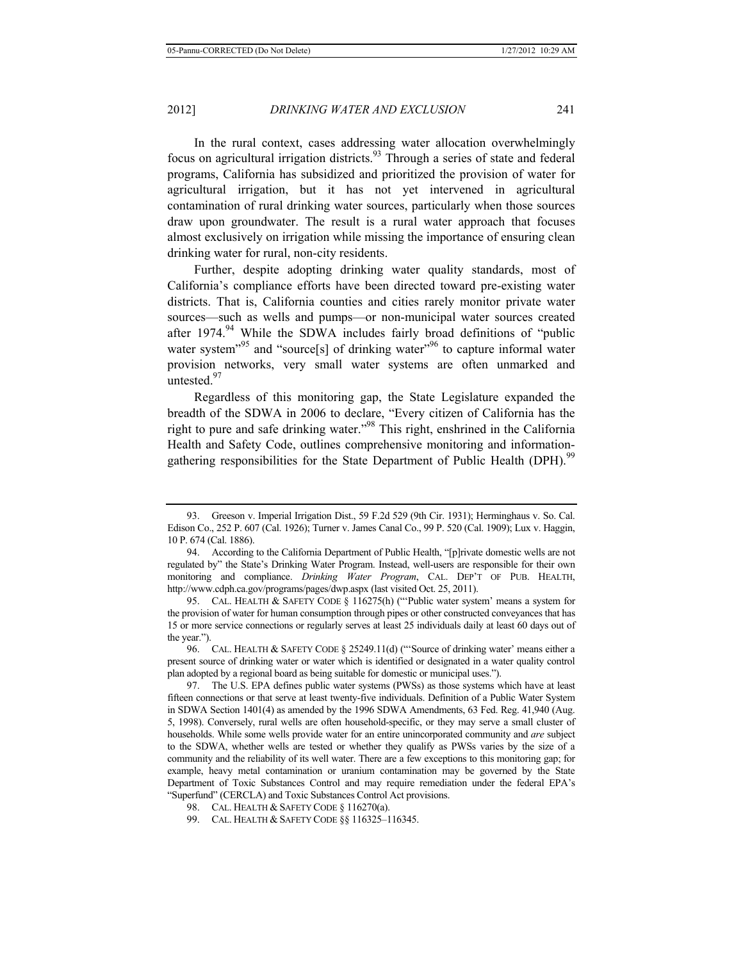In the rural context, cases addressing water allocation overwhelmingly focus on agricultural irrigation districts.<sup>93</sup> Through a series of state and federal programs, California has subsidized and prioritized the provision of water for agricultural irrigation, but it has not yet intervened in agricultural contamination of rural drinking water sources, particularly when those sources draw upon groundwater. The result is a rural water approach that focuses almost exclusively on irrigation while missing the importance of ensuring clean drinking water for rural, non-city residents.

Further, despite adopting drinking water quality standards, most of California's compliance efforts have been directed toward pre-existing water districts. That is, California counties and cities rarely monitor private water sources—such as wells and pumps—or non-municipal water sources created after 1974.<sup>94</sup> While the SDWA includes fairly broad definitions of "public water system<sup>"95</sup> and "source<sup>[s]</sup> of drinking water<sup>"96</sup> to capture informal water provision networks, very small water systems are often unmarked and untested.<sup>97</sup>

Regardless of this monitoring gap, the State Legislature expanded the breadth of the SDWA in 2006 to declare, "Every citizen of California has the right to pure and safe drinking water."98 This right, enshrined in the California Health and Safety Code, outlines comprehensive monitoring and informationgathering responsibilities for the State Department of Public Health (DPH).<sup>99</sup>

99. CAL. HEALTH & SAFETY CODE §§ 116325–116345.

<sup>93.</sup> Greeson v. Imperial Irrigation Dist., 59 F.2d 529 (9th Cir. 1931); Herminghaus v. So. Cal. Edison Co., 252 P. 607 (Cal. 1926); Turner v. James Canal Co., 99 P. 520 (Cal. 1909); Lux v. Haggin, 10 P. 674 (Cal. 1886).

<sup>94.</sup> According to the California Department of Public Health, "[p]rivate domestic wells are not regulated by" the State's Drinking Water Program. Instead, well-users are responsible for their own monitoring and compliance. *Drinking Water Program*, CAL. DEP'T OF PUB. HEALTH, http://www.cdph.ca.gov/programs/pages/dwp.aspx (last visited Oct. 25, 2011).

<sup>95.</sup> CAL. HEALTH & SAFETY CODE § 116275(h) ("'Public water system' means a system for the provision of water for human consumption through pipes or other constructed conveyances that has 15 or more service connections or regularly serves at least 25 individuals daily at least 60 days out of the year.").

<sup>96.</sup> CAL. HEALTH & SAFETY CODE § 25249.11(d) ("'Source of drinking water' means either a present source of drinking water or water which is identified or designated in a water quality control plan adopted by a regional board as being suitable for domestic or municipal uses.").

<sup>97.</sup> The U.S. EPA defines public water systems (PWSs) as those systems which have at least fifteen connections or that serve at least twenty-five individuals. Definition of a Public Water System in SDWA Section 1401(4) as amended by the 1996 SDWA Amendments, 63 Fed. Reg. 41,940 (Aug. 5, 1998). Conversely, rural wells are often household-specific, or they may serve a small cluster of households. While some wells provide water for an entire unincorporated community and *are* subject to the SDWA, whether wells are tested or whether they qualify as PWSs varies by the size of a community and the reliability of its well water. There are a few exceptions to this monitoring gap; for example, heavy metal contamination or uranium contamination may be governed by the State Department of Toxic Substances Control and may require remediation under the federal EPA's "Superfund" (CERCLA) and Toxic Substances Control Act provisions.

<sup>98.</sup> CAL. HEALTH & SAFETY CODE § 116270(a).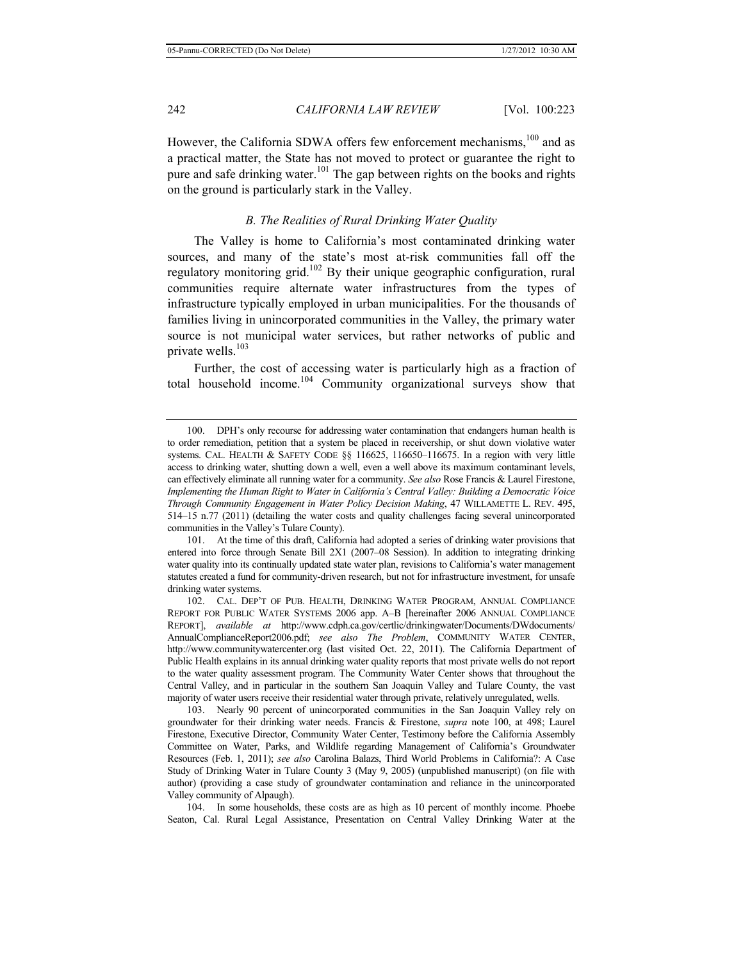However, the California SDWA offers few enforcement mechanisms,<sup>100</sup> and as a practical matter, the State has not moved to protect or guarantee the right to pure and safe drinking water.<sup>101</sup> The gap between rights on the books and rights on the ground is particularly stark in the Valley.

## *B. The Realities of Rural Drinking Water Quality*

The Valley is home to California's most contaminated drinking water sources, and many of the state's most at-risk communities fall off the regulatory monitoring grid.102 By their unique geographic configuration, rural communities require alternate water infrastructures from the types of infrastructure typically employed in urban municipalities. For the thousands of families living in unincorporated communities in the Valley, the primary water source is not municipal water services, but rather networks of public and private wells.<sup>103</sup>

Further, the cost of accessing water is particularly high as a fraction of total household income.104 Community organizational surveys show that

104. In some households, these costs are as high as 10 percent of monthly income. Phoebe Seaton, Cal. Rural Legal Assistance, Presentation on Central Valley Drinking Water at the

<sup>100.</sup> DPH's only recourse for addressing water contamination that endangers human health is to order remediation, petition that a system be placed in receivership, or shut down violative water systems. CAL. HEALTH & SAFETY CODE §§ 116625, 116650–116675. In a region with very little access to drinking water, shutting down a well, even a well above its maximum contaminant levels, can effectively eliminate all running water for a community. *See also* Rose Francis & Laurel Firestone, *Implementing the Human Right to Water in California's Central Valley: Building a Democratic Voice Through Community Engagement in Water Policy Decision Making*, 47 WILLAMETTE L. REV. 495, 514–15 n.77 (2011) (detailing the water costs and quality challenges facing several unincorporated communities in the Valley's Tulare County).

<sup>101.</sup> At the time of this draft, California had adopted a series of drinking water provisions that entered into force through Senate Bill 2X1 (2007–08 Session). In addition to integrating drinking water quality into its continually updated state water plan, revisions to California's water management statutes created a fund for community-driven research, but not for infrastructure investment, for unsafe drinking water systems.

<sup>102.</sup> CAL. DEP'T OF PUB. HEALTH, DRINKING WATER PROGRAM, ANNUAL COMPLIANCE REPORT FOR PUBLIC WATER SYSTEMS 2006 app. A–B [hereinafter 2006 ANNUAL COMPLIANCE REPORT], *available at* http://www.cdph.ca.gov/certlic/drinkingwater/Documents/DWdocuments/ AnnualComplianceReport2006.pdf; *see also The Problem*, COMMUNITY WATER CENTER, http://www.communitywatercenter.org (last visited Oct. 22, 2011). The California Department of Public Health explains in its annual drinking water quality reports that most private wells do not report to the water quality assessment program. The Community Water Center shows that throughout the Central Valley, and in particular in the southern San Joaquin Valley and Tulare County, the vast majority of water users receive their residential water through private, relatively unregulated, wells.

<sup>103.</sup> Nearly 90 percent of unincorporated communities in the San Joaquin Valley rely on groundwater for their drinking water needs. Francis & Firestone, *supra* note 100, at 498; Laurel Firestone, Executive Director, Community Water Center, Testimony before the California Assembly Committee on Water, Parks, and Wildlife regarding Management of California's Groundwater Resources (Feb. 1, 2011); *see also* Carolina Balazs, Third World Problems in California?: A Case Study of Drinking Water in Tulare County 3 (May 9, 2005) (unpublished manuscript) (on file with author) (providing a case study of groundwater contamination and reliance in the unincorporated Valley community of Alpaugh).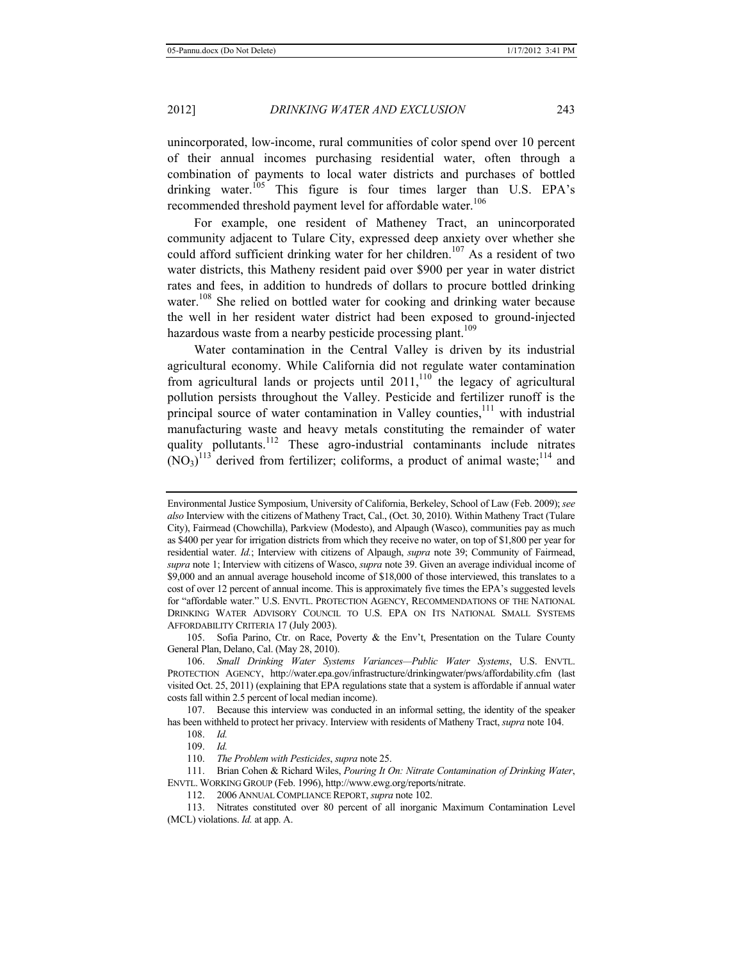unincorporated, low-income, rural communities of color spend over 10 percent of their annual incomes purchasing residential water, often through a combination of payments to local water districts and purchases of bottled drinking water.<sup>105</sup> This figure is four times larger than U.S. EPA's recommended threshold payment level for affordable water.<sup>106</sup>

For example, one resident of Matheney Tract, an unincorporated community adjacent to Tulare City, expressed deep anxiety over whether she could afford sufficient drinking water for her children.<sup>107</sup> As a resident of two water districts, this Matheny resident paid over \$900 per year in water district rates and fees, in addition to hundreds of dollars to procure bottled drinking water.<sup>108</sup> She relied on bottled water for cooking and drinking water because the well in her resident water district had been exposed to ground-injected hazardous waste from a nearby pesticide processing plant.<sup>109</sup>

Water contamination in the Central Valley is driven by its industrial agricultural economy. While California did not regulate water contamination from agricultural lands or projects until  $2011$ ,<sup>110</sup> the legacy of agricultural pollution persists throughout the Valley. Pesticide and fertilizer runoff is the principal source of water contamination in Valley counties, $111$  with industrial manufacturing waste and heavy metals constituting the remainder of water quality pollutants.<sup>112</sup> These agro-industrial contaminants include nitrates  $(NO<sub>3</sub>)<sup>113</sup>$  derived from fertilizer; coliforms, a product of animal waste;<sup>114</sup> and

Environmental Justice Symposium, University of California, Berkeley, School of Law (Feb. 2009); *see also* Interview with the citizens of Matheny Tract, Cal., (Oct. 30, 2010). Within Matheny Tract (Tulare City), Fairmead (Chowchilla), Parkview (Modesto), and Alpaugh (Wasco), communities pay as much as \$400 per year for irrigation districts from which they receive no water, on top of \$1,800 per year for residential water. *Id.*; Interview with citizens of Alpaugh, *supra* note 39; Community of Fairmead, *supra* note 1; Interview with citizens of Wasco, *supra* note 39. Given an average individual income of \$9,000 and an annual average household income of \$18,000 of those interviewed, this translates to a cost of over 12 percent of annual income. This is approximately five times the EPA's suggested levels for "affordable water." U.S. ENVTL. PROTECTION AGENCY, RECOMMENDATIONS OF THE NATIONAL DRINKING WATER ADVISORY COUNCIL TO U.S. EPA ON ITS NATIONAL SMALL SYSTEMS AFFORDABILITY CRITERIA 17 (July 2003).

<sup>105.</sup> Sofia Parino, Ctr. on Race, Poverty & the Env't, Presentation on the Tulare County General Plan, Delano, Cal. (May 28, 2010).

<sup>106.</sup> *Small Drinking Water Systems Variances—Public Water Systems*, U.S. ENVTL. PROTECTION AGENCY, http://water.epa.gov/infrastructure/drinkingwater/pws/affordability.cfm (last visited Oct. 25, 2011) (explaining that EPA regulations state that a system is affordable if annual water costs fall within 2.5 percent of local median income).

<sup>107.</sup> Because this interview was conducted in an informal setting, the identity of the speaker has been withheld to protect her privacy. Interview with residents of Matheny Tract, *supra* note 104.

<sup>108.</sup> *Id.*

<sup>109.</sup> *Id.* 

<sup>110.</sup> *The Problem with Pesticides*, *supra* note 25.

<sup>111.</sup> Brian Cohen & Richard Wiles, *Pouring It On: Nitrate Contamination of Drinking Water*, ENVTL. WORKING GROUP (Feb. 1996), http://www.ewg.org/reports/nitrate.

<sup>112.</sup> 2006 ANNUAL COMPLIANCE REPORT, *supra* note 102.

<sup>113.</sup> Nitrates constituted over 80 percent of all inorganic Maximum Contamination Level (MCL) violations. *Id.* at app. A.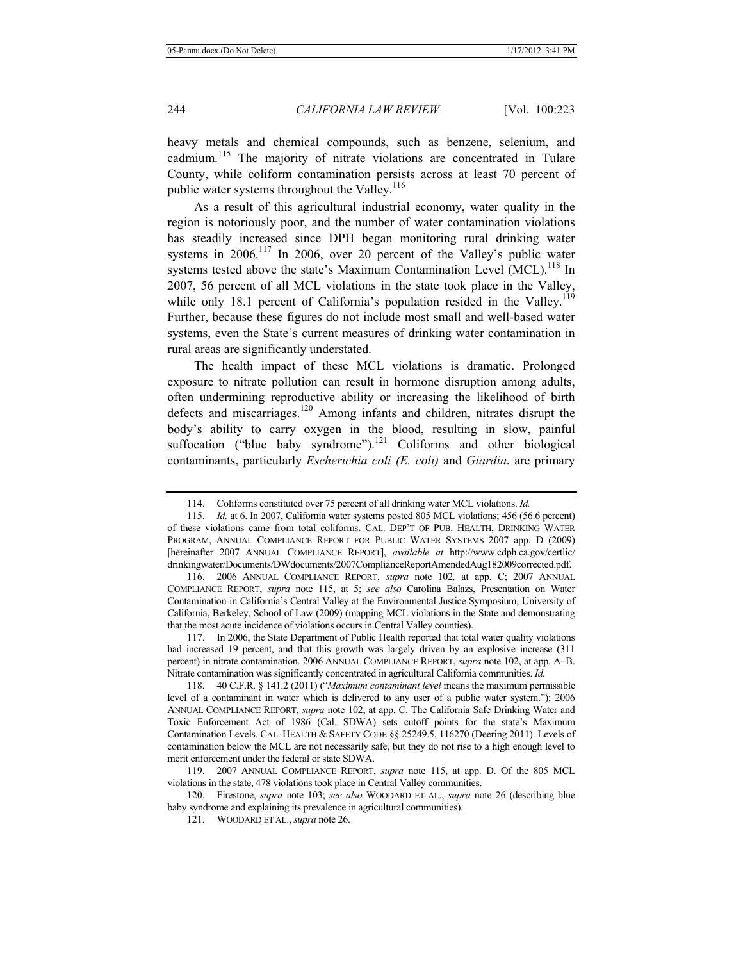heavy metals and chemical compounds, such as benzene, selenium, and cadmium.115 The majority of nitrate violations are concentrated in Tulare County, while coliform contamination persists across at least 70 percent of public water systems throughout the Valley.<sup>116</sup>

As a result of this agricultural industrial economy, water quality in the region is notoriously poor, and the number of water contamination violations has steadily increased since DPH began monitoring rural drinking water systems in  $2006$ .<sup>117</sup> In 2006, over 20 percent of the Valley's public water systems tested above the state's Maximum Contamination Level (MCL).<sup>118</sup> In 2007, 56 percent of all MCL violations in the state took place in the Valley, while only 18.1 percent of California's population resided in the Valley.<sup>119</sup> Further, because these figures do not include most small and well-based water systems, even the State's current measures of drinking water contamination in rural areas are significantly understated.

The health impact of these MCL violations is dramatic. Prolonged exposure to nitrate pollution can result in hormone disruption among adults, often undermining reproductive ability or increasing the likelihood of birth defects and miscarriages.<sup>120</sup> Among infants and children, nitrates disrupt the body's ability to carry oxygen in the blood, resulting in slow, painful suffocation ("blue baby syndrome").<sup>121</sup> Coliforms and other biological contaminants, particularly *Escherichia coli (E. coli)* and *Giardia*, are primary

<sup>114.</sup> Coliforms constituted over 75 percent of all drinking water MCL violations. *Id.*

<sup>115.</sup> *Id.* at 6. In 2007, California water systems posted 805 MCL violations; 456 (56.6 percent) of these violations came from total coliforms. CAL. DEP'T OF PUB. HEALTH, DRINKING WATER PROGRAM, ANNUAL COMPLIANCE REPORT FOR PUBLIC WATER SYSTEMS 2007 app. D (2009) [hereinafter 2007 ANNUAL COMPLIANCE REPORT], *available at* http://www.cdph.ca.gov/certlic/ drinkingwater/Documents/DWdocuments/2007ComplianceReportAmendedAug182009corrected.pdf.

<sup>116.</sup> 2006 ANNUAL COMPLIANCE REPORT, *supra* note 102*,* at app. C; 2007 ANNUAL COMPLIANCE REPORT, *supra* note 115, at 5; *see also* Carolina Balazs, Presentation on Water Contamination in California's Central Valley at the Environmental Justice Symposium, University of California, Berkeley, School of Law (2009) (mapping MCL violations in the State and demonstrating that the most acute incidence of violations occurs in Central Valley counties).

<sup>117.</sup> In 2006, the State Department of Public Health reported that total water quality violations had increased 19 percent, and that this growth was largely driven by an explosive increase (311 percent) in nitrate contamination. 2006 ANNUAL COMPLIANCE REPORT, *supra* note 102, at app. A–B. Nitrate contamination was significantly concentrated in agricultural California communities. *Id.*

<sup>118. 40</sup> C.F.R. § 141.2 (2011) ("*Maximum contaminant level* means the maximum permissible level of a contaminant in water which is delivered to any user of a public water system."); 2006 ANNUAL COMPLIANCE REPORT, *supra* note 102, at app. C. The California Safe Drinking Water and Toxic Enforcement Act of 1986 (Cal. SDWA) sets cutoff points for the state's Maximum Contamination Levels. CAL. HEALTH & SAFETY CODE §§ 25249.5, 116270 (Deering 2011). Levels of contamination below the MCL are not necessarily safe, but they do not rise to a high enough level to merit enforcement under the federal or state SDWA.

<sup>119.</sup> 2007 ANNUAL COMPLIANCE REPORT, *supra* note 115, at app. D. Of the 805 MCL violations in the state, 478 violations took place in Central Valley communities.

<sup>120.</sup> Firestone, *supra* note 103; *see also* WOODARD ET AL., *supra* note 26 (describing blue baby syndrome and explaining its prevalence in agricultural communities).

<sup>121.</sup> WOODARD ET AL., *supra* note 26.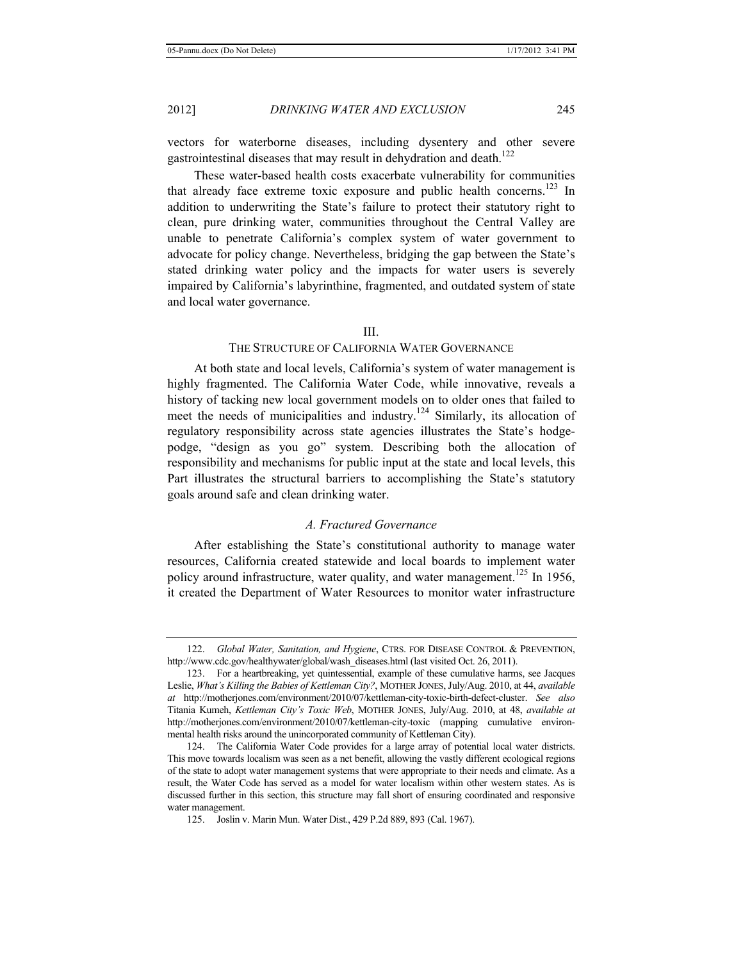vectors for waterborne diseases, including dysentery and other severe gastrointestinal diseases that may result in dehydration and death.<sup>122</sup>

These water-based health costs exacerbate vulnerability for communities that already face extreme toxic exposure and public health concerns.<sup>123</sup> In addition to underwriting the State's failure to protect their statutory right to clean, pure drinking water, communities throughout the Central Valley are unable to penetrate California's complex system of water government to advocate for policy change. Nevertheless, bridging the gap between the State's stated drinking water policy and the impacts for water users is severely impaired by California's labyrinthine, fragmented, and outdated system of state and local water governance.

#### III.

#### THE STRUCTURE OF CALIFORNIA WATER GOVERNANCE

At both state and local levels, California's system of water management is highly fragmented. The California Water Code, while innovative, reveals a history of tacking new local government models on to older ones that failed to meet the needs of municipalities and industry.<sup>124</sup> Similarly, its allocation of regulatory responsibility across state agencies illustrates the State's hodgepodge, "design as you go" system. Describing both the allocation of responsibility and mechanisms for public input at the state and local levels, this Part illustrates the structural barriers to accomplishing the State's statutory goals around safe and clean drinking water.

## *A. Fractured Governance*

After establishing the State's constitutional authority to manage water resources, California created statewide and local boards to implement water policy around infrastructure, water quality, and water management.<sup>125</sup> In 1956, it created the Department of Water Resources to monitor water infrastructure

<sup>122.</sup> *Global Water, Sanitation, and Hygiene*, CTRS. FOR DISEASE CONTROL & PREVENTION, http://www.cdc.gov/healthywater/global/wash\_diseases.html (last visited Oct. 26, 2011).

<sup>123.</sup> For a heartbreaking, yet quintessential, example of these cumulative harms, see Jacques Leslie, *What's Killing the Babies of Kettleman City?*, MOTHER JONES, July/Aug. 2010, at 44, *available at* http://motherjones.com/environment/2010/07/kettleman-city-toxic-birth-defect-cluster. *See also* Titania Kumeh, *Kettleman City's Toxic Web*, MOTHER JONES, July/Aug. 2010, at 48, *available at* http://motherjones.com/environment/2010/07/kettleman-city-toxic (mapping cumulative environmental health risks around the unincorporated community of Kettleman City).

<sup>124.</sup> The California Water Code provides for a large array of potential local water districts. This move towards localism was seen as a net benefit, allowing the vastly different ecological regions of the state to adopt water management systems that were appropriate to their needs and climate. As a result, the Water Code has served as a model for water localism within other western states. As is discussed further in this section, this structure may fall short of ensuring coordinated and responsive water management.

<sup>125.</sup> Joslin v. Marin Mun. Water Dist., 429 P.2d 889, 893 (Cal. 1967).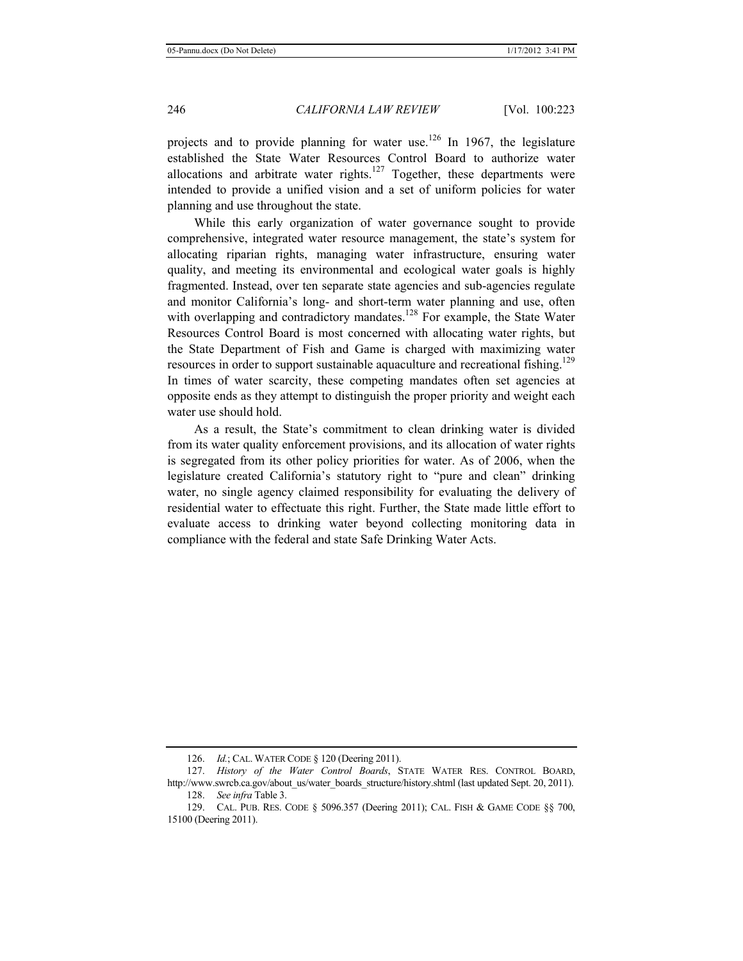projects and to provide planning for water use.<sup>126</sup> In 1967, the legislature established the State Water Resources Control Board to authorize water allocations and arbitrate water rights.<sup>127</sup> Together, these departments were intended to provide a unified vision and a set of uniform policies for water planning and use throughout the state.

While this early organization of water governance sought to provide comprehensive, integrated water resource management, the state's system for allocating riparian rights, managing water infrastructure, ensuring water quality, and meeting its environmental and ecological water goals is highly fragmented. Instead, over ten separate state agencies and sub-agencies regulate and monitor California's long- and short-term water planning and use, often with overlapping and contradictory mandates.<sup>128</sup> For example, the State Water Resources Control Board is most concerned with allocating water rights, but the State Department of Fish and Game is charged with maximizing water resources in order to support sustainable aquaculture and recreational fishing.<sup>129</sup> In times of water scarcity, these competing mandates often set agencies at opposite ends as they attempt to distinguish the proper priority and weight each water use should hold.

As a result, the State's commitment to clean drinking water is divided from its water quality enforcement provisions, and its allocation of water rights is segregated from its other policy priorities for water. As of 2006, when the legislature created California's statutory right to "pure and clean" drinking water, no single agency claimed responsibility for evaluating the delivery of residential water to effectuate this right. Further, the State made little effort to evaluate access to drinking water beyond collecting monitoring data in compliance with the federal and state Safe Drinking Water Acts.

<sup>126.</sup> *Id.*; CAL. WATER CODE § 120 (Deering 2011).

<sup>127.</sup> *History of the Water Control Boards*, STATE WATER RES. CONTROL BOARD, http://www.swrcb.ca.gov/about\_us/water\_boards\_structure/history.shtml (last updated Sept. 20, 2011).

<sup>128.</sup> *See infra* Table 3.

<sup>129.</sup> CAL. PUB. RES. CODE § 5096.357 (Deering 2011); CAL. FISH & GAME CODE §§ 700, 15100 (Deering 2011).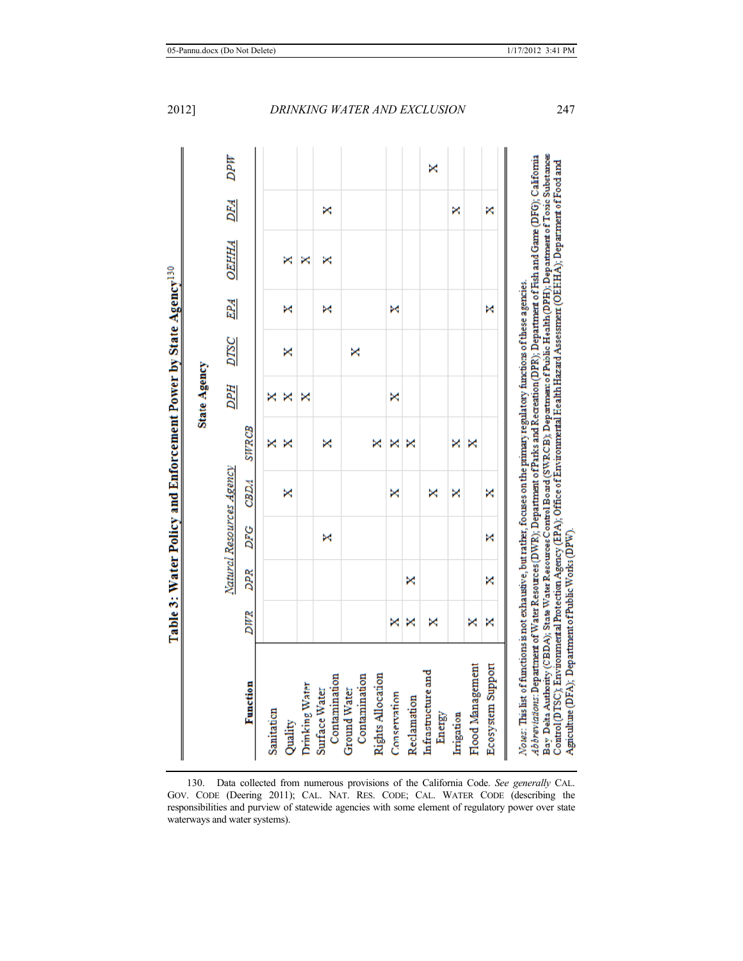|                                     |     |            |     |                          |              | <b>State Agency</b> |   |   |                           |   |         |
|-------------------------------------|-----|------------|-----|--------------------------|--------------|---------------------|---|---|---------------------------|---|---------|
|                                     |     |            |     | Natural Resources Agency |              |                     |   |   | <b>DPH DTSC EPA OEHHA</b> |   | DFA DPW |
| Function                            | DWR | <b>DPR</b> | DFG | <b>CBDA</b>              | <b>SWRCB</b> |                     |   |   |                           |   |         |
| Sanitation                          |     |            |     |                          | ×            | ×                   |   |   |                           |   |         |
| Quality                             |     |            |     | ×                        | ×            | ×                   | × | × | ×                         |   |         |
|                                     |     |            |     |                          |              |                     |   |   |                           |   |         |
| Drinking Water                      |     |            |     |                          |              | ×                   |   |   | ×                         |   |         |
| Surface Water                       |     |            | ×   |                          | ×            |                     |   |   |                           |   |         |
| Contamination                       |     |            |     |                          |              |                     |   | × | ×                         | × |         |
| <b>Ground Water</b>                 |     |            |     |                          |              |                     |   |   |                           |   |         |
| Contamination                       |     |            |     |                          |              |                     | × |   |                           |   |         |
| <b>Rights Allocation</b>            |     |            |     |                          | ×            |                     |   |   |                           |   |         |
| Conservation                        | ×   |            |     | ×                        | ×            | ×                   |   | × |                           |   |         |
| Reclamation                         | ×   | ×          |     |                          | ×            |                     |   |   |                           |   |         |
| <b>Infrastructure</b> and<br>Energy | ×   |            |     | ×                        |              |                     |   |   |                           |   | ×       |
| Irrigation                          |     |            |     | ×                        | ×            |                     |   |   |                           | × |         |
| Flood Management                    | ×   |            |     |                          | ×            |                     |   |   |                           |   |         |
| Ecosystem Support                   | ×   | ×          | ×   | ×                        |              |                     |   | × |                           | × |         |

<sup>130.</sup> Data collected from numerous provisions of the California Code. *See generally* CAL. GOV. CODE (Deering 2011); CAL. NAT. RES. CODE; CAL. WATER CODE (describing the responsibilities and purview of statewide agencies with some element of regulatory power over state waterways and water systems).

Agriculture (DFA); Department of Public Works (DPW).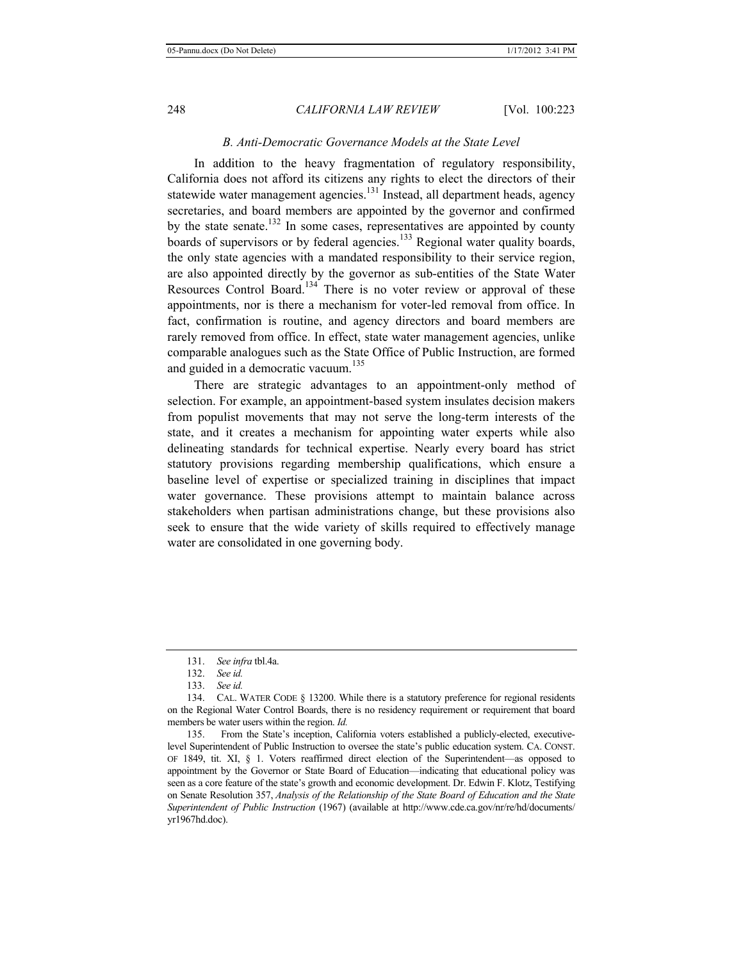## *B. Anti-Democratic Governance Models at the State Level*

In addition to the heavy fragmentation of regulatory responsibility, California does not afford its citizens any rights to elect the directors of their statewide water management agencies.<sup>131</sup> Instead, all department heads, agency secretaries, and board members are appointed by the governor and confirmed by the state senate.<sup>132</sup> In some cases, representatives are appointed by county boards of supervisors or by federal agencies.<sup>133</sup> Regional water quality boards, the only state agencies with a mandated responsibility to their service region, are also appointed directly by the governor as sub-entities of the State Water Resources Control Board.<sup>134</sup> There is no voter review or approval of these appointments, nor is there a mechanism for voter-led removal from office. In fact, confirmation is routine, and agency directors and board members are rarely removed from office. In effect, state water management agencies, unlike comparable analogues such as the State Office of Public Instruction, are formed and guided in a democratic vacuum.<sup>135</sup>

There are strategic advantages to an appointment-only method of selection. For example, an appointment-based system insulates decision makers from populist movements that may not serve the long-term interests of the state, and it creates a mechanism for appointing water experts while also delineating standards for technical expertise. Nearly every board has strict statutory provisions regarding membership qualifications, which ensure a baseline level of expertise or specialized training in disciplines that impact water governance. These provisions attempt to maintain balance across stakeholders when partisan administrations change, but these provisions also seek to ensure that the wide variety of skills required to effectively manage water are consolidated in one governing body.

135. From the State's inception, California voters established a publicly-elected, executivelevel Superintendent of Public Instruction to oversee the state's public education system. CA. CONST. OF 1849, tit. XI, § 1. Voters reaffirmed direct election of the Superintendent—as opposed to appointment by the Governor or State Board of Education—indicating that educational policy was seen as a core feature of the state's growth and economic development. Dr. Edwin F. Klotz, Testifying on Senate Resolution 357, *Analysis of the Relationship of the State Board of Education and the State Superintendent of Public Instruction* (1967) (available at http://www.cde.ca.gov/nr/re/hd/documents/ yr1967hd.doc).

<sup>131.</sup> *See infra* tbl.4a.

<sup>132.</sup> *See id.* 

<sup>133.</sup> *See id.* 

<sup>134.</sup> CAL. WATER CODE § 13200. While there is a statutory preference for regional residents on the Regional Water Control Boards, there is no residency requirement or requirement that board members be water users within the region. *Id.*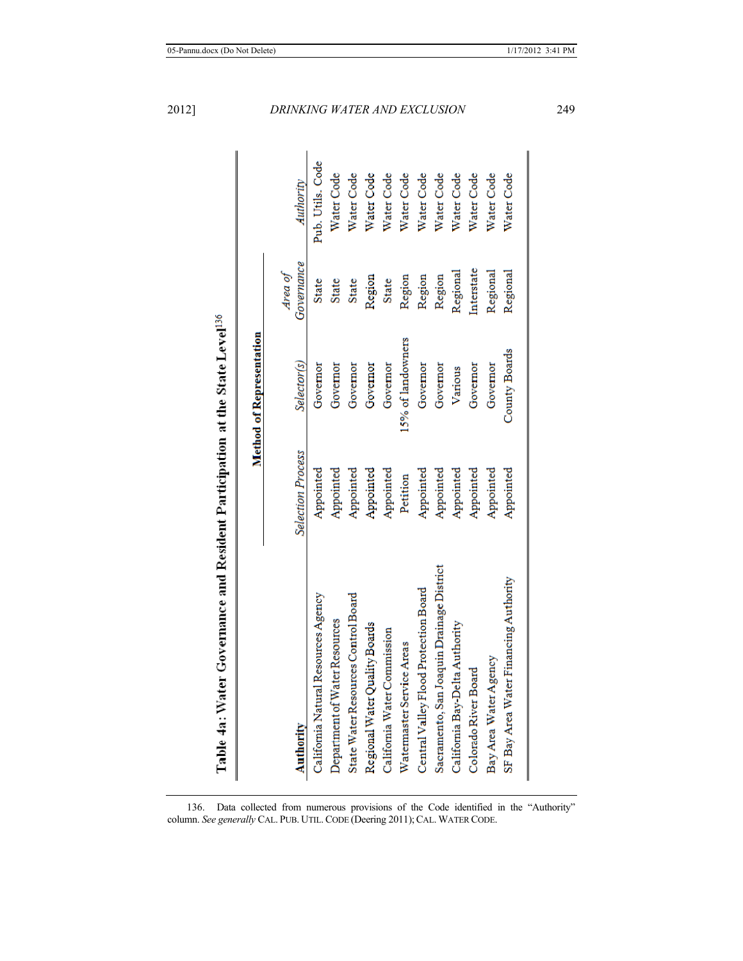| Table 4a: Water Governance and Resident Participation at the State Level <sup>136</sup> |                          |                                 |                       |                  |
|-----------------------------------------------------------------------------------------|--------------------------|---------------------------------|-----------------------|------------------|
|                                                                                         |                          | <b>Method of Representation</b> |                       |                  |
| <b>Authority</b>                                                                        | <b>Selection Process</b> | Selector(s)                     | Governance<br>Area of | Authority        |
| California Natural Resources Agency                                                     | Appointed                | Governor                        | <b>State</b>          | Pub. Utils. Code |
| Department of Water Resources                                                           | Appointed                | Governor                        | <b>State</b>          | Water Code       |
| State Water Resources Control Board                                                     | Appointed                | Governor                        | <b>State</b>          | Water Code       |
| Regional Water Quality Boards                                                           | Appointed                | Governor                        | Region                | Water Code       |
| California Water Commission                                                             | Appointed                | Governor                        | <b>State</b>          | Water Code       |
| Watermaster Service Areas                                                               | Petition                 | 15% of landowners               | Region                | Water Code       |
| Central Valley Flood Protection Board                                                   | Appointed                | Governor                        | Region                | Water Code       |
| Sacramento, San Joaquin Drainage District                                               | Appointed                | Governor                        | Region                | Water Code       |
| California Bay-Delta Authority                                                          | Appointed                | Various                         | Regional              | Water Code       |
| Colorado River Board                                                                    | Appointed                | Governor                        | Interstate            | Water Code       |
| Bay Area Water Agency                                                                   | Appointed                | Governor                        | Regional              | Water Code       |
| SF Bay Area Water Financing Authority                                                   | Appointed                | County Boards                   | Regional              | Water Code       |

136. Data collected from numerous provisions of the Code identified in the "Authority" column. *See generally* CAL. PUB. UTIL. CODE (Deering 2011); CAL. WATER CODE.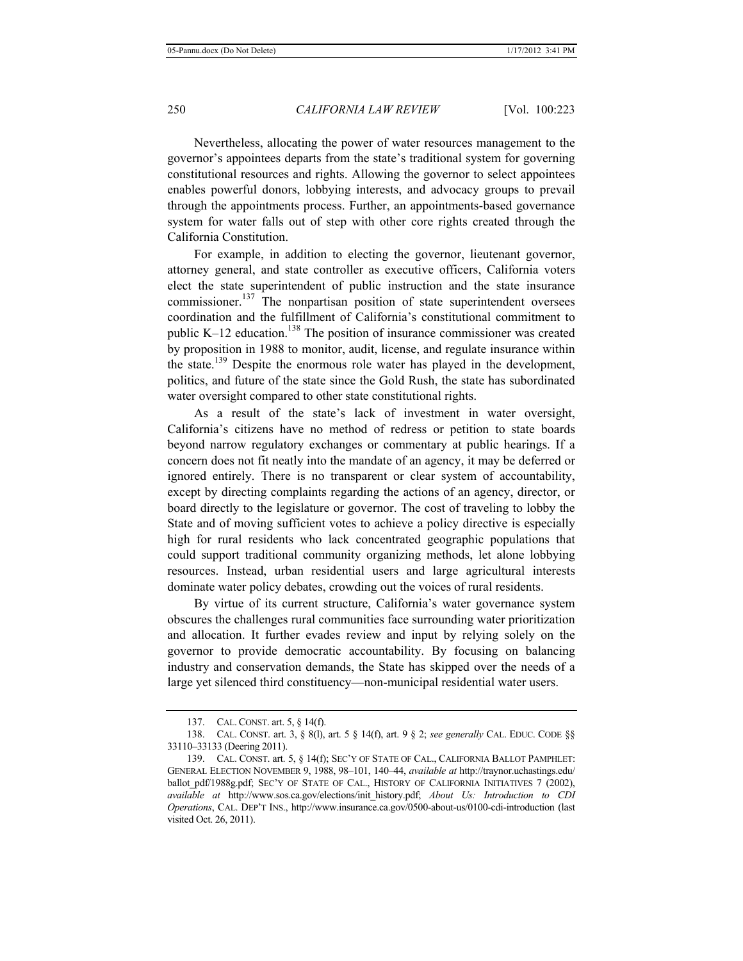Nevertheless, allocating the power of water resources management to the governor's appointees departs from the state's traditional system for governing constitutional resources and rights. Allowing the governor to select appointees enables powerful donors, lobbying interests, and advocacy groups to prevail through the appointments process. Further, an appointments-based governance system for water falls out of step with other core rights created through the California Constitution.

For example, in addition to electing the governor, lieutenant governor, attorney general, and state controller as executive officers, California voters elect the state superintendent of public instruction and the state insurance commissioner.<sup>137</sup> The nonpartisan position of state superintendent oversees coordination and the fulfillment of California's constitutional commitment to public K–12 education.<sup>138</sup> The position of insurance commissioner was created by proposition in 1988 to monitor, audit, license, and regulate insurance within the state.<sup>139</sup> Despite the enormous role water has played in the development, politics, and future of the state since the Gold Rush, the state has subordinated water oversight compared to other state constitutional rights.

As a result of the state's lack of investment in water oversight, California's citizens have no method of redress or petition to state boards beyond narrow regulatory exchanges or commentary at public hearings. If a concern does not fit neatly into the mandate of an agency, it may be deferred or ignored entirely. There is no transparent or clear system of accountability, except by directing complaints regarding the actions of an agency, director, or board directly to the legislature or governor. The cost of traveling to lobby the State and of moving sufficient votes to achieve a policy directive is especially high for rural residents who lack concentrated geographic populations that could support traditional community organizing methods, let alone lobbying resources. Instead, urban residential users and large agricultural interests dominate water policy debates, crowding out the voices of rural residents.

By virtue of its current structure, California's water governance system obscures the challenges rural communities face surrounding water prioritization and allocation. It further evades review and input by relying solely on the governor to provide democratic accountability. By focusing on balancing industry and conservation demands, the State has skipped over the needs of a large yet silenced third constituency—non-municipal residential water users.

<sup>137.</sup> CAL. CONST. art. 5, § 14(f).

<sup>138.</sup> CAL. CONST. art. 3, § 8(l), art. 5 § 14(f), art. 9 § 2; *see generally* CAL. EDUC. CODE §§ 33110–33133 (Deering 2011).

<sup>139.</sup> CAL. CONST. art. 5, § 14(f); SEC'Y OF STATE OF CAL., CALIFORNIA BALLOT PAMPHLET: GENERAL ELECTION NOVEMBER 9, 1988, 98–101, 140–44, *available at* http://traynor.uchastings.edu/ ballot pdf/1988g.pdf; SEC'Y OF STATE OF CAL., HISTORY OF CALIFORNIA INITIATIVES 7 (2002), *available at* http://www.sos.ca.gov/elections/init\_history.pdf; *About Us: Introduction to CDI Operations*, CAL. DEP'T INS., http://www.insurance.ca.gov/0500-about-us/0100-cdi-introduction (last visited Oct. 26, 2011).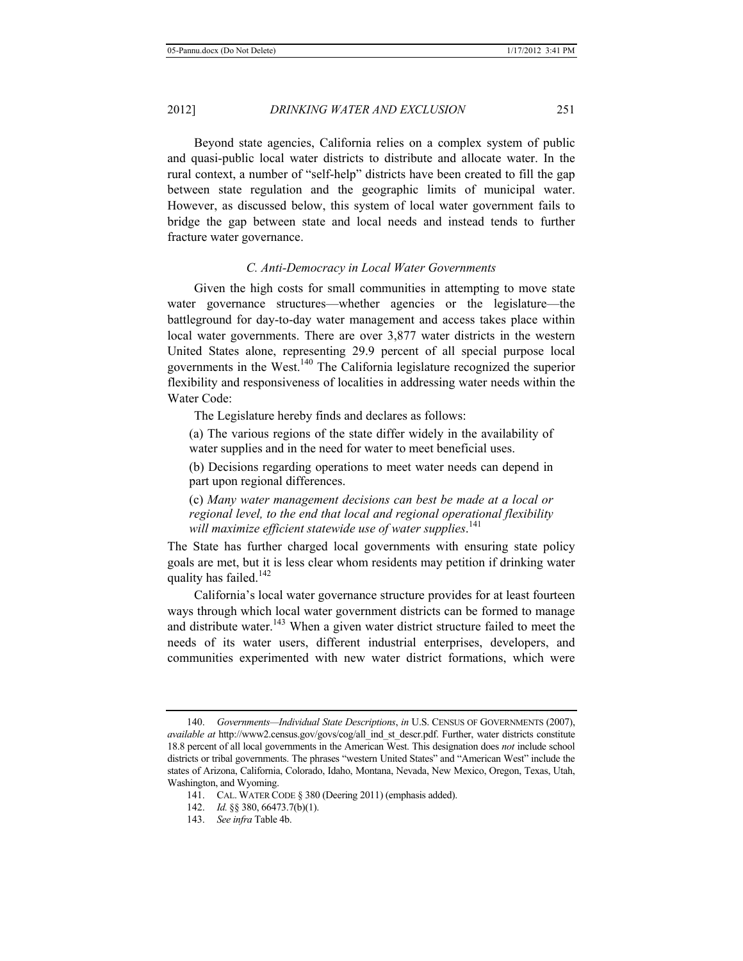Beyond state agencies, California relies on a complex system of public and quasi-public local water districts to distribute and allocate water. In the rural context, a number of "self-help" districts have been created to fill the gap between state regulation and the geographic limits of municipal water. However, as discussed below, this system of local water government fails to bridge the gap between state and local needs and instead tends to further fracture water governance.

## *C. Anti-Democracy in Local Water Governments*

Given the high costs for small communities in attempting to move state water governance structures—whether agencies or the legislature—the battleground for day-to-day water management and access takes place within local water governments. There are over 3,877 water districts in the western United States alone, representing 29.9 percent of all special purpose local governments in the West.140 The California legislature recognized the superior flexibility and responsiveness of localities in addressing water needs within the Water Code:

The Legislature hereby finds and declares as follows:

(a) The various regions of the state differ widely in the availability of water supplies and in the need for water to meet beneficial uses.

(b) Decisions regarding operations to meet water needs can depend in part upon regional differences.

(c) *Many water management decisions can best be made at a local or regional level, to the end that local and regional operational flexibility will maximize efficient statewide use of water supplies*. 141

The State has further charged local governments with ensuring state policy goals are met, but it is less clear whom residents may petition if drinking water quality has failed.<sup>142</sup>

California's local water governance structure provides for at least fourteen ways through which local water government districts can be formed to manage and distribute water.<sup>143</sup> When a given water district structure failed to meet the needs of its water users, different industrial enterprises, developers, and communities experimented with new water district formations, which were

<sup>140.</sup> *Governments—Individual State Descriptions*, *in* U.S. CENSUS OF GOVERNMENTS (2007), *available at* http://www2.census.gov/govs/cog/all\_ind\_st\_descr.pdf. Further, water districts constitute 18.8 percent of all local governments in the American West. This designation does *not* include school districts or tribal governments. The phrases "western United States" and "American West" include the states of Arizona, California, Colorado, Idaho, Montana, Nevada, New Mexico, Oregon, Texas, Utah, Washington, and Wyoming.

<sup>141.</sup> CAL. WATER CODE § 380 (Deering 2011) (emphasis added).

<sup>142.</sup> *Id.* §§ 380, 66473.7(b)(1).

<sup>143.</sup> *See infra* Table 4b.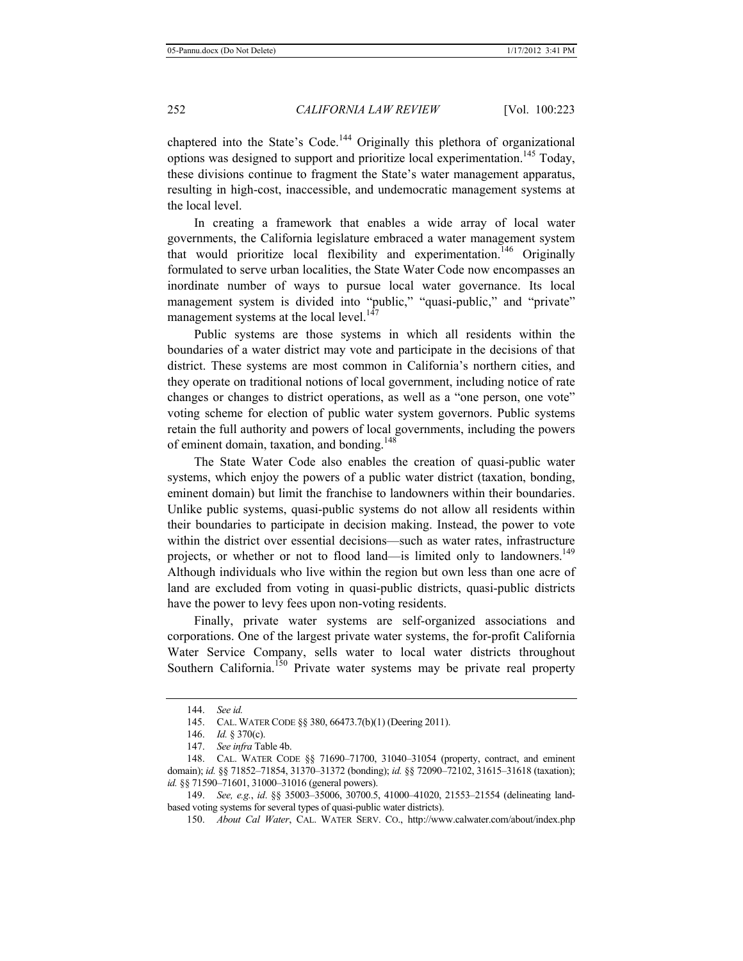chaptered into the State's Code.<sup>144</sup> Originally this plethora of organizational options was designed to support and prioritize local experimentation.<sup>145</sup> Today, these divisions continue to fragment the State's water management apparatus, resulting in high-cost, inaccessible, and undemocratic management systems at the local level.

In creating a framework that enables a wide array of local water governments, the California legislature embraced a water management system that would prioritize local flexibility and experimentation.<sup>146</sup> Originally formulated to serve urban localities, the State Water Code now encompasses an inordinate number of ways to pursue local water governance. Its local management system is divided into "public," "quasi-public," and "private" management systems at the local level.<sup>147</sup>

Public systems are those systems in which all residents within the boundaries of a water district may vote and participate in the decisions of that district. These systems are most common in California's northern cities, and they operate on traditional notions of local government, including notice of rate changes or changes to district operations, as well as a "one person, one vote" voting scheme for election of public water system governors. Public systems retain the full authority and powers of local governments, including the powers of eminent domain, taxation, and bonding.<sup>148</sup>

The State Water Code also enables the creation of quasi-public water systems, which enjoy the powers of a public water district (taxation, bonding, eminent domain) but limit the franchise to landowners within their boundaries. Unlike public systems, quasi-public systems do not allow all residents within their boundaries to participate in decision making. Instead, the power to vote within the district over essential decisions—such as water rates, infrastructure projects, or whether or not to flood land—is limited only to landowners.<sup>149</sup> Although individuals who live within the region but own less than one acre of land are excluded from voting in quasi-public districts, quasi-public districts have the power to levy fees upon non-voting residents.

Finally, private water systems are self-organized associations and corporations. One of the largest private water systems, the for-profit California Water Service Company, sells water to local water districts throughout Southern California.<sup>150</sup> Private water systems may be private real property

<sup>144.</sup> *See id.*

<sup>145.</sup> CAL. WATER CODE §§ 380, 66473.7(b)(1) (Deering 2011).

<sup>146.</sup> *Id.* § 370(c).

<sup>147.</sup> *See infra* Table 4b.

<sup>148.</sup> CAL. WATER CODE §§ 71690–71700, 31040–31054 (property, contract, and eminent domain); *id.* §§ 71852–71854, 31370–31372 (bonding); *id.* §§ 72090–72102, 31615–31618 (taxation); *id.* §§ 71590–71601, 31000–31016 (general powers).

<sup>149.</sup> *See, e.g.*, *id*. §§ 35003–35006, 30700.5, 41000–41020, 21553–21554 (delineating landbased voting systems for several types of quasi-public water districts).

<sup>150.</sup> *About Cal Water*, CAL. WATER SERV. CO., http://www.calwater.com/about/index.php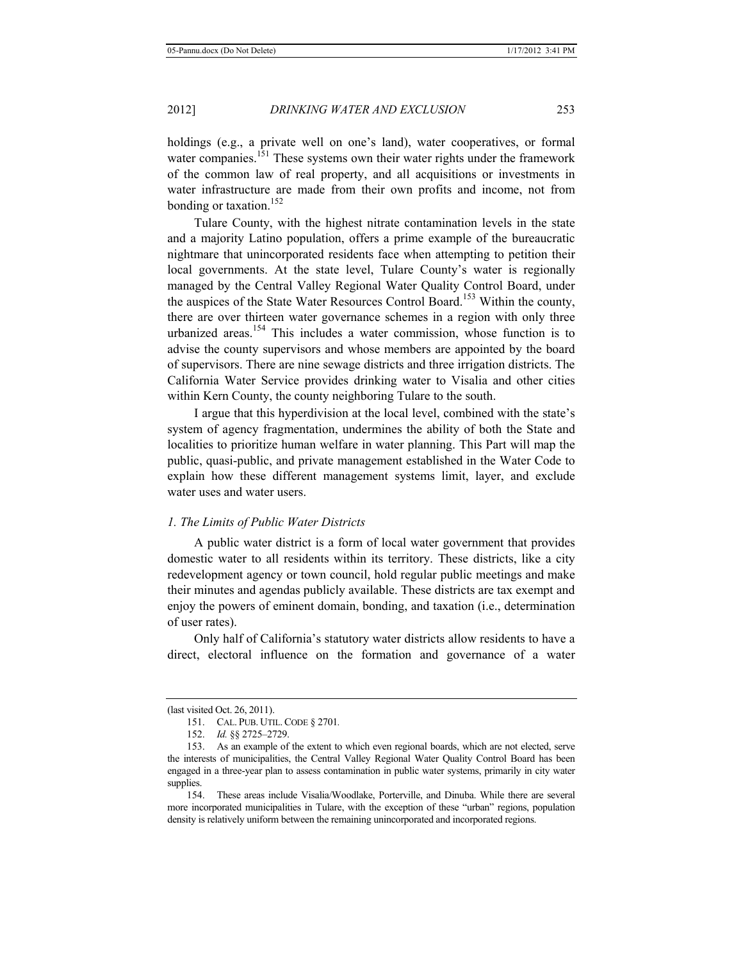holdings (e.g., a private well on one's land), water cooperatives, or formal water companies.<sup>151</sup> These systems own their water rights under the framework of the common law of real property, and all acquisitions or investments in water infrastructure are made from their own profits and income, not from bonding or taxation.<sup>152</sup>

Tulare County, with the highest nitrate contamination levels in the state and a majority Latino population, offers a prime example of the bureaucratic nightmare that unincorporated residents face when attempting to petition their local governments. At the state level, Tulare County's water is regionally managed by the Central Valley Regional Water Quality Control Board, under the auspices of the State Water Resources Control Board.153 Within the county, there are over thirteen water governance schemes in a region with only three urbanized areas.<sup>154</sup> This includes a water commission, whose function is to advise the county supervisors and whose members are appointed by the board of supervisors. There are nine sewage districts and three irrigation districts. The California Water Service provides drinking water to Visalia and other cities within Kern County, the county neighboring Tulare to the south.

I argue that this hyperdivision at the local level, combined with the state's system of agency fragmentation, undermines the ability of both the State and localities to prioritize human welfare in water planning. This Part will map the public, quasi-public, and private management established in the Water Code to explain how these different management systems limit, layer, and exclude water uses and water users.

#### *1. The Limits of Public Water Districts*

A public water district is a form of local water government that provides domestic water to all residents within its territory. These districts, like a city redevelopment agency or town council, hold regular public meetings and make their minutes and agendas publicly available. These districts are tax exempt and enjoy the powers of eminent domain, bonding, and taxation (i.e., determination of user rates).

Only half of California's statutory water districts allow residents to have a direct, electoral influence on the formation and governance of a water

<sup>(</sup>last visited Oct. 26, 2011).

<sup>151.</sup> CAL. PUB. UTIL. CODE § 2701*.*

<sup>152.</sup> *Id.* §§ 2725–2729.

<sup>153.</sup> As an example of the extent to which even regional boards, which are not elected, serve the interests of municipalities, the Central Valley Regional Water Quality Control Board has been engaged in a three-year plan to assess contamination in public water systems, primarily in city water supplies.

<sup>154.</sup> These areas include Visalia/Woodlake, Porterville, and Dinuba. While there are several more incorporated municipalities in Tulare, with the exception of these "urban" regions, population density is relatively uniform between the remaining unincorporated and incorporated regions.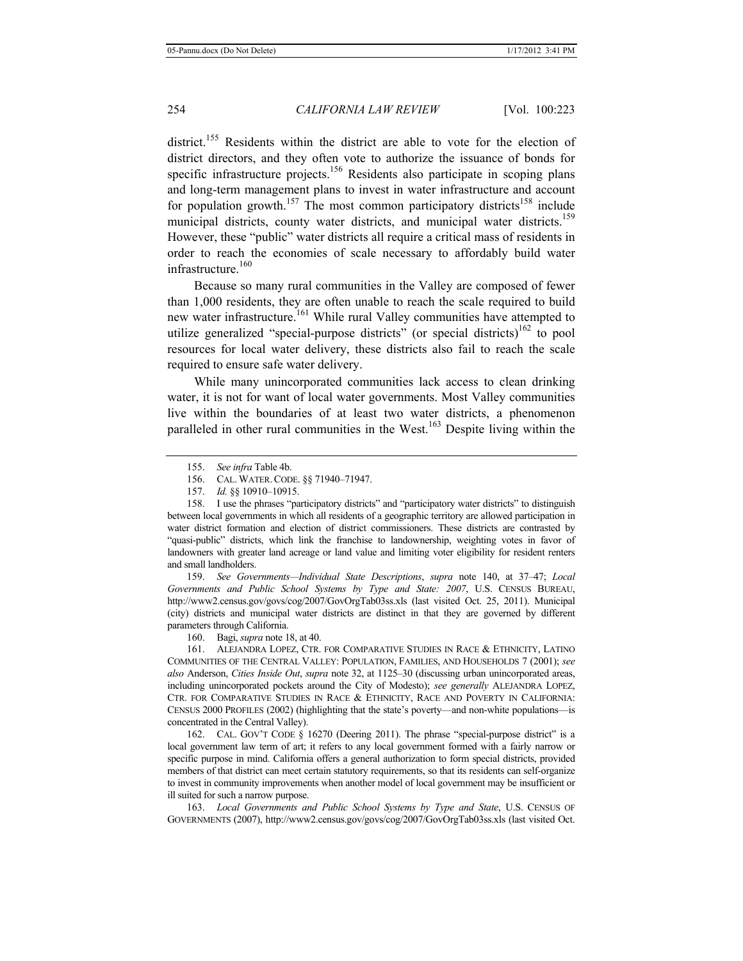district.<sup>155</sup> Residents within the district are able to vote for the election of district directors, and they often vote to authorize the issuance of bonds for specific infrastructure projects.<sup>156</sup> Residents also participate in scoping plans and long-term management plans to invest in water infrastructure and account for population growth.<sup>157</sup> The most common participatory districts<sup>158</sup> include municipal districts, county water districts, and municipal water districts.<sup>159</sup> However, these "public" water districts all require a critical mass of residents in order to reach the economies of scale necessary to affordably build water infrastructure.<sup>160</sup>

Because so many rural communities in the Valley are composed of fewer than 1,000 residents, they are often unable to reach the scale required to build new water infrastructure.<sup>161</sup> While rural Valley communities have attempted to utilize generalized "special-purpose districts" (or special districts)<sup>162</sup> to pool resources for local water delivery, these districts also fail to reach the scale required to ensure safe water delivery.

While many unincorporated communities lack access to clean drinking water, it is not for want of local water governments. Most Valley communities live within the boundaries of at least two water districts, a phenomenon paralleled in other rural communities in the West.<sup>163</sup> Despite living within the

159. *See Governments—Individual State Descriptions*, *supra* note 140, at 37–47; *Local Governments and Public School Systems by Type and State: 2007*, U.S. CENSUS BUREAU, http://www2.census.gov/govs/cog/2007/GovOrgTab03ss.xls (last visited Oct. 25, 2011). Municipal (city) districts and municipal water districts are distinct in that they are governed by different parameters through California.

160. Bagi, *supra* note 18, at 40.

161. ALEJANDRA LOPEZ, CTR. FOR COMPARATIVE STUDIES IN RACE & ETHNICITY, LATINO COMMUNITIES OF THE CENTRAL VALLEY: POPULATION, FAMILIES, AND HOUSEHOLDS 7 (2001); *see also* Anderson, *Cities Inside Out*, *supra* note 32, at 1125–30 (discussing urban unincorporated areas, including unincorporated pockets around the City of Modesto); *see generally* ALEJANDRA LOPEZ, CTR. FOR COMPARATIVE STUDIES IN RACE & ETHNICITY, RACE AND POVERTY IN CALIFORNIA: CENSUS 2000 PROFILES (2002) (highlighting that the state's poverty—and non-white populations—is concentrated in the Central Valley).

162. CAL. GOV'T CODE § 16270 (Deering 2011). The phrase "special-purpose district" is a local government law term of art; it refers to any local government formed with a fairly narrow or specific purpose in mind. California offers a general authorization to form special districts, provided members of that district can meet certain statutory requirements, so that its residents can self-organize to invest in community improvements when another model of local government may be insufficient or ill suited for such a narrow purpose.

163. *Local Governments and Public School Systems by Type and State*, U.S. CENSUS OF GOVERNMENTS (2007), http://www2.census.gov/govs/cog/2007/GovOrgTab03ss.xls (last visited Oct.

<sup>155.</sup> *See infra* Table 4b.

<sup>156.</sup> CAL. WATER.CODE. §§ 71940–71947.

<sup>157.</sup> *Id.* §§ 10910–10915.

<sup>158.</sup> I use the phrases "participatory districts" and "participatory water districts" to distinguish between local governments in which all residents of a geographic territory are allowed participation in water district formation and election of district commissioners. These districts are contrasted by "quasi-public" districts, which link the franchise to landownership, weighting votes in favor of landowners with greater land acreage or land value and limiting voter eligibility for resident renters and small landholders.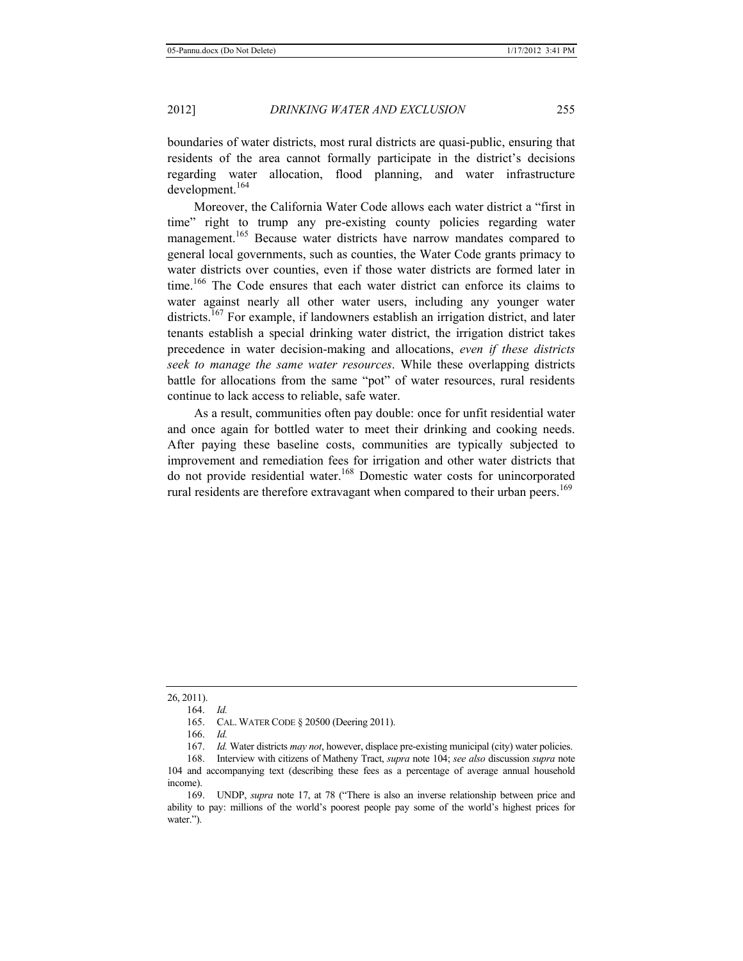boundaries of water districts, most rural districts are quasi-public, ensuring that residents of the area cannot formally participate in the district's decisions regarding water allocation, flood planning, and water infrastructure development.<sup>164</sup>

Moreover, the California Water Code allows each water district a "first in time" right to trump any pre-existing county policies regarding water management.<sup>165</sup> Because water districts have narrow mandates compared to general local governments, such as counties, the Water Code grants primacy to water districts over counties, even if those water districts are formed later in time.<sup>166</sup> The Code ensures that each water district can enforce its claims to water against nearly all other water users, including any younger water districts.<sup>167</sup> For example, if landowners establish an irrigation district, and later tenants establish a special drinking water district, the irrigation district takes precedence in water decision-making and allocations, *even if these districts seek to manage the same water resources*. While these overlapping districts battle for allocations from the same "pot" of water resources, rural residents continue to lack access to reliable, safe water.

As a result, communities often pay double: once for unfit residential water and once again for bottled water to meet their drinking and cooking needs. After paying these baseline costs, communities are typically subjected to improvement and remediation fees for irrigation and other water districts that do not provide residential water.168 Domestic water costs for unincorporated rural residents are therefore extravagant when compared to their urban peers.<sup>169</sup>

26, 2011).

165. CAL. WATER CODE § 20500 (Deering 2011).

167. *Id.* Water districts *may not*, however, displace pre-existing municipal (city) water policies.

168. Interview with citizens of Matheny Tract, *supra* note 104; *see also* discussion *supra* note 104 and accompanying text (describing these fees as a percentage of average annual household income).

169. UNDP, *supra* note 17, at 78 ("There is also an inverse relationship between price and ability to pay: millions of the world's poorest people pay some of the world's highest prices for water.").

<sup>164.</sup> *Id.*

<sup>166.</sup> *Id.*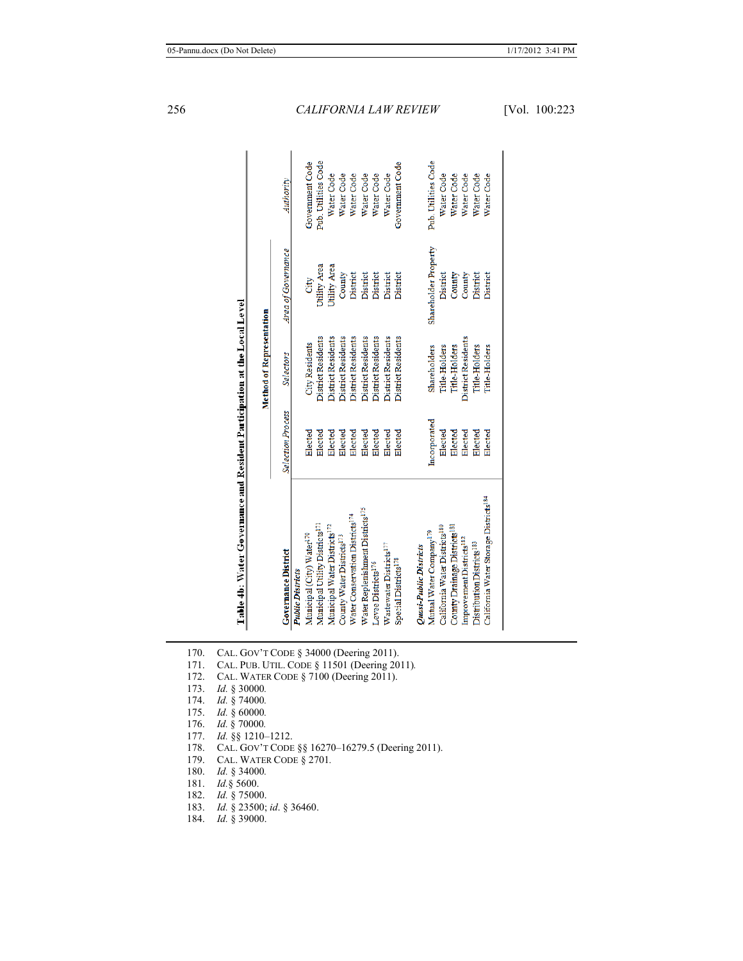| ï             |
|---------------|
| j             |
|               |
|               |
|               |
|               |
|               |
|               |
|               |
|               |
|               |
|               |
|               |
|               |
|               |
|               |
|               |
|               |
|               |
|               |
|               |
| i<br>!        |
|               |
|               |
|               |
|               |
|               |
| ٔ             |
|               |
|               |
|               |
| $\frac{1}{2}$ |
|               |
|               |
|               |
|               |
| Ē             |
|               |
| ĺ             |
|               |

evel

|                                                   |                          | <b>Method of Representation</b> |                      |                     |
|---------------------------------------------------|--------------------------|---------------------------------|----------------------|---------------------|
| <b>Governance District</b>                        | <b>Selection Process</b> | <b>Selectors</b>                | Area of Governance   | Authority           |
| <b>Public Districts</b>                           |                          |                                 |                      |                     |
| Municipal (City) Water <sup>170</sup>             | Elected                  | <b>City Residents</b>           | City                 | Government Code     |
| Municipal Utility Districts <sup>171</sup>        | Elected                  | <b>District Residents</b>       | Utility Area         | Pub. Utilities Code |
| Municipal Water Districts <sup>172</sup>          | Elected                  | District Residents              | Utility Area         | Water Code          |
| County Water Districts <sup>173</sup>             | Elected                  | <b>District Residents</b>       | County               | Water Code          |
| Water Conservation Districts <sup>174</sup>       | Elected                  | District Residents              | District             | Water Code          |
| Water Replenishment Districts <sup>175</sup>      | Elected                  | District Residents              | District             | Water Code          |
| Levee Districts <sup>176</sup>                    | Elected                  | <b>District Residents</b>       | District             | Water Code          |
| Wastewater Districts <sup>177</sup>               | Elected                  | <b>District Residents</b>       | District             | Water Code          |
| Special Districts <sup>178</sup>                  | Elected                  | <b>District Residents</b>       | District             | Government Code     |
| Quasi-Public Districts                            |                          |                                 |                      |                     |
| Mutual Water Company <sup>179</sup>               | Incorporated             | Shareholders                    | Shareholder Property | Pub. Utilities Code |
| California Water Districts <sup>180</sup>         | Elected                  | Title-Holders                   | District             | Water Code          |
| County Drainage Districts <sup>181</sup>          | Elected                  | <b>Title-Holders</b>            | County               | Water Code          |
| Improvement Districts <sup>182</sup>              | Elected                  | District Residents              | County               | Water Code          |
| Distribution Districts <sup>183</sup>             | Elected                  | <b>Title-Holders</b>            | District             | Water Code          |
| California Water Storage Districts <sup>184</sup> | Elected                  | <b>Title-Holders</b>            | District             | Water Code          |
|                                                   |                          |                                 |                      |                     |
|                                                   |                          |                                 |                      |                     |

- 170. CAL. GOV'T CODE § 34000 (Deering 2011).
- 171. CAL. PUB. UTIL. CODE § 11501 (Deering 2011)*.*
- 172. CAL. WATER CODE § 7100 (Deering 2011).
- 173. *Id.* § 30000*.*
- 174. *Id.* § 74000*.*
- 175. *Id.* § 60000*.*
- 176. *Id.* § 70000*.*
- 177. *Id.* §§ 1210–1212.
- 178. CAL. GOV'T CODE §§ 16270–16279.5 (Deering 2011).
- 179. CAL. WATER CODE § 2701*.*
- 180. *Id.* § 34000*.*
- 181. *Id.*§ 5600.
- 182. *Id.* § 75000.
- 183. *Id.* § 23500; *id*. § 36460.
- 184. *Id.* § 39000.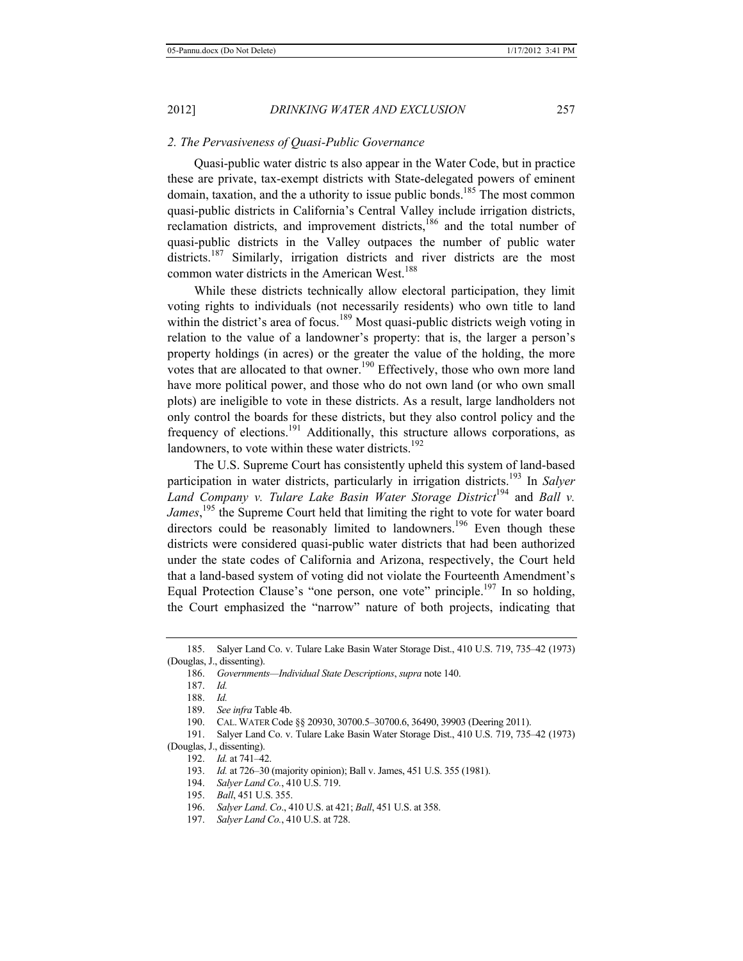#### *2. The Pervasiveness of Quasi-Public Governance*

Quasi-public water distric ts also appear in the Water Code, but in practice these are private, tax-exempt districts with State-delegated powers of eminent domain, taxation, and the a uthority to issue public bonds.<sup>185</sup> The most common quasi-public districts in California's Central Valley include irrigation districts, reclamation districts, and improvement districts,<sup>186</sup> and the total number of quasi-public districts in the Valley outpaces the number of public water districts.<sup>187</sup> Similarly, irrigation districts and river districts are the most common water districts in the American West.<sup>188</sup>

While these districts technically allow electoral participation, they limit voting rights to individuals (not necessarily residents) who own title to land within the district's area of focus.<sup>189</sup> Most quasi-public districts weigh voting in relation to the value of a landowner's property: that is, the larger a person's property holdings (in acres) or the greater the value of the holding, the more votes that are allocated to that owner.<sup>190</sup> Effectively, those who own more land have more political power, and those who do not own land (or who own small plots) are ineligible to vote in these districts. As a result, large landholders not only control the boards for these districts, but they also control policy and the frequency of elections.<sup>191</sup> Additionally, this structure allows corporations, as landowners, to vote within these water districts. $192$ 

The U.S. Supreme Court has consistently upheld this system of land-based participation in water districts, particularly in irrigation districts.<sup>193</sup> In *Salyer Land Company v. Tulare Lake Basin Water Storage District*<sup>194</sup> and *Ball v. James*, 195 the Supreme Court held that limiting the right to vote for water board directors could be reasonably limited to landowners.<sup>196</sup> Even though these districts were considered quasi-public water districts that had been authorized under the state codes of California and Arizona, respectively, the Court held that a land-based system of voting did not violate the Fourteenth Amendment's Equal Protection Clause's "one person, one vote" principle.<sup>197</sup> In so holding, the Court emphasized the "narrow" nature of both projects, indicating that

- 195. *Ball*, 451 U.S. 355.
- 196. *Salyer Land*. *Co*., 410 U.S. at 421; *Ball*, 451 U.S. at 358.

<sup>185.</sup> Salyer Land Co. v. Tulare Lake Basin Water Storage Dist., 410 U.S. 719, 735–42 (1973) (Douglas, J., dissenting).

<sup>186.</sup> *Governments—Individual State Descriptions*, *supra* note 140.

<sup>187.</sup> *Id.*

<sup>188.</sup> *Id.* 

<sup>189.</sup> *See infra* Table 4b.

<sup>190.</sup> CAL. WATER Code §§ 20930, 30700.5–30700.6, 36490, 39903 (Deering 2011).

<sup>191.</sup> Salyer Land Co. v. Tulare Lake Basin Water Storage Dist., 410 U.S. 719, 735–42 (1973)

<sup>(</sup>Douglas, J., dissenting).

<sup>192.</sup> *Id.* at 741–42.

<sup>193.</sup> *Id.* at 726–30 (majority opinion); Ball v. James, 451 U.S. 355 (1981).

<sup>194.</sup> *Salyer Land Co.*, 410 U.S. 719.

<sup>197.</sup> *Salyer Land Co.*, 410 U.S. at 728.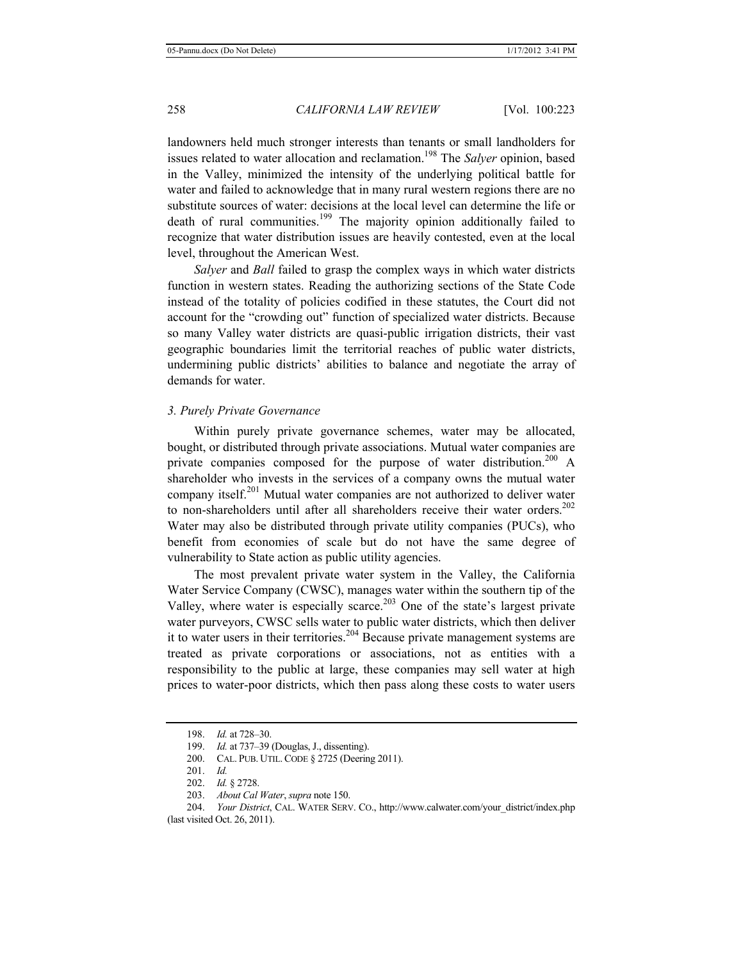landowners held much stronger interests than tenants or small landholders for issues related to water allocation and reclamation.<sup>198</sup> The *Salyer* opinion, based in the Valley, minimized the intensity of the underlying political battle for water and failed to acknowledge that in many rural western regions there are no substitute sources of water: decisions at the local level can determine the life or death of rural communities.<sup>199</sup> The majority opinion additionally failed to recognize that water distribution issues are heavily contested, even at the local level, throughout the American West.

*Salyer* and *Ball* failed to grasp the complex ways in which water districts function in western states. Reading the authorizing sections of the State Code instead of the totality of policies codified in these statutes, the Court did not account for the "crowding out" function of specialized water districts. Because so many Valley water districts are quasi-public irrigation districts, their vast geographic boundaries limit the territorial reaches of public water districts, undermining public districts' abilities to balance and negotiate the array of demands for water.

## *3. Purely Private Governance*

Within purely private governance schemes, water may be allocated, bought, or distributed through private associations. Mutual water companies are private companies composed for the purpose of water distribution.<sup>200</sup> A shareholder who invests in the services of a company owns the mutual water company itself.201 Mutual water companies are not authorized to deliver water to non-shareholders until after all shareholders receive their water orders.<sup>202</sup> Water may also be distributed through private utility companies (PUCs), who benefit from economies of scale but do not have the same degree of vulnerability to State action as public utility agencies.

The most prevalent private water system in the Valley, the California Water Service Company (CWSC), manages water within the southern tip of the Valley, where water is especially scarce.<sup>203</sup> One of the state's largest private water purveyors, CWSC sells water to public water districts, which then deliver it to water users in their territories.<sup>204</sup> Because private management systems are treated as private corporations or associations, not as entities with a responsibility to the public at large, these companies may sell water at high prices to water-poor districts, which then pass along these costs to water users

<sup>198.</sup> *Id.* at 728–30.

<sup>199.</sup> *Id.* at 737–39 (Douglas, J., dissenting).

<sup>200.</sup> CAL. PUB. UTIL. CODE § 2725 (Deering 2011).

<sup>201.</sup> *Id.*

<sup>202.</sup> *Id.* § 2728.

<sup>203.</sup> *About Cal Water*, *supra* note 150.

<sup>204.</sup> *Your District*, CAL. WATER SERV. CO., http://www.calwater.com/your\_district/index.php (last visited Oct. 26, 2011).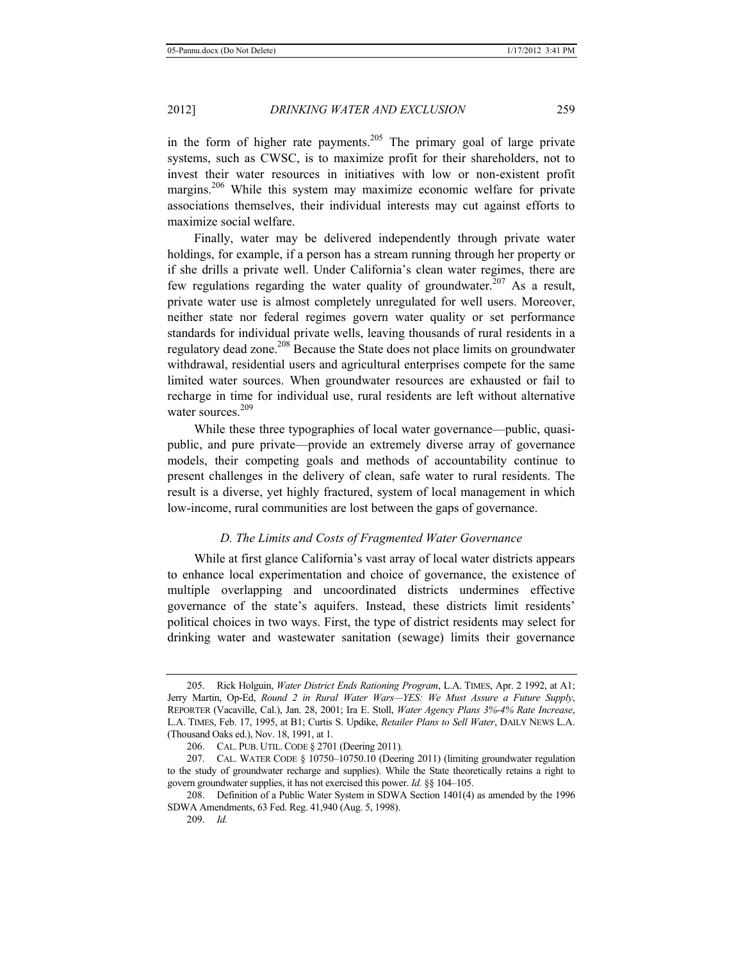in the form of higher rate payments.<sup>205</sup> The primary goal of large private systems, such as CWSC, is to maximize profit for their shareholders, not to invest their water resources in initiatives with low or non-existent profit margins.<sup>206</sup> While this system may maximize economic welfare for private associations themselves, their individual interests may cut against efforts to maximize social welfare.

Finally, water may be delivered independently through private water holdings, for example, if a person has a stream running through her property or if she drills a private well. Under California's clean water regimes, there are few regulations regarding the water quality of groundwater.<sup>207</sup> As a result, private water use is almost completely unregulated for well users. Moreover, neither state nor federal regimes govern water quality or set performance standards for individual private wells, leaving thousands of rural residents in a regulatory dead zone.<sup>208</sup> Because the State does not place limits on groundwater withdrawal, residential users and agricultural enterprises compete for the same limited water sources. When groundwater resources are exhausted or fail to recharge in time for individual use, rural residents are left without alternative water sources. $209$ 

While these three typographies of local water governance—public, quasipublic, and pure private—provide an extremely diverse array of governance models, their competing goals and methods of accountability continue to present challenges in the delivery of clean, safe water to rural residents. The result is a diverse, yet highly fractured, system of local management in which low-income, rural communities are lost between the gaps of governance.

## *D. The Limits and Costs of Fragmented Water Governance*

While at first glance California's vast array of local water districts appears to enhance local experimentation and choice of governance, the existence of multiple overlapping and uncoordinated districts undermines effective governance of the state's aquifers. Instead, these districts limit residents' political choices in two ways. First, the type of district residents may select for drinking water and wastewater sanitation (sewage) limits their governance

<sup>205.</sup> Rick Holguin, *Water District Ends Rationing Program*, L.A. TIMES, Apr. 2 1992, at A1; Jerry Martin, Op-Ed, *Round 2 in Rural Water Wars—YES: We Must Assure a Future Supply*, REPORTER (Vacaville, Cal.), Jan. 28, 2001; Ira E. Stoll, *Water Agency Plans 3%-4% Rate Increase*, L.A. TIMES, Feb. 17, 1995, at B1; Curtis S. Updike, *Retailer Plans to Sell Water*, DAILY NEWS L.A. (Thousand Oaks ed.), Nov. 18, 1991, at 1.

<sup>206.</sup> CAL. PUB. UTIL. CODE § 2701 (Deering 2011)*.*

<sup>207.</sup> CAL. WATER CODE § 10750–10750.10 (Deering 2011) (limiting groundwater regulation to the study of groundwater recharge and supplies). While the State theoretically retains a right to govern groundwater supplies, it has not exercised this power. *Id.* §§ 104–105.

<sup>208.</sup> Definition of a Public Water System in SDWA Section 1401(4) as amended by the 1996 SDWA Amendments, 63 Fed. Reg. 41,940 (Aug. 5, 1998).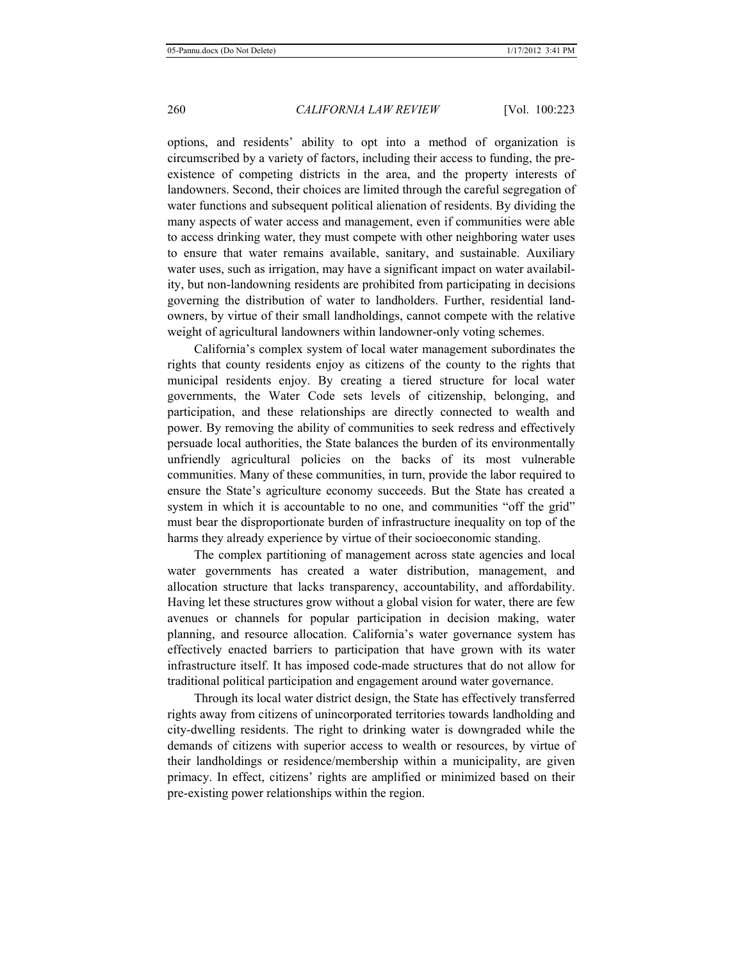options, and residents' ability to opt into a method of organization is circumscribed by a variety of factors, including their access to funding, the preexistence of competing districts in the area, and the property interests of landowners. Second, their choices are limited through the careful segregation of water functions and subsequent political alienation of residents. By dividing the many aspects of water access and management, even if communities were able to access drinking water, they must compete with other neighboring water uses to ensure that water remains available, sanitary, and sustainable. Auxiliary water uses, such as irrigation, may have a significant impact on water availability, but non-landowning residents are prohibited from participating in decisions governing the distribution of water to landholders. Further, residential landowners, by virtue of their small landholdings, cannot compete with the relative weight of agricultural landowners within landowner-only voting schemes.

California's complex system of local water management subordinates the rights that county residents enjoy as citizens of the county to the rights that municipal residents enjoy. By creating a tiered structure for local water governments, the Water Code sets levels of citizenship, belonging, and participation, and these relationships are directly connected to wealth and power. By removing the ability of communities to seek redress and effectively persuade local authorities, the State balances the burden of its environmentally unfriendly agricultural policies on the backs of its most vulnerable communities. Many of these communities, in turn, provide the labor required to ensure the State's agriculture economy succeeds. But the State has created a system in which it is accountable to no one, and communities "off the grid" must bear the disproportionate burden of infrastructure inequality on top of the harms they already experience by virtue of their socioeconomic standing.

The complex partitioning of management across state agencies and local water governments has created a water distribution, management, and allocation structure that lacks transparency, accountability, and affordability. Having let these structures grow without a global vision for water, there are few avenues or channels for popular participation in decision making, water planning, and resource allocation. California's water governance system has effectively enacted barriers to participation that have grown with its water infrastructure itself. It has imposed code-made structures that do not allow for traditional political participation and engagement around water governance.

Through its local water district design, the State has effectively transferred rights away from citizens of unincorporated territories towards landholding and city-dwelling residents. The right to drinking water is downgraded while the demands of citizens with superior access to wealth or resources, by virtue of their landholdings or residence/membership within a municipality, are given primacy. In effect, citizens' rights are amplified or minimized based on their pre-existing power relationships within the region.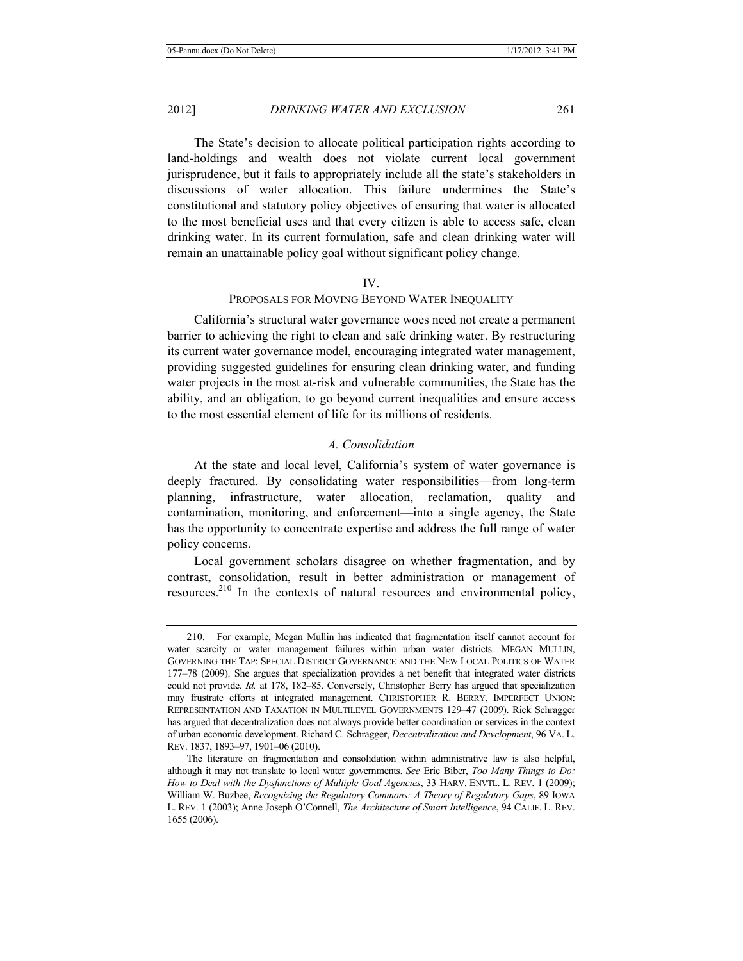The State's decision to allocate political participation rights according to land-holdings and wealth does not violate current local government jurisprudence, but it fails to appropriately include all the state's stakeholders in discussions of water allocation. This failure undermines the State's constitutional and statutory policy objectives of ensuring that water is allocated to the most beneficial uses and that every citizen is able to access safe, clean drinking water. In its current formulation, safe and clean drinking water will remain an unattainable policy goal without significant policy change.

#### IV.

## PROPOSALS FOR MOVING BEYOND WATER INEQUALITY

California's structural water governance woes need not create a permanent barrier to achieving the right to clean and safe drinking water. By restructuring its current water governance model, encouraging integrated water management, providing suggested guidelines for ensuring clean drinking water, and funding water projects in the most at-risk and vulnerable communities, the State has the ability, and an obligation, to go beyond current inequalities and ensure access to the most essential element of life for its millions of residents.

## *A. Consolidation*

At the state and local level, California's system of water governance is deeply fractured. By consolidating water responsibilities—from long-term planning, infrastructure, water allocation, reclamation, quality and contamination, monitoring, and enforcement—into a single agency, the State has the opportunity to concentrate expertise and address the full range of water policy concerns.

Local government scholars disagree on whether fragmentation, and by contrast, consolidation, result in better administration or management of resources.<sup>210</sup> In the contexts of natural resources and environmental policy,

<sup>210.</sup> For example, Megan Mullin has indicated that fragmentation itself cannot account for water scarcity or water management failures within urban water districts. MEGAN MULLIN, GOVERNING THE TAP: SPECIAL DISTRICT GOVERNANCE AND THE NEW LOCAL POLITICS OF WATER 177–78 (2009). She argues that specialization provides a net benefit that integrated water districts could not provide. *Id.* at 178, 182–85. Conversely, Christopher Berry has argued that specialization may frustrate efforts at integrated management. CHRISTOPHER R. BERRY, IMPERFECT UNION: REPRESENTATION AND TAXATION IN MULTILEVEL GOVERNMENTS 129–47 (2009). Rick Schragger has argued that decentralization does not always provide better coordination or services in the context of urban economic development. Richard C. Schragger, *Decentralization and Development*, 96 VA. L. REV. 1837, 1893–97, 1901–06 (2010).

The literature on fragmentation and consolidation within administrative law is also helpful, although it may not translate to local water governments. *See* Eric Biber, *Too Many Things to Do: How to Deal with the Dysfunctions of Multiple-Goal Agencies*, 33 HARV. ENVTL. L. REV. 1 (2009); William W. Buzbee, *Recognizing the Regulatory Commons: A Theory of Regulatory Gaps*, 89 IOWA L. REV. 1 (2003); Anne Joseph O'Connell, *The Architecture of Smart Intelligence*, 94 CALIF. L. REV. 1655 (2006).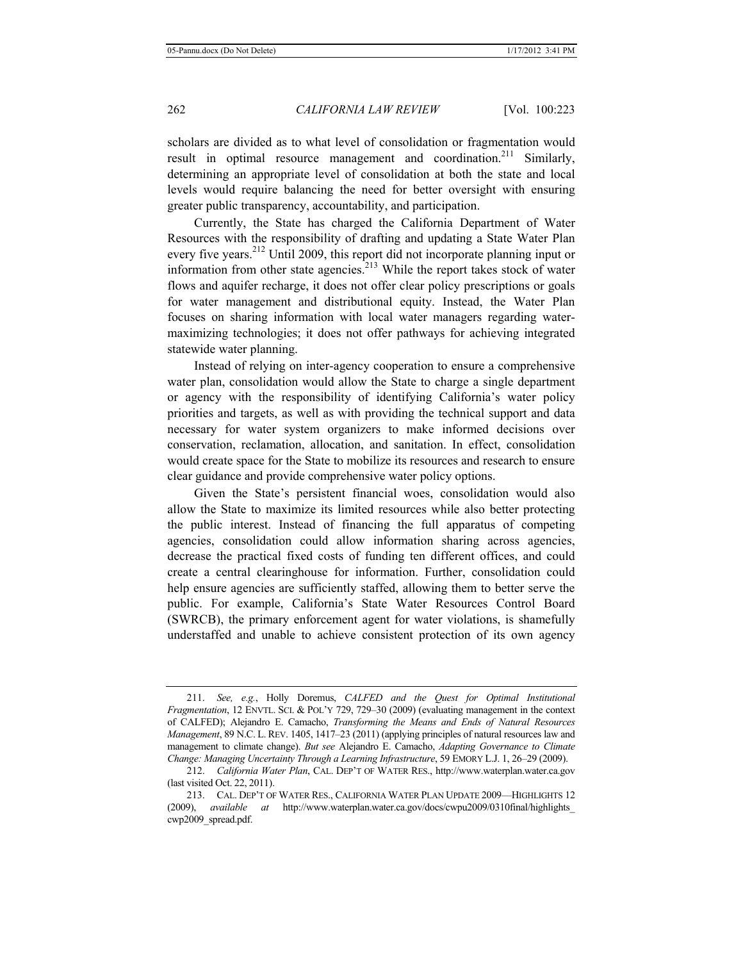scholars are divided as to what level of consolidation or fragmentation would result in optimal resource management and coordination.<sup>211</sup> Similarly, determining an appropriate level of consolidation at both the state and local levels would require balancing the need for better oversight with ensuring greater public transparency, accountability, and participation.

Currently, the State has charged the California Department of Water Resources with the responsibility of drafting and updating a State Water Plan every five years.212 Until 2009, this report did not incorporate planning input or information from other state agencies.213 While the report takes stock of water flows and aquifer recharge, it does not offer clear policy prescriptions or goals for water management and distributional equity. Instead, the Water Plan focuses on sharing information with local water managers regarding watermaximizing technologies; it does not offer pathways for achieving integrated statewide water planning.

Instead of relying on inter-agency cooperation to ensure a comprehensive water plan, consolidation would allow the State to charge a single department or agency with the responsibility of identifying California's water policy priorities and targets, as well as with providing the technical support and data necessary for water system organizers to make informed decisions over conservation, reclamation, allocation, and sanitation. In effect, consolidation would create space for the State to mobilize its resources and research to ensure clear guidance and provide comprehensive water policy options.

Given the State's persistent financial woes, consolidation would also allow the State to maximize its limited resources while also better protecting the public interest. Instead of financing the full apparatus of competing agencies, consolidation could allow information sharing across agencies, decrease the practical fixed costs of funding ten different offices, and could create a central clearinghouse for information. Further, consolidation could help ensure agencies are sufficiently staffed, allowing them to better serve the public. For example, California's State Water Resources Control Board (SWRCB), the primary enforcement agent for water violations, is shamefully understaffed and unable to achieve consistent protection of its own agency

<sup>211.</sup> *See, e.g.*, Holly Doremus, *CALFED and the Quest for Optimal Institutional Fragmentation*, 12 ENVTL. SCI. & POL'Y 729, 729–30 (2009) (evaluating management in the context of CALFED); Alejandro E. Camacho, *Transforming the Means and Ends of Natural Resources Management*, 89 N.C. L. REV. 1405, 1417–23 (2011) (applying principles of natural resources law and management to climate change). *But see* Alejandro E. Camacho, *Adapting Governance to Climate Change: Managing Uncertainty Through a Learning Infrastructure*, 59 EMORY L.J. 1, 26–29 (2009).

<sup>212.</sup> *California Water Plan*, CAL. DEP'T OF WATER RES., http://www.waterplan.water.ca.gov (last visited Oct. 22, 2011).

<sup>213.</sup> CAL. DEP'T OF WATER RES., CALIFORNIA WATER PLAN UPDATE 2009—HIGHLIGHTS 12 (2009), *available at* http://www.waterplan.water.ca.gov/docs/cwpu2009/0310final/highlights\_ cwp2009\_spread.pdf.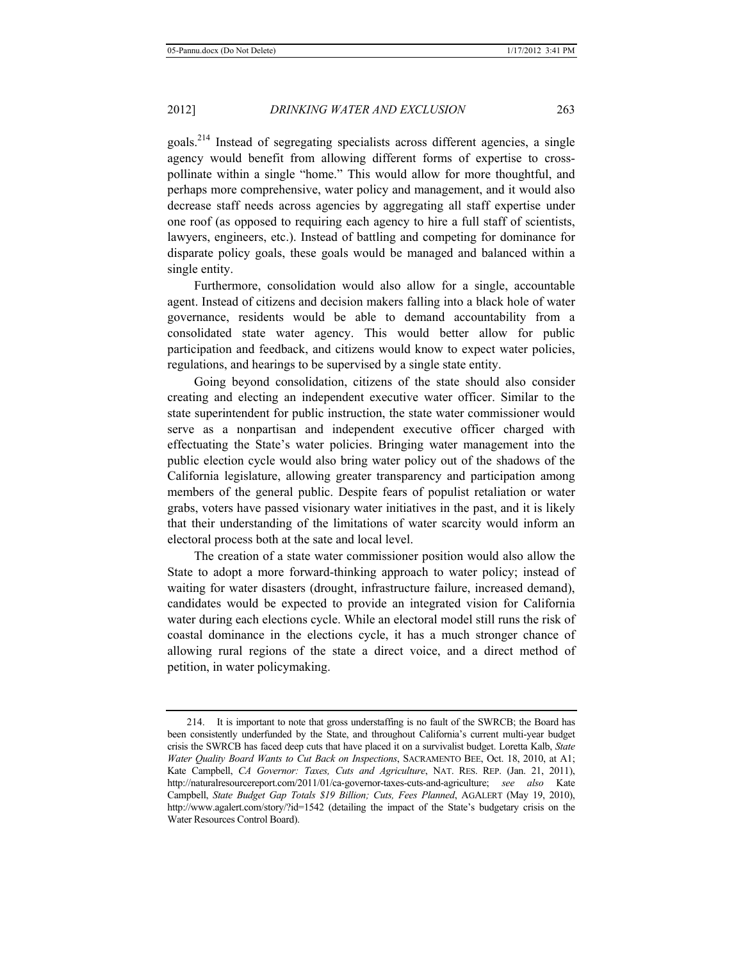goals.214 Instead of segregating specialists across different agencies, a single agency would benefit from allowing different forms of expertise to crosspollinate within a single "home." This would allow for more thoughtful, and perhaps more comprehensive, water policy and management, and it would also decrease staff needs across agencies by aggregating all staff expertise under one roof (as opposed to requiring each agency to hire a full staff of scientists, lawyers, engineers, etc.). Instead of battling and competing for dominance for disparate policy goals, these goals would be managed and balanced within a single entity.

Furthermore, consolidation would also allow for a single, accountable agent. Instead of citizens and decision makers falling into a black hole of water governance, residents would be able to demand accountability from a consolidated state water agency. This would better allow for public participation and feedback, and citizens would know to expect water policies, regulations, and hearings to be supervised by a single state entity.

Going beyond consolidation, citizens of the state should also consider creating and electing an independent executive water officer. Similar to the state superintendent for public instruction, the state water commissioner would serve as a nonpartisan and independent executive officer charged with effectuating the State's water policies. Bringing water management into the public election cycle would also bring water policy out of the shadows of the California legislature, allowing greater transparency and participation among members of the general public. Despite fears of populist retaliation or water grabs, voters have passed visionary water initiatives in the past, and it is likely that their understanding of the limitations of water scarcity would inform an electoral process both at the sate and local level.

The creation of a state water commissioner position would also allow the State to adopt a more forward-thinking approach to water policy; instead of waiting for water disasters (drought, infrastructure failure, increased demand), candidates would be expected to provide an integrated vision for California water during each elections cycle. While an electoral model still runs the risk of coastal dominance in the elections cycle, it has a much stronger chance of allowing rural regions of the state a direct voice, and a direct method of petition, in water policymaking.

<sup>214.</sup> It is important to note that gross understaffing is no fault of the SWRCB; the Board has been consistently underfunded by the State, and throughout California's current multi-year budget crisis the SWRCB has faced deep cuts that have placed it on a survivalist budget. Loretta Kalb, *State Water Quality Board Wants to Cut Back on Inspections*, SACRAMENTO BEE, Oct. 18, 2010, at A1; Kate Campbell, *CA Governor: Taxes, Cuts and Agriculture*, NAT. RES. REP. (Jan. 21, 2011), http://naturalresourcereport.com/2011/01/ca-governor-taxes-cuts-and-agriculture; *see also* Kate Campbell, *State Budget Gap Totals \$19 Billion; Cuts, Fees Planned*, AGALERT (May 19, 2010), http://www.agalert.com/story/?id=1542 (detailing the impact of the State's budgetary crisis on the Water Resources Control Board).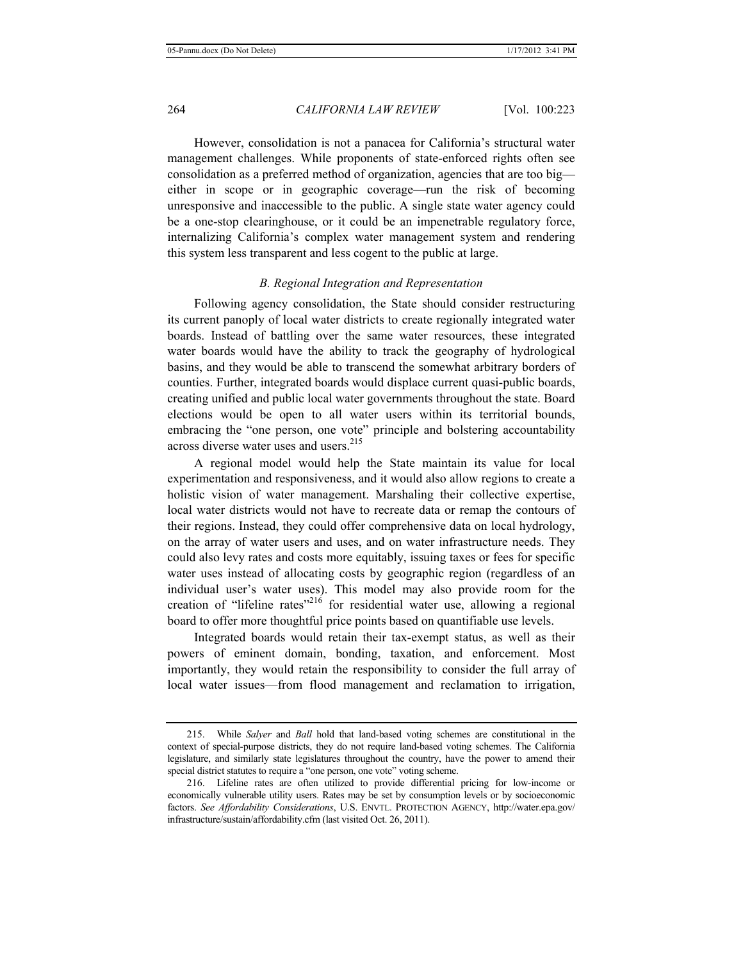However, consolidation is not a panacea for California's structural water management challenges. While proponents of state-enforced rights often see consolidation as a preferred method of organization, agencies that are too big either in scope or in geographic coverage—run the risk of becoming unresponsive and inaccessible to the public. A single state water agency could be a one-stop clearinghouse, or it could be an impenetrable regulatory force, internalizing California's complex water management system and rendering this system less transparent and less cogent to the public at large.

#### *B. Regional Integration and Representation*

Following agency consolidation, the State should consider restructuring its current panoply of local water districts to create regionally integrated water boards. Instead of battling over the same water resources, these integrated water boards would have the ability to track the geography of hydrological basins, and they would be able to transcend the somewhat arbitrary borders of counties. Further, integrated boards would displace current quasi-public boards, creating unified and public local water governments throughout the state. Board elections would be open to all water users within its territorial bounds, embracing the "one person, one vote" principle and bolstering accountability across diverse water uses and users.<sup>215</sup>

A regional model would help the State maintain its value for local experimentation and responsiveness, and it would also allow regions to create a holistic vision of water management. Marshaling their collective expertise, local water districts would not have to recreate data or remap the contours of their regions. Instead, they could offer comprehensive data on local hydrology, on the array of water users and uses, and on water infrastructure needs. They could also levy rates and costs more equitably, issuing taxes or fees for specific water uses instead of allocating costs by geographic region (regardless of an individual user's water uses). This model may also provide room for the creation of "lifeline rates"<sup>216</sup> for residential water use, allowing a regional board to offer more thoughtful price points based on quantifiable use levels.

Integrated boards would retain their tax-exempt status, as well as their powers of eminent domain, bonding, taxation, and enforcement. Most importantly, they would retain the responsibility to consider the full array of local water issues—from flood management and reclamation to irrigation,

<sup>215.</sup> While *Salyer* and *Ball* hold that land-based voting schemes are constitutional in the context of special-purpose districts, they do not require land-based voting schemes. The California legislature, and similarly state legislatures throughout the country, have the power to amend their special district statutes to require a "one person, one vote" voting scheme.

<sup>216.</sup> Lifeline rates are often utilized to provide differential pricing for low-income or economically vulnerable utility users. Rates may be set by consumption levels or by socioeconomic factors. *See Affordability Considerations*, U.S. ENVTL. PROTECTION AGENCY, http://water.epa.gov/ infrastructure/sustain/affordability.cfm (last visited Oct. 26, 2011).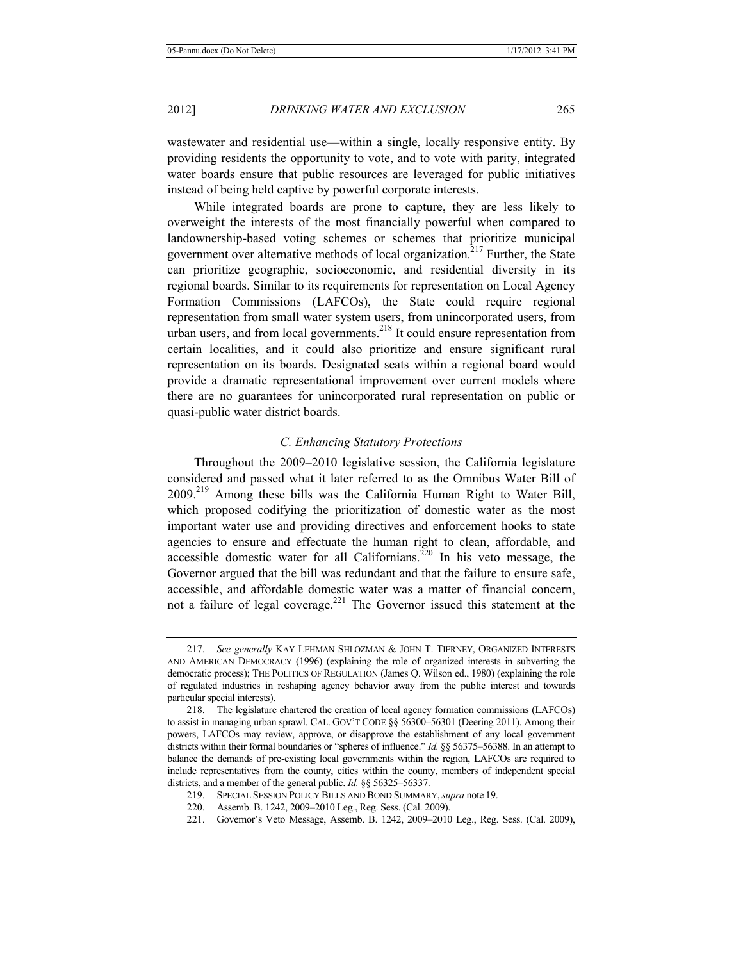wastewater and residential use—within a single, locally responsive entity. By providing residents the opportunity to vote, and to vote with parity, integrated water boards ensure that public resources are leveraged for public initiatives instead of being held captive by powerful corporate interests.

While integrated boards are prone to capture, they are less likely to overweight the interests of the most financially powerful when compared to landownership-based voting schemes or schemes that prioritize municipal government over alternative methods of local organization.<sup>217</sup> Further, the State can prioritize geographic, socioeconomic, and residential diversity in its regional boards. Similar to its requirements for representation on Local Agency Formation Commissions (LAFCOs), the State could require regional representation from small water system users, from unincorporated users, from urban users, and from local governments.<sup>218</sup> It could ensure representation from certain localities, and it could also prioritize and ensure significant rural representation on its boards. Designated seats within a regional board would provide a dramatic representational improvement over current models where there are no guarantees for unincorporated rural representation on public or quasi-public water district boards.

## *C. Enhancing Statutory Protections*

Throughout the 2009–2010 legislative session, the California legislature considered and passed what it later referred to as the Omnibus Water Bill of 2009.219 Among these bills was the California Human Right to Water Bill, which proposed codifying the prioritization of domestic water as the most important water use and providing directives and enforcement hooks to state agencies to ensure and effectuate the human right to clean, affordable, and accessible domestic water for all Californians.<sup>220</sup> In his veto message, the Governor argued that the bill was redundant and that the failure to ensure safe, accessible, and affordable domestic water was a matter of financial concern, not a failure of legal coverage.<sup>221</sup> The Governor issued this statement at the

<sup>217.</sup> *See generally* KAY LEHMAN SHLOZMAN & JOHN T. TIERNEY, ORGANIZED INTERESTS AND AMERICAN DEMOCRACY (1996) (explaining the role of organized interests in subverting the democratic process); THE POLITICS OF REGULATION (James Q. Wilson ed., 1980) (explaining the role of regulated industries in reshaping agency behavior away from the public interest and towards particular special interests).

<sup>218.</sup> The legislature chartered the creation of local agency formation commissions (LAFCOs) to assist in managing urban sprawl. CAL. GOV'T CODE §§ 56300-56301 (Deering 2011). Among their powers, LAFCOs may review, approve, or disapprove the establishment of any local government districts within their formal boundaries or "spheres of influence." *Id.* §§ 56375–56388. In an attempt to balance the demands of pre-existing local governments within the region, LAFCOs are required to include representatives from the county, cities within the county, members of independent special districts, and a member of the general public. *Id.* §§ 56325–56337.

<sup>219.</sup> SPECIAL SESSION POLICY BILLS AND BOND SUMMARY,*supra* note 19.

<sup>220.</sup> Assemb. B. 1242, 2009–2010 Leg., Reg. Sess. (Cal. 2009).

<sup>221.</sup> Governor's Veto Message, Assemb. B. 1242, 2009–2010 Leg., Reg. Sess. (Cal. 2009),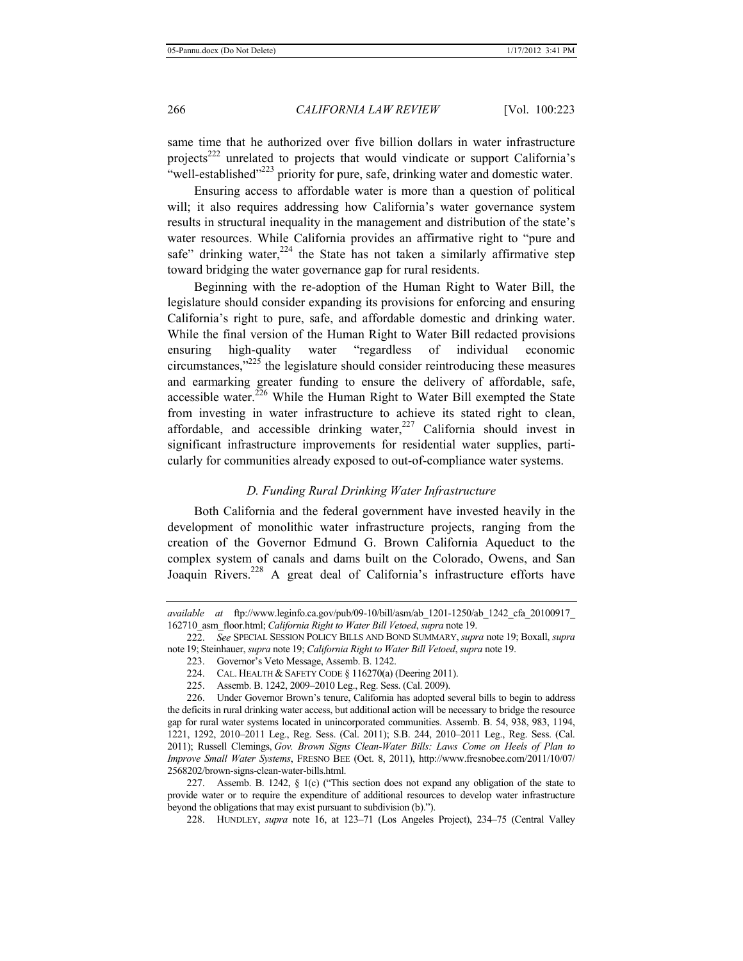same time that he authorized over five billion dollars in water infrastructure projects<sup>222</sup> unrelated to projects that would vindicate or support California's "well-established"<sup>223</sup> priority for pure, safe, drinking water and domestic water.

Ensuring access to affordable water is more than a question of political will; it also requires addressing how California's water governance system results in structural inequality in the management and distribution of the state's water resources. While California provides an affirmative right to "pure and safe" drinking water, $2^{24}$  the State has not taken a similarly affirmative step toward bridging the water governance gap for rural residents.

Beginning with the re-adoption of the Human Right to Water Bill, the legislature should consider expanding its provisions for enforcing and ensuring California's right to pure, safe, and affordable domestic and drinking water. While the final version of the Human Right to Water Bill redacted provisions ensuring high-quality water "regardless of individual economic circumstances, $\frac{1}{225}$  the legislature should consider reintroducing these measures and earmarking greater funding to ensure the delivery of affordable, safe, accessible water.<sup>226</sup> While the Human Right to Water Bill exempted the State from investing in water infrastructure to achieve its stated right to clean, affordable, and accessible drinking water, $227$  California should invest in significant infrastructure improvements for residential water supplies, particularly for communities already exposed to out-of-compliance water systems.

#### *D. Funding Rural Drinking Water Infrastructure*

Both California and the federal government have invested heavily in the development of monolithic water infrastructure projects, ranging from the creation of the Governor Edmund G. Brown California Aqueduct to the complex system of canals and dams built on the Colorado, Owens, and San Joaquin Rivers.<sup>228</sup> A great deal of California's infrastructure efforts have

227. Assemb. B. 1242, § 1(c) ("This section does not expand any obligation of the state to provide water or to require the expenditure of additional resources to develop water infrastructure beyond the obligations that may exist pursuant to subdivision (b).").

228. HUNDLEY, *supra* note 16, at 123–71 (Los Angeles Project), 234–75 (Central Valley

*available at* ftp://www.leginfo.ca.gov/pub/09-10/bill/asm/ab\_1201-1250/ab\_1242\_cfa\_20100917\_ 162710\_asm\_floor.html; *California Right to Water Bill Vetoed*, *supra* note 19.

<sup>222.</sup> *See* SPECIAL SESSION POLICY BILLS AND BOND SUMMARY, *supra* note 19; Boxall, *supra* note 19; Steinhauer, *supra* note 19; *California Right to Water Bill Vetoed*, *supra* note 19.

<sup>223.</sup> Governor's Veto Message, Assemb. B. 1242.

<sup>224.</sup> CAL. HEALTH & SAFETY CODE § 116270(a) (Deering 2011).

<sup>225.</sup> Assemb. B. 1242, 2009–2010 Leg., Reg. Sess. (Cal. 2009).

<sup>226.</sup> Under Governor Brown's tenure, California has adopted several bills to begin to address the deficits in rural drinking water access, but additional action will be necessary to bridge the resource gap for rural water systems located in unincorporated communities. Assemb. B. 54, 938, 983, 1194, 1221, 1292, 2010–2011 Leg., Reg. Sess. (Cal. 2011); S.B. 244, 2010–2011 Leg., Reg. Sess. (Cal. 2011); Russell Clemings, *Gov. Brown Signs Clean-Water Bills: Laws Come on Heels of Plan to Improve Small Water Systems*, FRESNO BEE (Oct. 8, 2011), http://www.fresnobee.com/2011/10/07/ 2568202/brown-signs-clean-water-bills.html.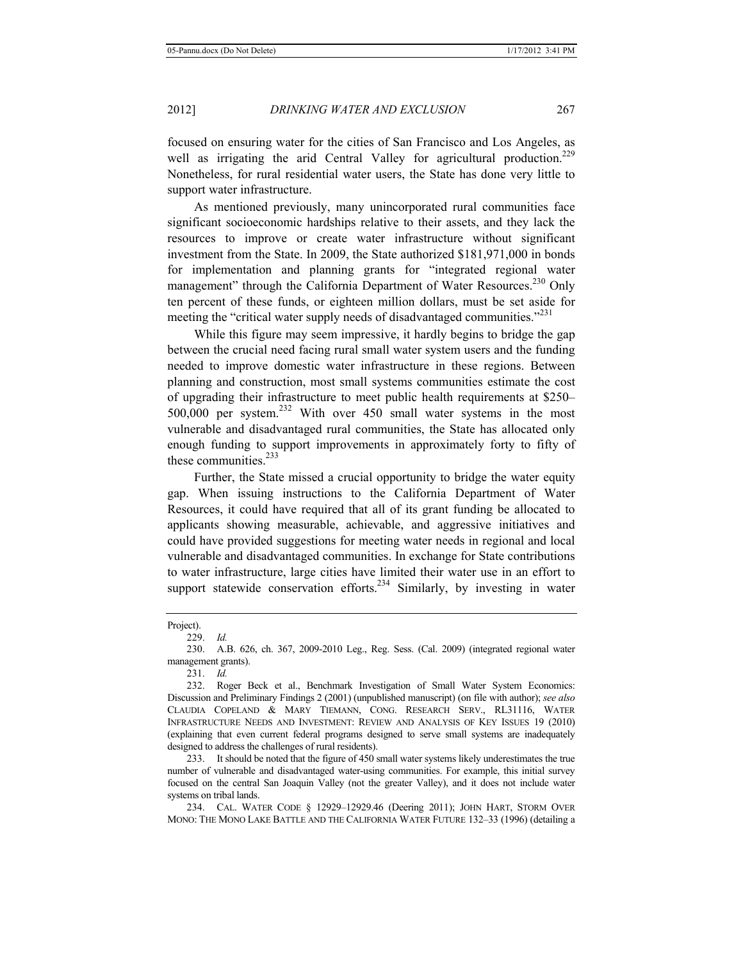focused on ensuring water for the cities of San Francisco and Los Angeles, as well as irrigating the arid Central Valley for agricultural production.<sup>229</sup> Nonetheless, for rural residential water users, the State has done very little to support water infrastructure.

As mentioned previously, many unincorporated rural communities face significant socioeconomic hardships relative to their assets, and they lack the resources to improve or create water infrastructure without significant investment from the State. In 2009, the State authorized \$181,971,000 in bonds for implementation and planning grants for "integrated regional water management" through the California Department of Water Resources.<sup>230</sup> Only ten percent of these funds, or eighteen million dollars, must be set aside for meeting the "critical water supply needs of disadvantaged communities."<sup>231</sup>

While this figure may seem impressive, it hardly begins to bridge the gap between the crucial need facing rural small water system users and the funding needed to improve domestic water infrastructure in these regions. Between planning and construction, most small systems communities estimate the cost of upgrading their infrastructure to meet public health requirements at \$250– 500,000 per system.232 With over 450 small water systems in the most vulnerable and disadvantaged rural communities, the State has allocated only enough funding to support improvements in approximately forty to fifty of these communities.<sup>233</sup>

Further, the State missed a crucial opportunity to bridge the water equity gap. When issuing instructions to the California Department of Water Resources, it could have required that all of its grant funding be allocated to applicants showing measurable, achievable, and aggressive initiatives and could have provided suggestions for meeting water needs in regional and local vulnerable and disadvantaged communities. In exchange for State contributions to water infrastructure, large cities have limited their water use in an effort to support statewide conservation efforts.<sup>234</sup> Similarly, by investing in water

233. It should be noted that the figure of 450 small water systems likely underestimates the true number of vulnerable and disadvantaged water-using communities. For example, this initial survey focused on the central San Joaquin Valley (not the greater Valley), and it does not include water systems on tribal lands.

234. CAL. WATER CODE § 12929–12929.46 (Deering 2011); JOHN HART, STORM OVER MONO: THE MONO LAKE BATTLE AND THE CALIFORNIA WATER FUTURE 132–33 (1996) (detailing a

Project).

<sup>229.</sup> *Id.*

<sup>230.</sup> A.B. 626, ch. 367, 2009-2010 Leg., Reg. Sess. (Cal. 2009) (integrated regional water management grants).

<sup>231.</sup> *Id.*

<sup>232.</sup> Roger Beck et al., Benchmark Investigation of Small Water System Economics: Discussion and Preliminary Findings 2 (2001) (unpublished manuscript) (on file with author); *see also* CLAUDIA COPELAND & MARY TIEMANN, CONG. RESEARCH SERV., RL31116, WATER INFRASTRUCTURE NEEDS AND INVESTMENT: REVIEW AND ANALYSIS OF KEY ISSUES 19 (2010) (explaining that even current federal programs designed to serve small systems are inadequately designed to address the challenges of rural residents).